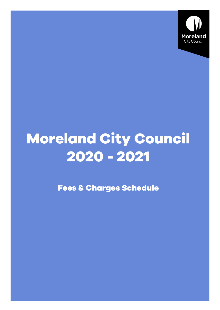

## **Moreland City Council 2020 - 2021**

**Fees & Charges Schedule**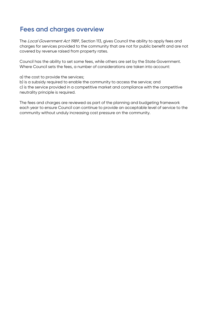## Fees and charges overview

The Local Government Act 1989, Section 113, gives Council the ability to apply fees and charges for services provided to the community that are not for public benefit and are not covered by revenue raised from property rates.

Council has the ability to set some fees, while others are set by the State Government. Where Council sets the fees, a number of considerations are taken into account:

a) the cost to provide the services;

b) is a subsidy required to enable the community to access the service; and c) is the service provided in a competitive market and compliance with the competitive neutrality principle is required.

The fees and charges are reviewed as part of the planning and budgeting framework each year to ensure Council can continue to provide an acceptable level of service to the community without unduly increasing cost pressure on the community.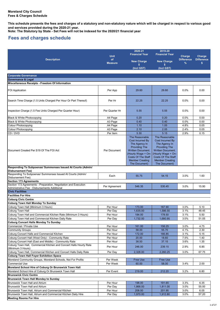**This schedule presents the fees and charges of a statutory and non-statutory nature which will be charged in respect to various goods and services provided during the 2020-21 year.**

**Note: The Statutory by State - Set Fees will not be indexed for the 2020/21 financial year**

## **Fees and charges schedule**

| Charge<br><b>Unit</b><br>Charge<br>of<br><b>Difference</b><br><b>Difference</b><br><b>Description</b><br><b>New Charge</b><br><b>New Charge</b><br>%<br>s.<br><b>Measure</b><br>\$<br>(Incl GST)<br>(Incl GST)<br><b>Corporate Governance</b><br><b>Governance &amp; Legal</b><br>Miscellaneous Receipts - Freedom Of Information<br>0.0%<br>0.00<br><b>FOI Application</b><br>Per App<br>29.60<br>29.60<br>Search Time Charge (1.5 Units Charged Per Hour Or Part Thereof)<br>22.25<br>22.25<br>0.0%<br>0.00<br>Per Hr<br>0.0%<br>0.00<br>Inspection Charge (1.5 Fee Units Charged Per Quarter Hour)<br>Per Quarter Hr<br>5.55<br>5.55<br>Black & White Photocopying<br>A4 Page<br>0.20<br>0.20<br>0.0%<br>0.00<br>Black & White Photocopying<br>A3 Page<br>0.40<br>0.40<br>0.0%<br>0.00<br>Colour Photocopying<br>A4 Page<br>1.10<br>1.05<br>4.8%<br>0.05<br>2.4%<br>Colour Photocopying<br>A3 Page<br>2.10<br>2.05<br>0.05<br>CD / DVD<br>5.15<br>2.9%<br>Per Item<br>5.30<br>0.15<br>The Reasonable<br>The Reasonable<br>Cost Incurred By<br><b>Cost Incurred Bv</b><br>The Agency In<br>The Agency In<br><b>Providing The</b><br><b>Providing The</b><br>Document Created Per S19 Of The FOI Act<br>Per Document<br><b>Written Document.</b><br><b>Written Document.</b><br>Hourly Wage + On-<br>(Hourly Wage + On-<br><b>Costs Of The Staff</b><br><b>Costs Of The Staff</b><br><b>Member Creating</b><br><b>Member Creating</b><br>The Document)<br>The Document)<br>Responding To Subpoenas/ Summonses Issued At Courts (Admin/<br><b>Disbursement Fee)</b><br>Responding To Subpoenas/ Summonses Issued At Courts (Admin/<br>3.0%<br>Each<br>55.75<br>54.15<br>1.60<br>Disbursement Fee)<br><b>Section 173 Agreements</b><br>Section 173 Agreements - Preparation, Negotiation and Execution<br>546.35<br>530.45<br>3.0%<br>15.90<br>Per Agreement<br>Administrative Fee - Disbursements Additional<br><b>Civic Facilities</b><br><b>Facilities For Hire</b><br><b>Coburg Civic Centre</b><br><b>Coburg Town Hall Monday To Sunday</b><br>Coburg Town Hall (Minimum 3 Hours)<br>Per Hour<br>173.00<br>167.90<br>5.10<br>3.0%<br>Coburg Town Hall<br>1,635.00<br>1,586.55<br>3.1%<br>48.45<br>Per Day<br>Coburg Town Hall and Commercial Kitchen Rate (Minimum 3 Hours)<br>Per Hour<br>184.00<br>178.50<br>$3.1\%$<br>5.50<br>1,732.00<br>Coburg Town Hall and Commercial Kitchen Daily Rate<br>1,680.95<br>3.0%<br>51.05<br>Per Day<br>Coburg Concert Halls Monday To Sunday<br>Commercial / Private Use<br>Per Hour<br>161.00<br>156.25<br>4.75<br>3.0%<br>2.30<br><b>Community Groups</b><br>Per Hour<br>58.00<br>55.70<br>4.1%<br>Coburg Concert Halls and Commercial Kitchen<br>Per Hour<br>172.00<br>166.85<br>3.1%<br>5.15<br>Coburg Concert Hall (West Only) - Community Rate<br>Per Hour<br>20.00<br>18.60<br>7.5%<br>1.40<br>Coburg Concert Hall (East and Middle) - Community Rate<br>Per Hour<br>38.50<br>37.15<br>3.6%<br>1.35<br>Coburg Town Hall, Commercial Kitchen and Concert Halls Hourly Rate<br>Per Hour<br>246.00<br>239.15<br>2.9%<br>6.85<br>(Minimum 3 Hours)<br>Coburg Town Hall, Commercial Kitchen and Concert Halls Daily Rate<br>2,328.00<br>2,260.25<br>3.0%<br>67.75<br>Per Day<br><b>Coburg Town Hall Foyer Exhibition Space</b><br>Moreland Community Groups, Moreland Schools, Not For Profits<br>Per Week<br>Free Use<br>Free Use<br><b>Commercial Use</b><br>Per Week<br>60.00<br>58.00<br>3.4%<br>2.00<br>Moreland School Hire of Coburg Or Brunswick Town Hall<br>Moreland School Hire of Coburg Or Brunswick Town Hall<br>Per Event<br>219.00<br>212.20<br>3.2%<br>6.80<br><b>Brunswick Civic Centre</b><br><b>Brunswick Town Hall Monday to Sunday</b><br>Brunswick Town Hall and Atrium<br>Per Hour<br>198.00<br>191.65<br>3.3%<br>6.35<br><b>Brunswick Town Hall and Atrium</b><br>Per Day<br>1,866.00<br>1,811.00<br>3.0%<br>55.00<br>Brunswick Town Hall, Atrium and Commercial Kitchen<br>Per Hour<br>208.00<br>201.95<br>3.0%<br>6.05<br>Brunswick Town Hall, Atrium and Commercial Kitchen Daily Hire<br>1,970.00<br>1,912.80<br>3.0%<br>Per Day<br>57.20<br><b>Meeting Rooms For Hire</b> |  | 2020-21               | 2019-20               |  |
|----------------------------------------------------------------------------------------------------------------------------------------------------------------------------------------------------------------------------------------------------------------------------------------------------------------------------------------------------------------------------------------------------------------------------------------------------------------------------------------------------------------------------------------------------------------------------------------------------------------------------------------------------------------------------------------------------------------------------------------------------------------------------------------------------------------------------------------------------------------------------------------------------------------------------------------------------------------------------------------------------------------------------------------------------------------------------------------------------------------------------------------------------------------------------------------------------------------------------------------------------------------------------------------------------------------------------------------------------------------------------------------------------------------------------------------------------------------------------------------------------------------------------------------------------------------------------------------------------------------------------------------------------------------------------------------------------------------------------------------------------------------------------------------------------------------------------------------------------------------------------------------------------------------------------------------------------------------------------------------------------------------------------------------------------------------------------------------------------------------------------------------------------------------------------------------------------------------------------------------------------------------------------------------------------------------------------------------------------------------------------------------------------------------------------------------------------------------------------------------------------------------------------------------------------------------------------------------------------------------------------------------------------------------------------------------------------------------------------------------------------------------------------------------------------------------------------------------------------------------------------------------------------------------------------------------------------------------------------------------------------------------------------------------------------------------------------------------------------------------------------------------------------------------------------------------------------------------------------------------------------------------------------------------------------------------------------------------------------------------------------------------------------------------------------------------------------------------------------------------------------------------------------------------------------------------------------------------------------------------------------------------------------------------------------------------------------------------------------------------------------------------------------------------------------------------------------------------------------------------------------------------------------------------------------------------------------------------------------------------------------------------------------------------------------------------------------------------------------------------------------------------------------|--|-----------------------|-----------------------|--|
|                                                                                                                                                                                                                                                                                                                                                                                                                                                                                                                                                                                                                                                                                                                                                                                                                                                                                                                                                                                                                                                                                                                                                                                                                                                                                                                                                                                                                                                                                                                                                                                                                                                                                                                                                                                                                                                                                                                                                                                                                                                                                                                                                                                                                                                                                                                                                                                                                                                                                                                                                                                                                                                                                                                                                                                                                                                                                                                                                                                                                                                                                                                                                                                                                                                                                                                                                                                                                                                                                                                                                                                                                                                                                                                                                                                                                                                                                                                                                                                                                                                                                                                                                    |  | <b>Financial Year</b> | <b>Financial Year</b> |  |
|                                                                                                                                                                                                                                                                                                                                                                                                                                                                                                                                                                                                                                                                                                                                                                                                                                                                                                                                                                                                                                                                                                                                                                                                                                                                                                                                                                                                                                                                                                                                                                                                                                                                                                                                                                                                                                                                                                                                                                                                                                                                                                                                                                                                                                                                                                                                                                                                                                                                                                                                                                                                                                                                                                                                                                                                                                                                                                                                                                                                                                                                                                                                                                                                                                                                                                                                                                                                                                                                                                                                                                                                                                                                                                                                                                                                                                                                                                                                                                                                                                                                                                                                                    |  |                       |                       |  |
|                                                                                                                                                                                                                                                                                                                                                                                                                                                                                                                                                                                                                                                                                                                                                                                                                                                                                                                                                                                                                                                                                                                                                                                                                                                                                                                                                                                                                                                                                                                                                                                                                                                                                                                                                                                                                                                                                                                                                                                                                                                                                                                                                                                                                                                                                                                                                                                                                                                                                                                                                                                                                                                                                                                                                                                                                                                                                                                                                                                                                                                                                                                                                                                                                                                                                                                                                                                                                                                                                                                                                                                                                                                                                                                                                                                                                                                                                                                                                                                                                                                                                                                                                    |  |                       |                       |  |
|                                                                                                                                                                                                                                                                                                                                                                                                                                                                                                                                                                                                                                                                                                                                                                                                                                                                                                                                                                                                                                                                                                                                                                                                                                                                                                                                                                                                                                                                                                                                                                                                                                                                                                                                                                                                                                                                                                                                                                                                                                                                                                                                                                                                                                                                                                                                                                                                                                                                                                                                                                                                                                                                                                                                                                                                                                                                                                                                                                                                                                                                                                                                                                                                                                                                                                                                                                                                                                                                                                                                                                                                                                                                                                                                                                                                                                                                                                                                                                                                                                                                                                                                                    |  |                       |                       |  |
|                                                                                                                                                                                                                                                                                                                                                                                                                                                                                                                                                                                                                                                                                                                                                                                                                                                                                                                                                                                                                                                                                                                                                                                                                                                                                                                                                                                                                                                                                                                                                                                                                                                                                                                                                                                                                                                                                                                                                                                                                                                                                                                                                                                                                                                                                                                                                                                                                                                                                                                                                                                                                                                                                                                                                                                                                                                                                                                                                                                                                                                                                                                                                                                                                                                                                                                                                                                                                                                                                                                                                                                                                                                                                                                                                                                                                                                                                                                                                                                                                                                                                                                                                    |  |                       |                       |  |
|                                                                                                                                                                                                                                                                                                                                                                                                                                                                                                                                                                                                                                                                                                                                                                                                                                                                                                                                                                                                                                                                                                                                                                                                                                                                                                                                                                                                                                                                                                                                                                                                                                                                                                                                                                                                                                                                                                                                                                                                                                                                                                                                                                                                                                                                                                                                                                                                                                                                                                                                                                                                                                                                                                                                                                                                                                                                                                                                                                                                                                                                                                                                                                                                                                                                                                                                                                                                                                                                                                                                                                                                                                                                                                                                                                                                                                                                                                                                                                                                                                                                                                                                                    |  |                       |                       |  |
|                                                                                                                                                                                                                                                                                                                                                                                                                                                                                                                                                                                                                                                                                                                                                                                                                                                                                                                                                                                                                                                                                                                                                                                                                                                                                                                                                                                                                                                                                                                                                                                                                                                                                                                                                                                                                                                                                                                                                                                                                                                                                                                                                                                                                                                                                                                                                                                                                                                                                                                                                                                                                                                                                                                                                                                                                                                                                                                                                                                                                                                                                                                                                                                                                                                                                                                                                                                                                                                                                                                                                                                                                                                                                                                                                                                                                                                                                                                                                                                                                                                                                                                                                    |  |                       |                       |  |
|                                                                                                                                                                                                                                                                                                                                                                                                                                                                                                                                                                                                                                                                                                                                                                                                                                                                                                                                                                                                                                                                                                                                                                                                                                                                                                                                                                                                                                                                                                                                                                                                                                                                                                                                                                                                                                                                                                                                                                                                                                                                                                                                                                                                                                                                                                                                                                                                                                                                                                                                                                                                                                                                                                                                                                                                                                                                                                                                                                                                                                                                                                                                                                                                                                                                                                                                                                                                                                                                                                                                                                                                                                                                                                                                                                                                                                                                                                                                                                                                                                                                                                                                                    |  |                       |                       |  |
|                                                                                                                                                                                                                                                                                                                                                                                                                                                                                                                                                                                                                                                                                                                                                                                                                                                                                                                                                                                                                                                                                                                                                                                                                                                                                                                                                                                                                                                                                                                                                                                                                                                                                                                                                                                                                                                                                                                                                                                                                                                                                                                                                                                                                                                                                                                                                                                                                                                                                                                                                                                                                                                                                                                                                                                                                                                                                                                                                                                                                                                                                                                                                                                                                                                                                                                                                                                                                                                                                                                                                                                                                                                                                                                                                                                                                                                                                                                                                                                                                                                                                                                                                    |  |                       |                       |  |
|                                                                                                                                                                                                                                                                                                                                                                                                                                                                                                                                                                                                                                                                                                                                                                                                                                                                                                                                                                                                                                                                                                                                                                                                                                                                                                                                                                                                                                                                                                                                                                                                                                                                                                                                                                                                                                                                                                                                                                                                                                                                                                                                                                                                                                                                                                                                                                                                                                                                                                                                                                                                                                                                                                                                                                                                                                                                                                                                                                                                                                                                                                                                                                                                                                                                                                                                                                                                                                                                                                                                                                                                                                                                                                                                                                                                                                                                                                                                                                                                                                                                                                                                                    |  |                       |                       |  |
|                                                                                                                                                                                                                                                                                                                                                                                                                                                                                                                                                                                                                                                                                                                                                                                                                                                                                                                                                                                                                                                                                                                                                                                                                                                                                                                                                                                                                                                                                                                                                                                                                                                                                                                                                                                                                                                                                                                                                                                                                                                                                                                                                                                                                                                                                                                                                                                                                                                                                                                                                                                                                                                                                                                                                                                                                                                                                                                                                                                                                                                                                                                                                                                                                                                                                                                                                                                                                                                                                                                                                                                                                                                                                                                                                                                                                                                                                                                                                                                                                                                                                                                                                    |  |                       |                       |  |
|                                                                                                                                                                                                                                                                                                                                                                                                                                                                                                                                                                                                                                                                                                                                                                                                                                                                                                                                                                                                                                                                                                                                                                                                                                                                                                                                                                                                                                                                                                                                                                                                                                                                                                                                                                                                                                                                                                                                                                                                                                                                                                                                                                                                                                                                                                                                                                                                                                                                                                                                                                                                                                                                                                                                                                                                                                                                                                                                                                                                                                                                                                                                                                                                                                                                                                                                                                                                                                                                                                                                                                                                                                                                                                                                                                                                                                                                                                                                                                                                                                                                                                                                                    |  |                       |                       |  |
|                                                                                                                                                                                                                                                                                                                                                                                                                                                                                                                                                                                                                                                                                                                                                                                                                                                                                                                                                                                                                                                                                                                                                                                                                                                                                                                                                                                                                                                                                                                                                                                                                                                                                                                                                                                                                                                                                                                                                                                                                                                                                                                                                                                                                                                                                                                                                                                                                                                                                                                                                                                                                                                                                                                                                                                                                                                                                                                                                                                                                                                                                                                                                                                                                                                                                                                                                                                                                                                                                                                                                                                                                                                                                                                                                                                                                                                                                                                                                                                                                                                                                                                                                    |  |                       |                       |  |
|                                                                                                                                                                                                                                                                                                                                                                                                                                                                                                                                                                                                                                                                                                                                                                                                                                                                                                                                                                                                                                                                                                                                                                                                                                                                                                                                                                                                                                                                                                                                                                                                                                                                                                                                                                                                                                                                                                                                                                                                                                                                                                                                                                                                                                                                                                                                                                                                                                                                                                                                                                                                                                                                                                                                                                                                                                                                                                                                                                                                                                                                                                                                                                                                                                                                                                                                                                                                                                                                                                                                                                                                                                                                                                                                                                                                                                                                                                                                                                                                                                                                                                                                                    |  |                       |                       |  |
|                                                                                                                                                                                                                                                                                                                                                                                                                                                                                                                                                                                                                                                                                                                                                                                                                                                                                                                                                                                                                                                                                                                                                                                                                                                                                                                                                                                                                                                                                                                                                                                                                                                                                                                                                                                                                                                                                                                                                                                                                                                                                                                                                                                                                                                                                                                                                                                                                                                                                                                                                                                                                                                                                                                                                                                                                                                                                                                                                                                                                                                                                                                                                                                                                                                                                                                                                                                                                                                                                                                                                                                                                                                                                                                                                                                                                                                                                                                                                                                                                                                                                                                                                    |  |                       |                       |  |
|                                                                                                                                                                                                                                                                                                                                                                                                                                                                                                                                                                                                                                                                                                                                                                                                                                                                                                                                                                                                                                                                                                                                                                                                                                                                                                                                                                                                                                                                                                                                                                                                                                                                                                                                                                                                                                                                                                                                                                                                                                                                                                                                                                                                                                                                                                                                                                                                                                                                                                                                                                                                                                                                                                                                                                                                                                                                                                                                                                                                                                                                                                                                                                                                                                                                                                                                                                                                                                                                                                                                                                                                                                                                                                                                                                                                                                                                                                                                                                                                                                                                                                                                                    |  |                       |                       |  |
|                                                                                                                                                                                                                                                                                                                                                                                                                                                                                                                                                                                                                                                                                                                                                                                                                                                                                                                                                                                                                                                                                                                                                                                                                                                                                                                                                                                                                                                                                                                                                                                                                                                                                                                                                                                                                                                                                                                                                                                                                                                                                                                                                                                                                                                                                                                                                                                                                                                                                                                                                                                                                                                                                                                                                                                                                                                                                                                                                                                                                                                                                                                                                                                                                                                                                                                                                                                                                                                                                                                                                                                                                                                                                                                                                                                                                                                                                                                                                                                                                                                                                                                                                    |  |                       |                       |  |
|                                                                                                                                                                                                                                                                                                                                                                                                                                                                                                                                                                                                                                                                                                                                                                                                                                                                                                                                                                                                                                                                                                                                                                                                                                                                                                                                                                                                                                                                                                                                                                                                                                                                                                                                                                                                                                                                                                                                                                                                                                                                                                                                                                                                                                                                                                                                                                                                                                                                                                                                                                                                                                                                                                                                                                                                                                                                                                                                                                                                                                                                                                                                                                                                                                                                                                                                                                                                                                                                                                                                                                                                                                                                                                                                                                                                                                                                                                                                                                                                                                                                                                                                                    |  |                       |                       |  |
|                                                                                                                                                                                                                                                                                                                                                                                                                                                                                                                                                                                                                                                                                                                                                                                                                                                                                                                                                                                                                                                                                                                                                                                                                                                                                                                                                                                                                                                                                                                                                                                                                                                                                                                                                                                                                                                                                                                                                                                                                                                                                                                                                                                                                                                                                                                                                                                                                                                                                                                                                                                                                                                                                                                                                                                                                                                                                                                                                                                                                                                                                                                                                                                                                                                                                                                                                                                                                                                                                                                                                                                                                                                                                                                                                                                                                                                                                                                                                                                                                                                                                                                                                    |  |                       |                       |  |
|                                                                                                                                                                                                                                                                                                                                                                                                                                                                                                                                                                                                                                                                                                                                                                                                                                                                                                                                                                                                                                                                                                                                                                                                                                                                                                                                                                                                                                                                                                                                                                                                                                                                                                                                                                                                                                                                                                                                                                                                                                                                                                                                                                                                                                                                                                                                                                                                                                                                                                                                                                                                                                                                                                                                                                                                                                                                                                                                                                                                                                                                                                                                                                                                                                                                                                                                                                                                                                                                                                                                                                                                                                                                                                                                                                                                                                                                                                                                                                                                                                                                                                                                                    |  |                       |                       |  |
|                                                                                                                                                                                                                                                                                                                                                                                                                                                                                                                                                                                                                                                                                                                                                                                                                                                                                                                                                                                                                                                                                                                                                                                                                                                                                                                                                                                                                                                                                                                                                                                                                                                                                                                                                                                                                                                                                                                                                                                                                                                                                                                                                                                                                                                                                                                                                                                                                                                                                                                                                                                                                                                                                                                                                                                                                                                                                                                                                                                                                                                                                                                                                                                                                                                                                                                                                                                                                                                                                                                                                                                                                                                                                                                                                                                                                                                                                                                                                                                                                                                                                                                                                    |  |                       |                       |  |
|                                                                                                                                                                                                                                                                                                                                                                                                                                                                                                                                                                                                                                                                                                                                                                                                                                                                                                                                                                                                                                                                                                                                                                                                                                                                                                                                                                                                                                                                                                                                                                                                                                                                                                                                                                                                                                                                                                                                                                                                                                                                                                                                                                                                                                                                                                                                                                                                                                                                                                                                                                                                                                                                                                                                                                                                                                                                                                                                                                                                                                                                                                                                                                                                                                                                                                                                                                                                                                                                                                                                                                                                                                                                                                                                                                                                                                                                                                                                                                                                                                                                                                                                                    |  |                       |                       |  |
|                                                                                                                                                                                                                                                                                                                                                                                                                                                                                                                                                                                                                                                                                                                                                                                                                                                                                                                                                                                                                                                                                                                                                                                                                                                                                                                                                                                                                                                                                                                                                                                                                                                                                                                                                                                                                                                                                                                                                                                                                                                                                                                                                                                                                                                                                                                                                                                                                                                                                                                                                                                                                                                                                                                                                                                                                                                                                                                                                                                                                                                                                                                                                                                                                                                                                                                                                                                                                                                                                                                                                                                                                                                                                                                                                                                                                                                                                                                                                                                                                                                                                                                                                    |  |                       |                       |  |
|                                                                                                                                                                                                                                                                                                                                                                                                                                                                                                                                                                                                                                                                                                                                                                                                                                                                                                                                                                                                                                                                                                                                                                                                                                                                                                                                                                                                                                                                                                                                                                                                                                                                                                                                                                                                                                                                                                                                                                                                                                                                                                                                                                                                                                                                                                                                                                                                                                                                                                                                                                                                                                                                                                                                                                                                                                                                                                                                                                                                                                                                                                                                                                                                                                                                                                                                                                                                                                                                                                                                                                                                                                                                                                                                                                                                                                                                                                                                                                                                                                                                                                                                                    |  |                       |                       |  |
|                                                                                                                                                                                                                                                                                                                                                                                                                                                                                                                                                                                                                                                                                                                                                                                                                                                                                                                                                                                                                                                                                                                                                                                                                                                                                                                                                                                                                                                                                                                                                                                                                                                                                                                                                                                                                                                                                                                                                                                                                                                                                                                                                                                                                                                                                                                                                                                                                                                                                                                                                                                                                                                                                                                                                                                                                                                                                                                                                                                                                                                                                                                                                                                                                                                                                                                                                                                                                                                                                                                                                                                                                                                                                                                                                                                                                                                                                                                                                                                                                                                                                                                                                    |  |                       |                       |  |
|                                                                                                                                                                                                                                                                                                                                                                                                                                                                                                                                                                                                                                                                                                                                                                                                                                                                                                                                                                                                                                                                                                                                                                                                                                                                                                                                                                                                                                                                                                                                                                                                                                                                                                                                                                                                                                                                                                                                                                                                                                                                                                                                                                                                                                                                                                                                                                                                                                                                                                                                                                                                                                                                                                                                                                                                                                                                                                                                                                                                                                                                                                                                                                                                                                                                                                                                                                                                                                                                                                                                                                                                                                                                                                                                                                                                                                                                                                                                                                                                                                                                                                                                                    |  |                       |                       |  |
|                                                                                                                                                                                                                                                                                                                                                                                                                                                                                                                                                                                                                                                                                                                                                                                                                                                                                                                                                                                                                                                                                                                                                                                                                                                                                                                                                                                                                                                                                                                                                                                                                                                                                                                                                                                                                                                                                                                                                                                                                                                                                                                                                                                                                                                                                                                                                                                                                                                                                                                                                                                                                                                                                                                                                                                                                                                                                                                                                                                                                                                                                                                                                                                                                                                                                                                                                                                                                                                                                                                                                                                                                                                                                                                                                                                                                                                                                                                                                                                                                                                                                                                                                    |  |                       |                       |  |
|                                                                                                                                                                                                                                                                                                                                                                                                                                                                                                                                                                                                                                                                                                                                                                                                                                                                                                                                                                                                                                                                                                                                                                                                                                                                                                                                                                                                                                                                                                                                                                                                                                                                                                                                                                                                                                                                                                                                                                                                                                                                                                                                                                                                                                                                                                                                                                                                                                                                                                                                                                                                                                                                                                                                                                                                                                                                                                                                                                                                                                                                                                                                                                                                                                                                                                                                                                                                                                                                                                                                                                                                                                                                                                                                                                                                                                                                                                                                                                                                                                                                                                                                                    |  |                       |                       |  |
|                                                                                                                                                                                                                                                                                                                                                                                                                                                                                                                                                                                                                                                                                                                                                                                                                                                                                                                                                                                                                                                                                                                                                                                                                                                                                                                                                                                                                                                                                                                                                                                                                                                                                                                                                                                                                                                                                                                                                                                                                                                                                                                                                                                                                                                                                                                                                                                                                                                                                                                                                                                                                                                                                                                                                                                                                                                                                                                                                                                                                                                                                                                                                                                                                                                                                                                                                                                                                                                                                                                                                                                                                                                                                                                                                                                                                                                                                                                                                                                                                                                                                                                                                    |  |                       |                       |  |
|                                                                                                                                                                                                                                                                                                                                                                                                                                                                                                                                                                                                                                                                                                                                                                                                                                                                                                                                                                                                                                                                                                                                                                                                                                                                                                                                                                                                                                                                                                                                                                                                                                                                                                                                                                                                                                                                                                                                                                                                                                                                                                                                                                                                                                                                                                                                                                                                                                                                                                                                                                                                                                                                                                                                                                                                                                                                                                                                                                                                                                                                                                                                                                                                                                                                                                                                                                                                                                                                                                                                                                                                                                                                                                                                                                                                                                                                                                                                                                                                                                                                                                                                                    |  |                       |                       |  |
|                                                                                                                                                                                                                                                                                                                                                                                                                                                                                                                                                                                                                                                                                                                                                                                                                                                                                                                                                                                                                                                                                                                                                                                                                                                                                                                                                                                                                                                                                                                                                                                                                                                                                                                                                                                                                                                                                                                                                                                                                                                                                                                                                                                                                                                                                                                                                                                                                                                                                                                                                                                                                                                                                                                                                                                                                                                                                                                                                                                                                                                                                                                                                                                                                                                                                                                                                                                                                                                                                                                                                                                                                                                                                                                                                                                                                                                                                                                                                                                                                                                                                                                                                    |  |                       |                       |  |
|                                                                                                                                                                                                                                                                                                                                                                                                                                                                                                                                                                                                                                                                                                                                                                                                                                                                                                                                                                                                                                                                                                                                                                                                                                                                                                                                                                                                                                                                                                                                                                                                                                                                                                                                                                                                                                                                                                                                                                                                                                                                                                                                                                                                                                                                                                                                                                                                                                                                                                                                                                                                                                                                                                                                                                                                                                                                                                                                                                                                                                                                                                                                                                                                                                                                                                                                                                                                                                                                                                                                                                                                                                                                                                                                                                                                                                                                                                                                                                                                                                                                                                                                                    |  |                       |                       |  |
|                                                                                                                                                                                                                                                                                                                                                                                                                                                                                                                                                                                                                                                                                                                                                                                                                                                                                                                                                                                                                                                                                                                                                                                                                                                                                                                                                                                                                                                                                                                                                                                                                                                                                                                                                                                                                                                                                                                                                                                                                                                                                                                                                                                                                                                                                                                                                                                                                                                                                                                                                                                                                                                                                                                                                                                                                                                                                                                                                                                                                                                                                                                                                                                                                                                                                                                                                                                                                                                                                                                                                                                                                                                                                                                                                                                                                                                                                                                                                                                                                                                                                                                                                    |  |                       |                       |  |
|                                                                                                                                                                                                                                                                                                                                                                                                                                                                                                                                                                                                                                                                                                                                                                                                                                                                                                                                                                                                                                                                                                                                                                                                                                                                                                                                                                                                                                                                                                                                                                                                                                                                                                                                                                                                                                                                                                                                                                                                                                                                                                                                                                                                                                                                                                                                                                                                                                                                                                                                                                                                                                                                                                                                                                                                                                                                                                                                                                                                                                                                                                                                                                                                                                                                                                                                                                                                                                                                                                                                                                                                                                                                                                                                                                                                                                                                                                                                                                                                                                                                                                                                                    |  |                       |                       |  |
|                                                                                                                                                                                                                                                                                                                                                                                                                                                                                                                                                                                                                                                                                                                                                                                                                                                                                                                                                                                                                                                                                                                                                                                                                                                                                                                                                                                                                                                                                                                                                                                                                                                                                                                                                                                                                                                                                                                                                                                                                                                                                                                                                                                                                                                                                                                                                                                                                                                                                                                                                                                                                                                                                                                                                                                                                                                                                                                                                                                                                                                                                                                                                                                                                                                                                                                                                                                                                                                                                                                                                                                                                                                                                                                                                                                                                                                                                                                                                                                                                                                                                                                                                    |  |                       |                       |  |
|                                                                                                                                                                                                                                                                                                                                                                                                                                                                                                                                                                                                                                                                                                                                                                                                                                                                                                                                                                                                                                                                                                                                                                                                                                                                                                                                                                                                                                                                                                                                                                                                                                                                                                                                                                                                                                                                                                                                                                                                                                                                                                                                                                                                                                                                                                                                                                                                                                                                                                                                                                                                                                                                                                                                                                                                                                                                                                                                                                                                                                                                                                                                                                                                                                                                                                                                                                                                                                                                                                                                                                                                                                                                                                                                                                                                                                                                                                                                                                                                                                                                                                                                                    |  |                       |                       |  |
|                                                                                                                                                                                                                                                                                                                                                                                                                                                                                                                                                                                                                                                                                                                                                                                                                                                                                                                                                                                                                                                                                                                                                                                                                                                                                                                                                                                                                                                                                                                                                                                                                                                                                                                                                                                                                                                                                                                                                                                                                                                                                                                                                                                                                                                                                                                                                                                                                                                                                                                                                                                                                                                                                                                                                                                                                                                                                                                                                                                                                                                                                                                                                                                                                                                                                                                                                                                                                                                                                                                                                                                                                                                                                                                                                                                                                                                                                                                                                                                                                                                                                                                                                    |  |                       |                       |  |
|                                                                                                                                                                                                                                                                                                                                                                                                                                                                                                                                                                                                                                                                                                                                                                                                                                                                                                                                                                                                                                                                                                                                                                                                                                                                                                                                                                                                                                                                                                                                                                                                                                                                                                                                                                                                                                                                                                                                                                                                                                                                                                                                                                                                                                                                                                                                                                                                                                                                                                                                                                                                                                                                                                                                                                                                                                                                                                                                                                                                                                                                                                                                                                                                                                                                                                                                                                                                                                                                                                                                                                                                                                                                                                                                                                                                                                                                                                                                                                                                                                                                                                                                                    |  |                       |                       |  |
|                                                                                                                                                                                                                                                                                                                                                                                                                                                                                                                                                                                                                                                                                                                                                                                                                                                                                                                                                                                                                                                                                                                                                                                                                                                                                                                                                                                                                                                                                                                                                                                                                                                                                                                                                                                                                                                                                                                                                                                                                                                                                                                                                                                                                                                                                                                                                                                                                                                                                                                                                                                                                                                                                                                                                                                                                                                                                                                                                                                                                                                                                                                                                                                                                                                                                                                                                                                                                                                                                                                                                                                                                                                                                                                                                                                                                                                                                                                                                                                                                                                                                                                                                    |  |                       |                       |  |
|                                                                                                                                                                                                                                                                                                                                                                                                                                                                                                                                                                                                                                                                                                                                                                                                                                                                                                                                                                                                                                                                                                                                                                                                                                                                                                                                                                                                                                                                                                                                                                                                                                                                                                                                                                                                                                                                                                                                                                                                                                                                                                                                                                                                                                                                                                                                                                                                                                                                                                                                                                                                                                                                                                                                                                                                                                                                                                                                                                                                                                                                                                                                                                                                                                                                                                                                                                                                                                                                                                                                                                                                                                                                                                                                                                                                                                                                                                                                                                                                                                                                                                                                                    |  |                       |                       |  |
|                                                                                                                                                                                                                                                                                                                                                                                                                                                                                                                                                                                                                                                                                                                                                                                                                                                                                                                                                                                                                                                                                                                                                                                                                                                                                                                                                                                                                                                                                                                                                                                                                                                                                                                                                                                                                                                                                                                                                                                                                                                                                                                                                                                                                                                                                                                                                                                                                                                                                                                                                                                                                                                                                                                                                                                                                                                                                                                                                                                                                                                                                                                                                                                                                                                                                                                                                                                                                                                                                                                                                                                                                                                                                                                                                                                                                                                                                                                                                                                                                                                                                                                                                    |  |                       |                       |  |
|                                                                                                                                                                                                                                                                                                                                                                                                                                                                                                                                                                                                                                                                                                                                                                                                                                                                                                                                                                                                                                                                                                                                                                                                                                                                                                                                                                                                                                                                                                                                                                                                                                                                                                                                                                                                                                                                                                                                                                                                                                                                                                                                                                                                                                                                                                                                                                                                                                                                                                                                                                                                                                                                                                                                                                                                                                                                                                                                                                                                                                                                                                                                                                                                                                                                                                                                                                                                                                                                                                                                                                                                                                                                                                                                                                                                                                                                                                                                                                                                                                                                                                                                                    |  |                       |                       |  |
|                                                                                                                                                                                                                                                                                                                                                                                                                                                                                                                                                                                                                                                                                                                                                                                                                                                                                                                                                                                                                                                                                                                                                                                                                                                                                                                                                                                                                                                                                                                                                                                                                                                                                                                                                                                                                                                                                                                                                                                                                                                                                                                                                                                                                                                                                                                                                                                                                                                                                                                                                                                                                                                                                                                                                                                                                                                                                                                                                                                                                                                                                                                                                                                                                                                                                                                                                                                                                                                                                                                                                                                                                                                                                                                                                                                                                                                                                                                                                                                                                                                                                                                                                    |  |                       |                       |  |
|                                                                                                                                                                                                                                                                                                                                                                                                                                                                                                                                                                                                                                                                                                                                                                                                                                                                                                                                                                                                                                                                                                                                                                                                                                                                                                                                                                                                                                                                                                                                                                                                                                                                                                                                                                                                                                                                                                                                                                                                                                                                                                                                                                                                                                                                                                                                                                                                                                                                                                                                                                                                                                                                                                                                                                                                                                                                                                                                                                                                                                                                                                                                                                                                                                                                                                                                                                                                                                                                                                                                                                                                                                                                                                                                                                                                                                                                                                                                                                                                                                                                                                                                                    |  |                       |                       |  |
|                                                                                                                                                                                                                                                                                                                                                                                                                                                                                                                                                                                                                                                                                                                                                                                                                                                                                                                                                                                                                                                                                                                                                                                                                                                                                                                                                                                                                                                                                                                                                                                                                                                                                                                                                                                                                                                                                                                                                                                                                                                                                                                                                                                                                                                                                                                                                                                                                                                                                                                                                                                                                                                                                                                                                                                                                                                                                                                                                                                                                                                                                                                                                                                                                                                                                                                                                                                                                                                                                                                                                                                                                                                                                                                                                                                                                                                                                                                                                                                                                                                                                                                                                    |  |                       |                       |  |
|                                                                                                                                                                                                                                                                                                                                                                                                                                                                                                                                                                                                                                                                                                                                                                                                                                                                                                                                                                                                                                                                                                                                                                                                                                                                                                                                                                                                                                                                                                                                                                                                                                                                                                                                                                                                                                                                                                                                                                                                                                                                                                                                                                                                                                                                                                                                                                                                                                                                                                                                                                                                                                                                                                                                                                                                                                                                                                                                                                                                                                                                                                                                                                                                                                                                                                                                                                                                                                                                                                                                                                                                                                                                                                                                                                                                                                                                                                                                                                                                                                                                                                                                                    |  |                       |                       |  |
|                                                                                                                                                                                                                                                                                                                                                                                                                                                                                                                                                                                                                                                                                                                                                                                                                                                                                                                                                                                                                                                                                                                                                                                                                                                                                                                                                                                                                                                                                                                                                                                                                                                                                                                                                                                                                                                                                                                                                                                                                                                                                                                                                                                                                                                                                                                                                                                                                                                                                                                                                                                                                                                                                                                                                                                                                                                                                                                                                                                                                                                                                                                                                                                                                                                                                                                                                                                                                                                                                                                                                                                                                                                                                                                                                                                                                                                                                                                                                                                                                                                                                                                                                    |  |                       |                       |  |
|                                                                                                                                                                                                                                                                                                                                                                                                                                                                                                                                                                                                                                                                                                                                                                                                                                                                                                                                                                                                                                                                                                                                                                                                                                                                                                                                                                                                                                                                                                                                                                                                                                                                                                                                                                                                                                                                                                                                                                                                                                                                                                                                                                                                                                                                                                                                                                                                                                                                                                                                                                                                                                                                                                                                                                                                                                                                                                                                                                                                                                                                                                                                                                                                                                                                                                                                                                                                                                                                                                                                                                                                                                                                                                                                                                                                                                                                                                                                                                                                                                                                                                                                                    |  |                       |                       |  |
|                                                                                                                                                                                                                                                                                                                                                                                                                                                                                                                                                                                                                                                                                                                                                                                                                                                                                                                                                                                                                                                                                                                                                                                                                                                                                                                                                                                                                                                                                                                                                                                                                                                                                                                                                                                                                                                                                                                                                                                                                                                                                                                                                                                                                                                                                                                                                                                                                                                                                                                                                                                                                                                                                                                                                                                                                                                                                                                                                                                                                                                                                                                                                                                                                                                                                                                                                                                                                                                                                                                                                                                                                                                                                                                                                                                                                                                                                                                                                                                                                                                                                                                                                    |  |                       |                       |  |
|                                                                                                                                                                                                                                                                                                                                                                                                                                                                                                                                                                                                                                                                                                                                                                                                                                                                                                                                                                                                                                                                                                                                                                                                                                                                                                                                                                                                                                                                                                                                                                                                                                                                                                                                                                                                                                                                                                                                                                                                                                                                                                                                                                                                                                                                                                                                                                                                                                                                                                                                                                                                                                                                                                                                                                                                                                                                                                                                                                                                                                                                                                                                                                                                                                                                                                                                                                                                                                                                                                                                                                                                                                                                                                                                                                                                                                                                                                                                                                                                                                                                                                                                                    |  |                       |                       |  |
|                                                                                                                                                                                                                                                                                                                                                                                                                                                                                                                                                                                                                                                                                                                                                                                                                                                                                                                                                                                                                                                                                                                                                                                                                                                                                                                                                                                                                                                                                                                                                                                                                                                                                                                                                                                                                                                                                                                                                                                                                                                                                                                                                                                                                                                                                                                                                                                                                                                                                                                                                                                                                                                                                                                                                                                                                                                                                                                                                                                                                                                                                                                                                                                                                                                                                                                                                                                                                                                                                                                                                                                                                                                                                                                                                                                                                                                                                                                                                                                                                                                                                                                                                    |  |                       |                       |  |
|                                                                                                                                                                                                                                                                                                                                                                                                                                                                                                                                                                                                                                                                                                                                                                                                                                                                                                                                                                                                                                                                                                                                                                                                                                                                                                                                                                                                                                                                                                                                                                                                                                                                                                                                                                                                                                                                                                                                                                                                                                                                                                                                                                                                                                                                                                                                                                                                                                                                                                                                                                                                                                                                                                                                                                                                                                                                                                                                                                                                                                                                                                                                                                                                                                                                                                                                                                                                                                                                                                                                                                                                                                                                                                                                                                                                                                                                                                                                                                                                                                                                                                                                                    |  |                       |                       |  |
|                                                                                                                                                                                                                                                                                                                                                                                                                                                                                                                                                                                                                                                                                                                                                                                                                                                                                                                                                                                                                                                                                                                                                                                                                                                                                                                                                                                                                                                                                                                                                                                                                                                                                                                                                                                                                                                                                                                                                                                                                                                                                                                                                                                                                                                                                                                                                                                                                                                                                                                                                                                                                                                                                                                                                                                                                                                                                                                                                                                                                                                                                                                                                                                                                                                                                                                                                                                                                                                                                                                                                                                                                                                                                                                                                                                                                                                                                                                                                                                                                                                                                                                                                    |  |                       |                       |  |
|                                                                                                                                                                                                                                                                                                                                                                                                                                                                                                                                                                                                                                                                                                                                                                                                                                                                                                                                                                                                                                                                                                                                                                                                                                                                                                                                                                                                                                                                                                                                                                                                                                                                                                                                                                                                                                                                                                                                                                                                                                                                                                                                                                                                                                                                                                                                                                                                                                                                                                                                                                                                                                                                                                                                                                                                                                                                                                                                                                                                                                                                                                                                                                                                                                                                                                                                                                                                                                                                                                                                                                                                                                                                                                                                                                                                                                                                                                                                                                                                                                                                                                                                                    |  |                       |                       |  |
|                                                                                                                                                                                                                                                                                                                                                                                                                                                                                                                                                                                                                                                                                                                                                                                                                                                                                                                                                                                                                                                                                                                                                                                                                                                                                                                                                                                                                                                                                                                                                                                                                                                                                                                                                                                                                                                                                                                                                                                                                                                                                                                                                                                                                                                                                                                                                                                                                                                                                                                                                                                                                                                                                                                                                                                                                                                                                                                                                                                                                                                                                                                                                                                                                                                                                                                                                                                                                                                                                                                                                                                                                                                                                                                                                                                                                                                                                                                                                                                                                                                                                                                                                    |  |                       |                       |  |
|                                                                                                                                                                                                                                                                                                                                                                                                                                                                                                                                                                                                                                                                                                                                                                                                                                                                                                                                                                                                                                                                                                                                                                                                                                                                                                                                                                                                                                                                                                                                                                                                                                                                                                                                                                                                                                                                                                                                                                                                                                                                                                                                                                                                                                                                                                                                                                                                                                                                                                                                                                                                                                                                                                                                                                                                                                                                                                                                                                                                                                                                                                                                                                                                                                                                                                                                                                                                                                                                                                                                                                                                                                                                                                                                                                                                                                                                                                                                                                                                                                                                                                                                                    |  |                       |                       |  |
|                                                                                                                                                                                                                                                                                                                                                                                                                                                                                                                                                                                                                                                                                                                                                                                                                                                                                                                                                                                                                                                                                                                                                                                                                                                                                                                                                                                                                                                                                                                                                                                                                                                                                                                                                                                                                                                                                                                                                                                                                                                                                                                                                                                                                                                                                                                                                                                                                                                                                                                                                                                                                                                                                                                                                                                                                                                                                                                                                                                                                                                                                                                                                                                                                                                                                                                                                                                                                                                                                                                                                                                                                                                                                                                                                                                                                                                                                                                                                                                                                                                                                                                                                    |  |                       |                       |  |
|                                                                                                                                                                                                                                                                                                                                                                                                                                                                                                                                                                                                                                                                                                                                                                                                                                                                                                                                                                                                                                                                                                                                                                                                                                                                                                                                                                                                                                                                                                                                                                                                                                                                                                                                                                                                                                                                                                                                                                                                                                                                                                                                                                                                                                                                                                                                                                                                                                                                                                                                                                                                                                                                                                                                                                                                                                                                                                                                                                                                                                                                                                                                                                                                                                                                                                                                                                                                                                                                                                                                                                                                                                                                                                                                                                                                                                                                                                                                                                                                                                                                                                                                                    |  |                       |                       |  |
|                                                                                                                                                                                                                                                                                                                                                                                                                                                                                                                                                                                                                                                                                                                                                                                                                                                                                                                                                                                                                                                                                                                                                                                                                                                                                                                                                                                                                                                                                                                                                                                                                                                                                                                                                                                                                                                                                                                                                                                                                                                                                                                                                                                                                                                                                                                                                                                                                                                                                                                                                                                                                                                                                                                                                                                                                                                                                                                                                                                                                                                                                                                                                                                                                                                                                                                                                                                                                                                                                                                                                                                                                                                                                                                                                                                                                                                                                                                                                                                                                                                                                                                                                    |  |                       |                       |  |
|                                                                                                                                                                                                                                                                                                                                                                                                                                                                                                                                                                                                                                                                                                                                                                                                                                                                                                                                                                                                                                                                                                                                                                                                                                                                                                                                                                                                                                                                                                                                                                                                                                                                                                                                                                                                                                                                                                                                                                                                                                                                                                                                                                                                                                                                                                                                                                                                                                                                                                                                                                                                                                                                                                                                                                                                                                                                                                                                                                                                                                                                                                                                                                                                                                                                                                                                                                                                                                                                                                                                                                                                                                                                                                                                                                                                                                                                                                                                                                                                                                                                                                                                                    |  |                       |                       |  |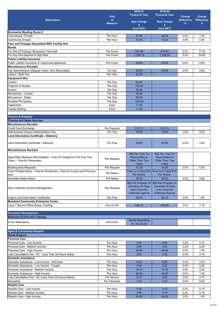|                                                                                                      | <b>Unit</b>                  | 2020-21<br><b>Financial Year</b>                                                              | 2019-20<br><b>Financial Year</b>                                                              | Charge            | Charge            |
|------------------------------------------------------------------------------------------------------|------------------------------|-----------------------------------------------------------------------------------------------|-----------------------------------------------------------------------------------------------|-------------------|-------------------|
| <b>Description</b>                                                                                   | of                           | <b>New Charge</b>                                                                             | <b>New Charge</b>                                                                             | <b>Difference</b> | <b>Difference</b> |
|                                                                                                      | <b>Measure</b>               | \$<br>(Incl GST)                                                                              | \$<br>(Incl GST)                                                                              | %                 | \$                |
| <b>Brunswick Meeting Room E</b>                                                                      |                              |                                                                                               |                                                                                               |                   |                   |
| Commercial / Private                                                                                 | Per Hour                     | 37.50                                                                                         | 36.05                                                                                         | 4.0%              | 1.45              |
| <b>Community Groups</b>                                                                              | Per Hour                     | 15.00                                                                                         | 14.45                                                                                         | 3.8%              | 0.55              |
| Fees and Charges Associated With Facility Hire                                                       |                              |                                                                                               |                                                                                               |                   |                   |
| <b>Bonds</b>                                                                                         |                              |                                                                                               |                                                                                               |                   |                   |
| For Hire Of Coburg / Brunswick Town Hall                                                             | Per Event                    | 597.05                                                                                        | 579.65                                                                                        | 3.0%              | 17.40             |
| For Any Hire Deemed A High Risk<br><b>Public Liability Insurance</b>                                 | Per Event                    | 1,194.15                                                                                      | 1,159.35                                                                                      | 3.0%              | 34.80             |
| Public Liability Insurance To Approved Applicants                                                    | Per Event                    | 29.85                                                                                         | 29.00                                                                                         | 2.9%              | 0.85              |
| <b>Miscellaneous Receipts</b>                                                                        |                              |                                                                                               |                                                                                               |                   |                   |
| Key Administration (Regular Users, Non Refundable)                                                   | Per Key                      | 29.80                                                                                         | 28.95                                                                                         | 2.9%              | 0.85              |
| Labour / Staff Fee                                                                                   | Per Hour                     | 60.00                                                                                         |                                                                                               |                   |                   |
| <b>Equipment Hire</b>                                                                                |                              |                                                                                               |                                                                                               |                   |                   |
| Lectern                                                                                              | Per Day                      | 50.00                                                                                         |                                                                                               |                   |                   |
| Projector & Screen                                                                                   | Per Day                      | 100.00                                                                                        |                                                                                               |                   |                   |
| Screen                                                                                               | Per Day                      | 50.00                                                                                         |                                                                                               |                   |                   |
| Microphone - Corded                                                                                  | Per Dav                      | 20.00                                                                                         |                                                                                               |                   |                   |
| Microphone - Radio<br>Portable PA System                                                             | Per Day                      | 80.00                                                                                         |                                                                                               |                   |                   |
| Tablecloths                                                                                          | Per Day<br>Each              | 100.00<br>11.00                                                                               |                                                                                               |                   |                   |
| <b>Trestle Skirting</b>                                                                              | Each                         | 11.00                                                                                         |                                                                                               |                   |                   |
|                                                                                                      |                              |                                                                                               |                                                                                               |                   |                   |
| <b>Finance &amp; Property</b>                                                                        |                              |                                                                                               |                                                                                               |                   |                   |
| <b>Finance and Rates Services</b>                                                                    |                              |                                                                                               |                                                                                               |                   |                   |
| <b>Miscellaneous Receipts</b>                                                                        |                              |                                                                                               |                                                                                               |                   |                   |
| <b>Credit Card Surcharge</b>                                                                         | Per Payment                  | 0.51%                                                                                         | 0.51%                                                                                         |                   |                   |
| Dishonoured Cheque Administration Fee                                                                | Per Chq                      | 16.90                                                                                         | 16.40                                                                                         | 3.0%              | 0.50              |
| Land Information Certificate - Statutory                                                             |                              |                                                                                               |                                                                                               |                   |                   |
| Land Information Certificate - Statutory                                                             | Per Prop                     | 26.95                                                                                         | 26.95                                                                                         | 0.0%              | 0.00              |
| <b>Miscellaneous Receipts</b>                                                                        |                              |                                                                                               |                                                                                               |                   |                   |
|                                                                                                      |                              | \$30 Per Year For                                                                             | \$30 Per Year For                                                                             |                   |                   |
| Aged Rates Balance Reconciliation - Free Of Charge For The First Two<br>Years. - Free for Pensioners | Per Request                  | Reconciliations<br><b>Older Than Two</b><br>Years                                             | <b>Reconciliations</b><br>Older Than Two<br>Years                                             |                   |                   |
| <b>Building Area Requests</b>                                                                        | Per Request                  | 10.30                                                                                         | 10.00                                                                                         | 3.0%              | 0.30              |
| Copy Of Rate Notice - Free for Pensioners - Free for Current and Previous                            | Per Notice                   |                                                                                               | Prior to 2 Years \$15   Prior to 2 Years \$15                                                 |                   |                   |
| vear                                                                                                 |                              | Per Notice.                                                                                   | Per Notice.                                                                                   |                   |                   |
| <b>Amended Rates Notice</b>                                                                          | Per Notice                   | 30.90                                                                                         | 30.00                                                                                         | 3.0%              | 0.90              |
| Debt Collection Account Management                                                                   | Per Request                  | \$60 Per Property Or<br><b>Schedule Of Fees</b><br>from Council's<br><b>Collection Agency</b> | \$60 Per Property Or<br><b>Schedule Of Fees</b><br>from Council's<br><b>Collection Agency</b> |                   |                   |
| <b>Urgent Land Information Certificates</b>                                                          | Per Prop                     | 55.75                                                                                         | 54.15                                                                                         | 3.0%              | 1.60              |
| <b>Moreland Community Enterprise Centre</b>                                                          |                              |                                                                                               |                                                                                               |                   |                   |
| Level 1 Secure Office Space- Existing                                                                | Per m <sub>2</sub> PA        | 246.10                                                                                        | 238.95                                                                                        | 3.0%              | 7.15              |
|                                                                                                      |                              |                                                                                               |                                                                                               |                   |                   |
| <b>Economic Development</b>                                                                          |                              |                                                                                               |                                                                                               |                   |                   |
| <b>Business Events and Training</b>                                                                  |                              |                                                                                               |                                                                                               |                   |                   |
| Event Attendance                                                                                     | Per Event                    | <b>Varies Depending</b><br>On The Event                                                       |                                                                                               |                   |                   |
| <b>Aged &amp; Community Support</b>                                                                  |                              |                                                                                               |                                                                                               |                   |                   |
| <b>Home Support</b>                                                                                  |                              |                                                                                               |                                                                                               |                   |                   |
| <b>Personal Care</b>                                                                                 |                              |                                                                                               |                                                                                               |                   |                   |
| Personal Care - Low Income                                                                           | Per Hour                     | 4.80                                                                                          | 4.65                                                                                          | 3.2%              | 0.15              |
| Personal Care - Medium Income                                                                        | Per Hour                     | 9.65                                                                                          | 9.35                                                                                          | 3.2%              | 0.30              |
| Personal Care - High Income                                                                          | Per Hour                     | 49.45                                                                                         | 48.00                                                                                         | 3.0%              | 1.45              |
| Late Cancellation Fee - PC - Less Than 24 Hours Notice                                               | Per Hour                     | 2.60                                                                                          | 2.50                                                                                          | 4.0%              | 0.10              |
| <b>Domestic Assistance</b>                                                                           |                              |                                                                                               |                                                                                               |                   |                   |
| Domestic Assistance - Low Income - Individual                                                        | Per Hour                     | 6.05                                                                                          | 5.85                                                                                          | 3.4%              | 0.20              |
| Domestic Assistance - Low Income - Couple                                                            | Per Hour                     | 6.40                                                                                          | 6.20                                                                                          | 3.2%              | 0.20              |
| Domestic Assistance - Medium Income                                                                  | Per Hour                     | 16.15                                                                                         | 15.70                                                                                         | 2.9%              | 0.45              |
| Domestic Assistance - High Income                                                                    | Per Hour                     | 49.45                                                                                         | 48.00                                                                                         | 3.0%              | 1.45              |
| Late Cancellation Fee - HC (Less Than 24 Hours Notice)<br>Kilometres                                 | Per Service<br>Per Kilometre | 5.15<br>0.30                                                                                  | 5.00<br>0.30                                                                                  | 3.0%<br>0.0%      | 0.15<br>0.00      |
| <b>Respite Care</b>                                                                                  |                              |                                                                                               |                                                                                               |                   |                   |
| Respite Care - Low Income                                                                            | Per Hour                     | 3.25                                                                                          | 3.15                                                                                          | 3.2%              | 0.10              |
| Respite Care - Medium Income                                                                         | Per Hour                     | 4.85                                                                                          | 4.70                                                                                          | 3.2%              | 0.15              |
| Respite Care - High Income                                                                           | Per Hour                     | 49.45                                                                                         | 48.00                                                                                         | 3.0%              | 1.45              |
|                                                                                                      |                              |                                                                                               |                                                                                               |                   |                   |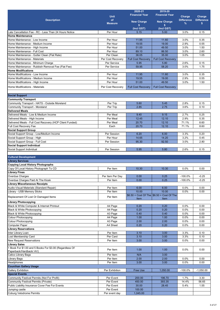|                                                                                   |                   | 2020-21                   | 2019-20                                           |                   |                   |
|-----------------------------------------------------------------------------------|-------------------|---------------------------|---------------------------------------------------|-------------------|-------------------|
|                                                                                   | <b>Unit</b>       | <b>Financial Year</b>     | <b>Financial Year</b>                             | Charge            | Charge            |
| <b>Description</b>                                                                | of                |                           |                                                   | <b>Difference</b> | <b>Difference</b> |
|                                                                                   | <b>Measure</b>    | <b>New Charge</b><br>\$   | <b>New Charge</b><br>\$                           | $\%$              | s                 |
|                                                                                   |                   | (Incl GST)                | (Incl GST)                                        |                   |                   |
| Late Cancellation Fee - RC - Less Than 24 Hours Notice                            | Per Hour          | 5.15                      | 5.00                                              | 3.0%              | 0.15              |
| <b>Home Maintenance</b>                                                           |                   |                           |                                                   |                   |                   |
| Home Maintenance - Low Income                                                     | Per Hour          | 11.95                     | 11.60                                             | 3.0%              | 0.35              |
| Home Maintenance - Medium Income                                                  | Per Hour          | 19.55                     | 19.00                                             | 2.9%              | 0.55              |
| Home Maintenance - High Income                                                    | Per Hour          | 51.00                     | 49.50                                             | 3.0%              | 1.50              |
| Home Maintenance - Full Cost                                                      | Per Hour          | 89.10                     | 86.50                                             | 3.0%              | 2.60              |
| Home Maintenance - Gutter Clean (Flat Rate)                                       | Per Clean         | 36.05                     | 35.00                                             | 3.0%              | 1.05              |
| Home Maintenance - Materials                                                      | Per Cost Recovery | <b>Full Cost Recovery</b> | <b>Full Cost Recoverv</b>                         |                   |                   |
| Home Maintenance - Minimum Charge                                                 | Per Service       | 5.95                      | 5.80                                              | 2.6%              | 0.15              |
| Home Maintenance - Rubbish Removal Fee (Flat Fee)                                 | Per Service       | 59.95                     | 58.20                                             | 3.0%              | 1.75              |
| <b>Home Modifications</b>                                                         |                   |                           |                                                   |                   |                   |
| Home Modifications - Low Income                                                   | Per Hour          | 11.95                     | 11.60                                             | 3.0%              | 0.35              |
|                                                                                   | Per Hour          | 19.55                     | 19.00                                             | 2.9%              | 0.55              |
| Home Modifications - Medium Income                                                |                   |                           |                                                   |                   |                   |
| Home Modifications - High Income                                                  | Per Hour          | 51.00                     | 49.50                                             | 3.0%              | 1.50              |
| Home Modifications - Materials                                                    | Per Cost Recovery | <b>Full Cost Recoverv</b> | <b>Full Cost Recovery</b>                         |                   |                   |
|                                                                                   |                   |                           |                                                   |                   |                   |
| <b>Social Support</b>                                                             |                   |                           |                                                   |                   |                   |
| <b>Community Transport</b>                                                        |                   |                           |                                                   |                   |                   |
| Community Transport - HATS - Outside Moreland                                     | Per Trip          | 5.60                      | 5.45                                              | 2.8%              | 0.15              |
| <b>Community Transport - Moreland</b>                                             | Per Trip          | 2.85                      | 2.75                                              | 3.6%              | 0.10              |
| <b>Delivered Meals</b>                                                            |                   |                           |                                                   |                   |                   |
| Delivered Meals - Low & Medium Income                                             | Per Meal          | 9.40                      | 9.15                                              | 2.7%              | 0.25              |
| Delivered Meals - High Income                                                     | Per Meal          | 12.45                     | 12.10                                             | 2.9%              | 0.35              |
| Delivered Meals - Full Cost Recovery (HCP Client Funded)                          | Per Meal          | 20.70                     | 12.10                                             | 71.1%             | 8.60              |
| Full Cost Recovery Fee                                                            | Each              | 20.70                     | 12.10                                             | 71.1%             | 8.60              |
| <b>Social Support Group</b>                                                       |                   |                           |                                                   |                   |                   |
| Social Support Group - Low/Medium Income                                          | Per Session       | 6.20                      | 6.00                                              | 3.3%              | 0.20              |
| Social Support Group - High                                                       | Per Hour          | 14.65                     | 14.20                                             | 3.2%              | 0.45              |
| Social Support Group - Full Cost                                                  | Per Session       | 95.30                     | 92.50                                             | 3.0%              | 2.80              |
| <b>Social Support Individual</b>                                                  |                   |                           |                                                   |                   |                   |
| Social Support Individual                                                         | Per Session       | 5.95                      | 5.80                                              | 2.6%              | 0.15              |
|                                                                                   |                   |                           |                                                   |                   |                   |
| <b>Cultural Development</b>                                                       |                   |                           |                                                   |                   |                   |
| <b>Library Services</b>                                                           |                   |                           |                                                   |                   |                   |
| <b>Copying Local History Photographs</b>                                          |                   |                           |                                                   |                   |                   |
| Copy Of Local History Photograph To CD                                            |                   | 10.30                     | 10.30                                             | 0.0%              | 0.00              |
|                                                                                   | Per Item          |                           |                                                   |                   |                   |
| <b>Library Fines</b>                                                              |                   |                           |                                                   |                   |                   |
| Overdue Charges                                                                   | Per Item Per Day  | 0.00                      | 0.25                                              | $-100.0%$         | $-0.25$           |
| Overdue Charges Paid At The Kiosk                                                 | Per Item          | 0.00                      | 0.25                                              | $-100.0%$         | $-0.25$           |
| <b>Library Miscellaneous Receipts</b>                                             |                   |                           |                                                   |                   |                   |
| Audio-Visual Materials (Standard Repair)                                          | Per Item          | 6.00                      | 6.00                                              | 0.0%              | 0.00              |
| Library - USB Memory Sticks                                                       | Per Item          | 10.00                     | 10.00                                             | 0.0%              | 0.00              |
| Replacement Of Lost Or Damaged Items                                              | Per Item          | Item                      | \$6.50 + Cost Of The \$6.50 + Cost Of The<br>Item |                   |                   |
| <b>Library Photocopying</b>                                                       |                   |                           |                                                   |                   |                   |
| Black & White Computer & Internet Printout                                        | A4 Page           | 0.20                      | 0.20                                              | 0.0%              | 0.00              |
|                                                                                   | A4 Page           | 0.20                      | 0.20                                              | 0.0%              | 0.00              |
| Black & White Photocopying<br>Black & White Photocopying                          | A3 Page           | 0.40                      | 0.40                                              | 0.0%              | 0.00              |
| <b>Colour Photocopying</b>                                                        | A4 Page           | 1.00                      | 1.00                                              | 0.0%              | 0.00              |
|                                                                                   |                   | 2.00                      | 2.00                                              | 0.0%              | 0.00              |
| <b>Colour Photocopying</b>                                                        | A3 Page           |                           |                                                   |                   |                   |
| <b>Computer Paper</b>                                                             | A4 Sheet          | 0.20                      | 0.20                                              | 0.0%              | 0.00              |
| <b>Library Reservations</b>                                                       |                   |                           |                                                   |                   |                   |
| Inter Library Loan                                                                | Per Item          | 3.10                      | 3.00                                              | 3.3%              | 0.10              |
| Lost Membership Card                                                              | Per Card          | 3.10                      | 3.00                                              | 3.3%              | 0.10              |
| <b>New Request Reservations</b>                                                   | Per Item          | 3.00                      | 3.00                                              | 0.0%              | 0.00              |
| <b>Library Sales</b>                                                              |                   |                           |                                                   |                   |                   |
| 1 Book For \$1.00 and 5 Books For \$3.00 (Regardless Of<br>Paperback/Hardback/AV) | Per Item          | 1.00                      | 1.00                                              | 0.0%              | 0.00              |
| Calico Library Bags                                                               | Per Item          | N/A                       | 3.00                                              |                   |                   |
| Library Bags                                                                      | Per Item          | 2.00                      | 2.00                                              | 0.0%              | 0.00              |
| Headphones                                                                        | Per Item          | 3.00                      | 3.00                                              | 0.0%              | 0.00              |
|                                                                                   |                   |                           |                                                   |                   |                   |
| <b>Counihan Gallery Usage</b>                                                     |                   |                           |                                                   |                   |                   |
| <b>Gallery Exhibition</b>                                                         | Per Exhibition    | <b>Free Use</b>           | 1,050.00                                          | -100.0%           | $-1,050.00$       |
| <b>Special Events</b>                                                             |                   |                           |                                                   |                   |                   |
| Community Festival Permits (Not For Profit)                                       | Per Event         | 200.00                    | 196.70                                            | 1.7%              | 3.30              |
| Community Festival Permits (Private)                                              | Per Event         | 450.00                    | 393.35                                            | 14.4%             | 56.65             |
| Public Liability Insurance Cover Fee For Events                                   | Per Event         | 30.00                     | 28.45                                             | 5.4%              | 1.55              |
| Jumping castle                                                                    | Per Event         | 100.00                    |                                                   |                   |                   |
| Coburg Velodrome Permits                                                          | Per event day     | 1,045.00                  |                                                   |                   |                   |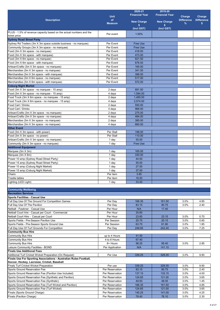|                                                                                         |                                    | 2020-21                   | 2019-20               |                   |                   |
|-----------------------------------------------------------------------------------------|------------------------------------|---------------------------|-----------------------|-------------------|-------------------|
|                                                                                         | <b>Unit</b>                        | <b>Financial Year</b>     | <b>Financial Year</b> | Charge            | Charge            |
| <b>Description</b>                                                                      | of                                 | <b>New Charge</b>         | <b>New Charge</b>     | <b>Difference</b> | <b>Difference</b> |
|                                                                                         | <b>Measure</b>                     | S                         | \$                    | %                 | s.                |
|                                                                                         |                                    | (Incl GST)                | (Incl GST)            |                   |                   |
| PLUS - 1.5% of revenue capacity based on the actual numbers and the                     | Per event                          | 1.50%                     |                       |                   |                   |
| ticket price                                                                            |                                    |                           |                       |                   |                   |
| <b>Sydney Road Street Party</b>                                                         |                                    |                           |                       |                   |                   |
| Sydney Rd Traders (3m X 3m space outside business - no marquee)                         | Per Event                          | <b>Free Use</b>           |                       |                   |                   |
| Community Groups (3m X 3m space - no marquee)                                           | Per Event<br>Per Event             | <b>Free Use</b><br>418.00 |                       |                   |                   |
| Food (3m X 3m space - no marquee)<br>Food (3m X 3m space - with marquee)                | Per Event                          | 473.00                    |                       |                   |                   |
| Food (3m X 6m space - no marquee)                                                       | Per Event                          | 621.50                    |                       |                   |                   |
| Food (3m X 6m space - with marquee)                                                     | Per Event                          | 676.50                    |                       |                   |                   |
| Artisan/Crafts (3m X 3m space - no marquee)                                             | Per Event                          | 165.00                    |                       |                   |                   |
| Merchandise (3m X 3m space - no marquee)                                                | Per Event                          | 341.00                    |                       |                   |                   |
| Merchandise (3m X 3m space - with marquee)                                              | Per Event                          | 396.00                    |                       |                   |                   |
| Merchandise (3m X 6m space - no marquee)                                                | Per Event                          | 517.00                    |                       |                   |                   |
| Merchandise (3m X 6m space - with marquee)                                              | Per Event                          | 572.00                    |                       |                   |                   |
| <b>Coburg Night Market</b>                                                              |                                    |                           |                       |                   |                   |
| Food (3m X 3m space - no marquee - 15 amp)                                              | $2$ days                           | 891.00                    |                       |                   |                   |
| Food (3m X 3m space - no marquee - 15 amp)                                              | 4 days                             | 1,584.00                  |                       |                   |                   |
| Food Truck (3m X 6m space - no marquee - 15 amp)                                        | 2 days                             | 1,485.00                  |                       |                   |                   |
| Food Truck (3m X 6m space - no marquee - 15 amp)                                        | 4 days                             | 2,574.00                  |                       |                   |                   |
| Food Cart / Drinks                                                                      | 2 days                             | 550.00                    |                       |                   |                   |
| Food Cart / Drinks                                                                      | 4 days                             | 968.00                    |                       |                   |                   |
| Artisan/Crafts (3m X 3m space - no marquee)                                             | 2 days                             | 275.00                    |                       |                   |                   |
| Artisan/Crafts (3m X 3m space - no marquee)<br>Merchandise (3m X 3m space - no marquee) | 4 days<br>2 days                   | 484.00<br>385.00          |                       |                   |                   |
| Merchandise (3m X 3m space - no marquee)                                                | 4 days                             | 660.00                    |                       |                   |                   |
| <b>Other Event</b>                                                                      |                                    |                           |                       |                   |                   |
| Food (3m X 3m space - with power)                                                       | Per Stall                          | 198.00                    |                       |                   |                   |
| Food (3m X 3m space - no power)                                                         | Per Stall                          | 110.00                    |                       |                   |                   |
| Artisan/Crafts (3m X 3m space - no marquee)                                             | 1 day                              | 55.00                     |                       |                   |                   |
| Community (3m X 3m space - no marquee)                                                  | 1 day                              | <b>Free Use</b>           |                       |                   |                   |
| <b>Additional Equipment</b>                                                             |                                    |                           |                       |                   |                   |
| Marquee (3m X 3m)                                                                       | 1 day                              | 165.00                    |                       |                   |                   |
| Marquee (3m X 6m)                                                                       | 1 day                              | 330.00                    |                       |                   |                   |
| Power 10 amp (Sydney Road Street Party)                                                 | 1 day                              | 44.00                     |                       |                   |                   |
| Power 15 amp (Sydney Road Street Party)                                                 | 1 day                              | 55.00                     |                       |                   |                   |
| Power 10 amp (Coburg Night Market)                                                      | 1 day                              | 27.50                     |                       |                   |                   |
| Power 15 amp (Coburg Night Market)                                                      | 1 day                              | 37.50                     |                       |                   |                   |
| Chairs                                                                                  | Per item                           | 3.85                      |                       |                   |                   |
| Trestle tables<br>Lighting (LED Light)                                                  | Per item<br>1 day                  | 16.50<br>33.00            |                       |                   |                   |
|                                                                                         |                                    |                           |                       |                   |                   |
| <b>Community Wellbeing</b>                                                              |                                    |                           |                       |                   |                   |
| <b>Recreation Services</b>                                                              |                                    |                           |                       |                   |                   |
| <b>Sports Facilities - Casual Use</b>                                                   |                                    |                           |                       |                   |                   |
| Full Day Use Of The Ground For Competition Games                                        | Per Day                            | 166.35                    | 161.50                | 3.0%              | 4.85              |
| Full Day Use Of The Pavilion                                                            | Per Day                            | 83.15                     | 80.75                 | 3.0%              | 2.40              |
| Netball - Fawkner - Casual Use                                                          | Per Hour                           | N/A                       | 17.40                 |                   |                   |
| Netball Court hire - Casual per Court - Commercial                                      | Per Hour                           | 35.85                     |                       |                   |                   |
| Netball Court Hire - Casual per Court                                                   | Per Hour                           | 23.85                     | 23.15                 | 3.0%              | 0.70              |
| Sports Fields - Pre-Season Pavilion Use                                                 | Per Session                        | 20.75                     | 20.15                 | 3.0%              | 0.60              |
| Sports Fields - Pre-Season Sports Ground Use                                            | Per Session                        | 63.75                     | 61.90                 | 3.0%              | 1.85              |
| Full Day Use Of Turf Grounds For Competition                                            | Per Day                            | 249.65                    | 242.40                | 3.0%              | 7.25              |
| <b>Community Bus Hire</b>                                                               |                                    |                           |                       |                   |                   |
| <b>Community Bus Hire</b>                                                               | up to 4 Hours                      | 41.50                     |                       |                   |                   |
| <b>Community Bus Hire</b><br><b>Community Bus Hire</b>                                  | 4 to 8 Hours<br>8+ Hours           | 67.40<br>98.25            | 95.40                 | 3.0%              | 2.85              |
| Leisure Community Facilities - BOND                                                     | Per Application                    | N/A                       | 141.10                |                   |                   |
| <b>Finals Use Additional Fees</b>                                                       |                                    |                           |                       |                   |                   |
| Additional Turf Cricket Wicket Preparation (On Request)                                 | Per Use                            | 339.25                    | 329.35                | 3.0%              | 9.90              |
| Finals Use For Sporting Associations - Australian Rules Football,                       |                                    |                           |                       |                   |                   |
| Soccer, Hockey, Lacrosse, Cricket, Baseball                                             |                                    |                           |                       |                   |                   |
| <b>Finals Turf Cricket Wicket Preparation</b>                                           | Per use                            | 339.25                    | 329.35                | 3.0%              | 9.90              |
| Sports Ground Reservation Fee                                                           | Per Reservation                    | 83.15                     | 80.75                 | 3.0%              | 2.40              |
| Sports Ground Reservation Fee (Pavilion Use Included)                                   | Per Reservation                    | 137.15                    | 133.15                | 3.0%              | 4.00              |
| Sports Ground Reservation Fee (Synthetic and Pavilion)                                  | Per Reservation                    | 124.65                    | 121.00                | 3.0%              | 3.65              |
| Sports Ground Reservation Fee (Synthetic)                                               | Per Reservation                    | 49.50                     | 48.05                 | 3.0%              | 1.45              |
| Sports Ground Reservation Fee (Turf Wicket and Pavilion)                                | Per Reservation                    | 166.35                    | 161.50                | 3.0%              | 4.85              |
| Sports Ground Reservation Fee (Turf Wicket)                                             | Per Reservation                    | 124.65                    | 121.00                | 3.0%              | 3.65              |
| Finals (Sports Ground Charge)<br>Finals (Pavilion Charge)                               | Per Reservation<br>Per Reservation | 145.25<br>78.40           | 141.00<br>76.10       | 3.0%<br>3.0%      | 4.25<br>2.30      |
|                                                                                         |                                    |                           |                       |                   |                   |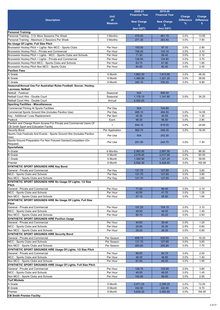|                                                                                                         |                      | 2020-21                 | 2019-20               |                   |                   |
|---------------------------------------------------------------------------------------------------------|----------------------|-------------------------|-----------------------|-------------------|-------------------|
|                                                                                                         | <b>Unit</b>          | <b>Financial Year</b>   | <b>Financial Year</b> | Charge            | Charge            |
| <b>Description</b>                                                                                      | of                   |                         | <b>New Charge</b>     | <b>Difference</b> | <b>Difference</b> |
|                                                                                                         | <b>Measure</b>       | <b>New Charge</b><br>\$ | \$                    | $\%$              | \$                |
|                                                                                                         |                      | (Incl GST)              | (Incl GST)            |                   |                   |
| <b>Personal Training</b>                                                                                |                      |                         |                       |                   |                   |
| Personal Training - 3 Or More Sessions Per Week                                                         | 3 Months             | 475.00                  | 461.15                | 3.0%              | 13.85             |
| Personal Training - Maximum 2 Sessions Per Week                                                         | 3 Months             | 271.35                  | 263.45                | 3.0%              | 7.90              |
| No Usage Of Lights. Full Size Pitch                                                                     |                      |                         |                       |                   |                   |
| Brunswick Hockey Pitch + Lights- Non MCC - Sports Clubs                                                 | Per Hour             | 100.00                  | 97.10                 | 3.0%              | 2.90              |
| Brunswick Hockey Pitch - Private and Commercial                                                         | Per Hour             | 106.20                  | 103.10                | 3.0%              | 3.10              |
| Brunswick Hockey Pitch + Lights - MCC - Sports Clubs and Schools                                        | Per Hour             | 71.50                   | 69.40                 | 3.0%              | 2.10              |
| Brunswick Hockey Pitch + Lights - Private and Commercial                                                | Per Hour             | 128.55                  | 124.80                | 3.0%              | 3.75              |
| Brunswick Hockey Pitch MCC - Sports Clubs and Schools                                                   | Per Hour             | 63.75                   | 61.90                 | 3.0%              | 1.85              |
| Brunswick Hockey Pitch Non MCC - Sports Clubs                                                           | Per Hour             | 84.90                   | 82.45                 | 3.0%              | 2.45              |
| <b>Pavilion Fees</b>                                                                                    |                      |                         |                       |                   |                   |
| A Grade                                                                                                 | 6 Month              | 1,662.30                | 1,613.90              | 3.0%              | 48.40             |
| <b>B</b> Grade                                                                                          | 6 Month              | 1,360.90                | 1,321.25              | 3.0%              | 39.65             |
| C Grade                                                                                                 | 6 Month              | 340.15                  | 330.25                | 3.0%              | 9.90              |
| Seasonal/Annual Use For Australian Rules Football, Soccer, Hockey,                                      |                      |                         |                       |                   |                   |
| Lacrosse, Netball                                                                                       |                      |                         |                       |                   |                   |
| Netball - Fawkner                                                                                       | Seasonal             | N/A                     | 856.40                |                   |                   |
| Netball Court Hire - Double Court                                                                       | Seasonal             | 1,176.10                | 1,141.85              | 3.0%              | 34.25             |
| Netball Court Hire - Double Court                                                                       | Annual               | 2,352.20                |                       |                   |                   |
| <b>Sporting Facilities - Miscellaneous</b>                                                              |                      |                         | 724.60                |                   |                   |
| <b>Commercial Filming At Sports Facilities</b><br>Commercial Sports Ground Hire (Includes Pavilion Use) | Per Day<br>Per Day   | N/A<br>499.10           | 484.55                | 3.0%              | 14.55             |
|                                                                                                         |                      |                         |                       |                   |                   |
| Key - Additional / Loss Replacement                                                                     | Per Item             | 45.35<br>98.35          | 44.05                 | 3.0%              | 1.30              |
| Padlock<br>Pavilion and Change Room Access For Private and Commercial Users Of                          | Each                 |                         | 95.50                 | 3.0%              | 2.85              |
| CB Smith Sport and Education Facility                                                                   | 1                    | 844.10                  | 819.50                | 3.0%              | 24.60             |
| <b>Security Bond</b>                                                                                    | Per Application      | 562.75                  | 546.35                | 3.0%              | 16.40             |
| Sports Club Festivals And Events - Sports Ground Hire (Includes Pavilion                                |                      |                         |                       |                   |                   |
| Use)                                                                                                    | Per Use              | N/A                     | 242.30                |                   |                   |
| Sports Ground Preparation For Non Fixtured Games/Competition (On                                        | Per Use              | 251.00                  | 243.70                | 3.0%              | 7.30              |
| Request)                                                                                                |                      |                         |                       |                   |                   |
| <b>Sportsfields</b><br>A Grade                                                                          | 6 Months             | 2,983.90                | 2,897.00              | 3.0%              | 86.90             |
| <b>B</b> Grade                                                                                          | 6 Month              | 2,078.45                | 2,017.90              | 3.0%              | 60.55             |
| C Grade                                                                                                 | 6 Month              | 1,360.90                | 1,321.25              | 3.0%              | 39.65             |
| Premier                                                                                                 | 6 Month              | 5,592.30                | 5,429.40              | 3.0%              | 162.90            |
| SYNTHETIC SPORT GROUNDS HIRE Key Bond                                                                   |                      |                         |                       |                   |                   |
| General - Private and Commercial                                                                        | Per Key              | 131.70                  | 127.85                | 3.0%              | 3.85              |
| MCC - Sports Clubs and Schools                                                                          | Per Key              | 131.70                  | 127.85                | 3.0%              | 3.85              |
| Non MCC - Sports Clubs and Schools                                                                      | Per Key              | 131.70                  | 127.85                | 3.0%              | 3.85              |
| SYNTHETIC SPORT GROUNDS HIRE No Usage Of Lights, 1/2 Size                                               |                      |                         |                       |                   |                   |
| Pitch                                                                                                   |                      |                         |                       |                   |                   |
| General - Private and Commercial                                                                        | Per Hour             | 71.50                   | 69.40                 | 3.0%              | 2.10              |
| MCC - Sports Clubs and Schools                                                                          | Per Hour             | 42.95                   | 41.70                 | 3.0%              | 1.25              |
| Non MCC - Sports Clubs and Schools                                                                      | Per Hour             | 57.15                   | 55.50                 | 3.0%              | 1.65              |
| SYNTHETIC SPORT GROUNDS HIRE No Usage Of Lights, Full Size                                              |                      |                         |                       |                   |                   |
| <b>Pitch</b>                                                                                            |                      |                         |                       |                   |                   |
| General - Private and Commercial                                                                        | Per Hour             | 107.25                  | 104.15                | 3.0%              | 3.10              |
| MCC - Sports Clubs and Schools                                                                          | Per Hour             | 49.50                   | 48.05                 | 3.0%              | 1.45              |
| Non MCC - Sports Clubs and Schools                                                                      | Per Hour             | 85.70                   | 83.20                 | 3.0%              | 2.50              |
| <b>SYNTHETIC SPORT GROUNDS HIRE Pavilion Usage</b>                                                      |                      |                         |                       |                   |                   |
| General - Private and Commercial                                                                        | Per Hour             | 40.60                   | 39.40                 | 3.0%              | 1.20              |
| MCC - Sports Clubs and Schools                                                                          | Per Hour             | 20.95                   | 20.35                 | 2.9%              | 0.60              |
| Non MCC - Sports Clubs and Schools                                                                      | Per Hour             | 29.20                   | 28.35                 | 3.0%              | 0.85              |
| <b>SYNTHETIC SPORT GROUNDS HIRE Security Bond</b>                                                       |                      |                         |                       |                   |                   |
| General - Private and Commercial                                                                        | Per Season           | 658.75                  | 639.55                | 3.0%              | 19.20             |
| MCC - Sports Clubs and Schools                                                                          | Per Season           | 131.70                  | 127.85                | 3.0%              | 3.85              |
| Non MCC - Sports Clubs and Schools                                                                      | Per Season           | 263.60                  | 255.90                | 3.0%              | 7.70              |
| SYNTHETIC SPORT GROUNDS HIRE Usage Of Lights, 1/2 Size Pitch                                            |                      |                         |                       |                   |                   |
| General - Private and Commercial                                                                        | Per Hour             | 86.65                   | 84.15                 | 3.0%              | 2.50              |
| MCC - Sports Clubs and Schools                                                                          | Per Hour             | 48.25                   | 46.85                 | 3.0%              | 1.40              |
| Non MCC - Sports Clubs and Schools                                                                      | Per Hour             | 67.45                   | 65.50                 | 3.0%              | 1.95              |
| SYNTHETIC SPORT GROUNDS HIRE Usage Of Lights, Full Size Pitch<br>General - Private and Commercial       |                      |                         |                       |                   |                   |
|                                                                                                         | Per Hour             | 129.75                  | 125.95                | 3.0%              | 3.80              |
| MCC - Sports Clubs and Schools<br>Non MCC - Sports Clubs and Schools                                    | Per Hour<br>Per Hour | 49.50<br>100.95         | 48.05<br>98.00        | 3.0%<br>3.0%      | 1.45<br>2.95      |
|                                                                                                         |                      |                         |                       |                   |                   |
| <b>Turf Wickets</b><br>A Grade                                                                          | 6 Month              | 2,471.25                | 2,399.25              |                   |                   |
| <b>B</b> Grade                                                                                          | 6 Month              | 332.50                  | 322.80                | 3.0%<br>3.0%      | 72.00<br>9.70     |
| Premier                                                                                                 | 6 Month              | 5,648.30                | 5,483.80              | 3.0%              | 164.50            |
| <b>CB Smith Premier Facility</b>                                                                        |                      |                         |                       |                   |                   |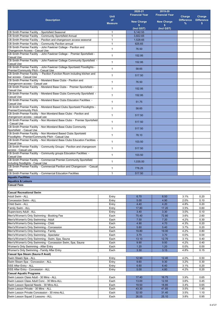|                                                                                                                       | <b>Unit</b>          | 2020-21<br><b>Financial Year</b> | 2019-20<br><b>Financial Year</b> | Charge                 | Charge                 |
|-----------------------------------------------------------------------------------------------------------------------|----------------------|----------------------------------|----------------------------------|------------------------|------------------------|
| <b>Description</b>                                                                                                    | of<br><b>Measure</b> | <b>New Charge</b>                | <b>New Charge</b>                | <b>Difference</b><br>% | <b>Difference</b><br>s |
|                                                                                                                       |                      | \$<br>(Incl GST)                 | \$.<br>(Incl GST)                |                        |                        |
| CB Smith Premier Facility - Sportsfield Seasonal                                                                      | $\mathbf{1}$         | 5,142.55                         |                                  |                        |                        |
| CB Smith Premier Facility - Community Sportsfield Annual                                                              | $\mathbf{1}$         | 3,822.65                         |                                  |                        |                        |
| CB Smith Premier Facility - Pavilion and changeroom access seasonal                                                   | $\mathbf{1}$         | 1,528.65                         |                                  |                        |                        |
| CB Smith Premier Facility - Community Pavilion annual                                                                 | $\mathbf{1}$         | 625.65                           |                                  |                        |                        |
| CB Smith Premier Facility - John Fawkner College - Pavilion and<br>Changeroom Access - Casual Use                     | $\mathbf{1}$         | 76.50                            |                                  |                        |                        |
| CB Smith Premier Facility - John Fawkner College - Premier Sportsfield -<br><b>Casual Use</b>                         | $\mathbf{1}$         | 152.95                           |                                  |                        |                        |
| CB Smith Premier Facility - John Fawkner College Community Sportsfield<br><b>Casual Use</b>                           | $\mathbf{1}$         | 152.95                           |                                  |                        |                        |
| CB Smith Premier Facility - John Fawkner College Sportsield Floodlights -<br>Premier/Community Pitch - Casual Use     | $\mathbf{1}$         | 58.65                            |                                  |                        |                        |
| CB Smith Premier Facility - Pavilion Function Room including kitchen and<br>bar access - Casual Use                   | $\mathbf{1}$         | 517.50                           |                                  |                        |                        |
| CB Smith Premier Facility - Moreland Base Clubs - Pavilion and<br>changeroom access - Casual use                      | $\mathbf{1}$         | 76.50                            |                                  |                        |                        |
| CB Smith Premier Facility - Moreland Base Clubs - Premier Sportsfield -<br><b>Casual Use</b>                          | $\mathbf{1}$         | 152.95                           |                                  |                        |                        |
| CB Smith Premier Facility - Moreland Base Clubs Community Sportsfield -<br><b>Casual Use</b>                          | $\mathbf{1}$         | 152.95                           |                                  |                        |                        |
| CB Smith Premier Facility - Moreland Base Clubs Education Facilities -<br><b>Casual Use</b>                           | $\mathbf{1}$         | 51.75                            |                                  |                        |                        |
| CB Smith Premier Facility - Moreland Based Clubs Sportsield Floodlights -<br>Premier/Community Pitch                  | $\mathbf{1}$         | 58.65                            |                                  |                        |                        |
| CB Smith Premier Facility - Non Moreland Base Clubs - Pavilion and<br>changeroom access - casual use                  | $\mathbf{1}$         | 517.50                           |                                  |                        |                        |
| CB Smith Premier Facility - Non Moreland Base Clubs - Premier Sportsfield<br>- Casual Use                             | $\mathbf{1}$         | 517.50                           |                                  |                        |                        |
| CB Smith Premier Facility - Non Moreland Base Clubs Community<br>Sportsfield - Casual Use                             | $\mathbf{1}$         | 517.50                           |                                  |                        |                        |
| CB Smith Premier Facility - Non Moreland Based Clubs Sportsield<br>Floodlights - Premier/Community Pitch - Casual Use | $\mathbf{1}$         | 78.10                            |                                  |                        |                        |
| CB Smith Premier Facility - Non Moreland Base Clubs Education Facilities<br><b>Casual Use</b>                         | $\mathbf{1}$         | 103.50                           |                                  |                        |                        |
| CB Smith Premier Facility - Community Groups - Pavilion and changeroom<br>access - Casual use                         | $\mathbf{1}$         | 517.50                           |                                  |                        |                        |
| CB Smith Premier Facility - Community groups Education Facilities -<br><b>Casual Use</b>                              | $\mathbf{1}$         | 103.50                           |                                  |                        |                        |
| CB Smith Premier Facility - Commercial Premier Community Sportsfield<br>including floodlights - Casual Use            | $\mathbf{1}$         | 1,035.00                         |                                  |                        |                        |
| CB Smith Premier Facility - Commercial Pavilion and Changeroom - Casual<br>Use                                        | 1                    | 776.25                           |                                  |                        |                        |
| CB Smith Premier Facility - Commercial Education Facilities<br><b>Aquatic Facilities</b>                              | $\mathbf{1}$         | 517.50                           |                                  |                        |                        |
| <b>Aquatics &amp; Leisure</b>                                                                                         |                      |                                  |                                  |                        |                        |
| <b>Casual Fees</b>                                                                                                    |                      |                                  |                                  |                        |                        |
|                                                                                                                       |                      |                                  |                                  |                        |                        |
| <b>Casual Recreational Swim</b>                                                                                       |                      |                                  |                                  |                        |                        |
| Adult Swim - ALL                                                                                                      | Entry                | 6.70                             | 6.50                             | 3.1%                   | 0.20                   |
| Concession Swim - ALL<br>Child Swim - ALL                                                                             | Entry                | 5.00<br>4.40                     | 4.90<br>4.20                     | 2.0%<br>4.8%           | 0.10<br>0.20           |
| Family Swim - ALL                                                                                                     | Entry<br>Entry       | 17.80                            | 17.20                            | 3.5%                   | 0.60                   |
| Supervisory Adult - ALL                                                                                               | Entry                | 3.40                             | 3.30                             | 3.0%                   | 0.10                   |
| Men's/Women's Only Swimming - Booking Fee                                                                             | Each                 | 75.40                            | 72.80                            | 3.6%                   | 2.60                   |
| Men's/Women's Only Swimming - Adult                                                                                   | Each                 | 7.50                             | 7.20                             | 4.2%                   | 0.30                   |
| Men's/Women's Only Swimming - Child                                                                                   | Each                 | 4.90                             | 4.70                             | 4.3%                   | 0.20                   |
| Men's/Women's Only Swimming - Concession                                                                              | Each                 | 5.60                             | 5.40                             | 3.7%                   | 0.20                   |
| Men's/Women's Only Swimming - Family                                                                                  | Each                 | 19.80                            | 19.00                            | 4.2%                   | 0.80                   |
| Men's/Women's Only Swimming - Spectator                                                                               | Each                 | 3.70                             | 3.70                             | 0.0%                   | 0.00                   |
| Men's/Women's Only Swimming - Swim, Spa, Sauna                                                                        | Each                 | 13.10                            | 12.70                            | 3.1%                   | 0.40                   |
| Men's/Women's Only Swimming - Concession Swim, Spa, Sauna                                                             | Each                 | 9.90                             | 9.50                             | 4.2%                   | 0.40                   |
| Women's Only Swimming - After Entry                                                                                   | Each                 | 1.20                             | 1.20                             | 0.0%                   | 0.00                   |
| Women's Only Swimming - Family After Entry                                                                            | Each                 | 3.30                             | 3.15                             | 4.8%                   | 0.15                   |
| Casual Spa Steam (Sauna If Avail)<br>Swim Steam Spa - ALL                                                             | Entry                | 12.90                            | 12.40                            | 4.0%                   | 0.50                   |
| Swim Steam Spa - Concession - ALL                                                                                     | Entry                | 9.60                             | 9.30                             | 3.2%                   | 0.30                   |
| <b>SSS After Entry - ALL</b>                                                                                          | Entry                | 6.60                             | 6.40                             | 3.1%                   | 0.20                   |
| SSS After Entry - Concession - ALL                                                                                    | Entry                | 5.00                             | 4.80                             | 4.2%                   | 0.20                   |
| <b>Casual Aquatic Programs</b>                                                                                        |                      |                                  |                                  |                        |                        |
| Swim Lesson Class Adult - 30 Mins - ALL                                                                               | Each                 | 17.40                            | 16.75                            | 3.9%                   | 0.65                   |
| Swim Lesson Class Adult Conc - 30 Mins-ALL                                                                            | Each                 | 13.00                            | 12.55                            | 3.6%                   | 0.45                   |
| Swim Lesson Special Needs - 30 Mins-ALL                                                                               | Each                 | 19.50                            | 18.85                            | 3.4%                   | 0.65                   |
| Swim Lesson Private - 30 Mins - ALL                                                                                   | Each                 | 43.30                            | 41.85                            | 3.5%                   | 1.45                   |
| Swim Lesson Private Concession - 30 mins-ALL                                                                          | Each                 | 32.50                            | 31.40                            | 3.5%                   | 1.10                   |
| Swim Lesson Squad 2 Lessons - ALL                                                                                     | Each                 | 26.05                            | 25.10                            | 3.8%                   | 0.95                   |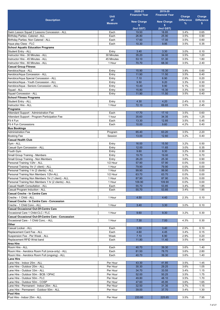|                                                                    |                | 2020-21               | 2019-20               |                   |                   |
|--------------------------------------------------------------------|----------------|-----------------------|-----------------------|-------------------|-------------------|
|                                                                    | <b>Unit</b>    | <b>Financial Year</b> | <b>Financial Year</b> | Charge            | Charge            |
| <b>Description</b>                                                 | of             | <b>New Charge</b>     | <b>New Charge</b>     | <b>Difference</b> | <b>Difference</b> |
|                                                                    | <b>Measure</b> | \$                    | s.                    | %                 | \$                |
|                                                                    |                | (Incl GST)            | (Incl GST)            |                   |                   |
| Swim Lesson Squad 2 Lessons Concession - ALL                       | Each           | 19.50                 | 18.85                 | 3.4%              | 0.65              |
| Birthday Parties - Catered - ALL                                   | Each           | 26.80                 | 25.90                 | 3.5%              | 0.90              |
| Birthday Parties- Non Catered - ALL                                | Each           | 17.60                 | 17.00                 | 3.5%              | 0.60              |
| Aqua play Class - FLC<br><b>School Aquatic Education Programs</b>  | Each           | 10.30                 | 9.95                  | 3.5%              | 0.35              |
| Student Entry - ALL                                                | Entry          | 3.40                  | 3.30                  | 3.0%              | 0.10              |
| Instructor Hire - 30 Minutes - ALL                                 | 30 Minutes     | 35.20                 | 34.00                 | 3.5%              | 1.20              |
| Instructor Hire - 45 Minutes - ALL                                 | 45 Minutes     | 53.10                 | 51.30                 | 3.5%              | 1.80              |
| Instructor Hire - 60 Minutes - ALL                                 | 1 Hour         | 70.70                 | 68.30                 | 3.5%              | 2.40              |
| <b>Casual Group Fitness</b>                                        |                |                       |                       |                   |                   |
| Aerobics/Aqua - ALL                                                | Entry          | 15.90                 | 15.30                 | 3.9%              | 0.60              |
| Aerobics/Aqua Concession - ALL                                     | Entry          | 11.90                 | 11.50                 | 3.5%              | 0.40              |
| Aerobics/Aqua Special Concession - ALL                             | Entry          | 7.10                  | 6.90                  | 2.9%              | 0.20              |
| Aerobics/Agua - Youth Concession - ALL                             | Entry          | 9.50                  | 9.20                  | 3.3%              | 0.30              |
| Aerobics/Aqua - Seniors Concession - ALL                           | Entry          | 10.40                 | 9.90                  | 5.1%              | 0.50              |
| Squad - ALL                                                        | Entry          | 15.80                 | 15.30                 | 3.3%              | 0.50              |
| Squad Concession - ALL                                             | Entry          | 11.90                 | 11.50                 | 3.5%              | 0.40              |
| <b>School Fitness Programs</b>                                     |                |                       |                       |                   |                   |
| Student Entry - ALL                                                | Entry          | 4.30                  | 4.20                  | 2.4%              | 0.10              |
| Instructor Hire - ALL                                              | 1 Hour         | 72.10                 | 69.65                 | 3.5%              | 2.45              |
| <b>Programs</b>                                                    |                |                       |                       |                   |                   |
| Attendant Support - Administration Fee                             | Each           | 17.70                 | 17.10                 | 3.5%              | 0.60              |
| Attendant Support - Program Participation Fee                      | 1 hour         | 35.60                 | 34.35                 | 3.6%              | 1.25              |
| Fit 4 Fun<br>Fit 4 Fun Concessions                                 | Each<br>Each   | 13.30<br>10.00        | 12.85<br>9.60         | 3.5%<br>4.2%      | 0.45<br>0.40      |
| <b>Bus Bookings</b>                                                |                |                       |                       |                   |                   |
| <b>Administration Fee</b>                                          | Program        | 65.40                 | 63.20                 | 3.5%              | 2.20              |
| <b>Booking Fee</b>                                                 | Session        | 13.00                 | 12.60                 | 3.2%              | 0.40              |
| <b>Casual Health Club</b>                                          |                |                       |                       |                   |                   |
| Gym - ALL                                                          | Entry          | 16.00                 | 15.50                 | 3.2%              | 0.50              |
| Casual Gym Concession - ALL                                        | Entry          | 12.00                 | 11.65                 | 3.0%              | 0.35              |
| Youth Gym                                                          | Entry          | 9.60                  | 9.30                  | 3.2%              | 0.30              |
| <b>Small Group Training - Members</b>                              | Entry          | 19.70                 | 19.00                 | 3.7%              | 0.70              |
| Small Group Training - Non Members                                 | Entry          | 26.20                 | 25.30                 | 3.6%              | 0.90              |
| Personal Training 1/2hr - ALL                                      | 1/2 Hour       | 57.90                 | 57.90                 | 0.0%              | 0.00              |
| Personal Training 1hr (1 client) - ALL                             | 1 Hour         | 79.90                 | 79.90                 | 0.0%              | 0.00              |
| Personal Training 1 hr (2 clients) - ALL                           | 1 Hour         | 99.90                 | 99.90                 | 0.0%              | 0.00              |
| Personal Training Non Members 1/2hr-ALL                            | 1/2 Hour       | 63.70                 | 63.70                 | 0.0%              | 0.00              |
| Personal Training Non Members 1hr (1 client) - ALL                 | 1 Hour         | 87.90                 | 87.90                 | $0.0\%$           | 0.00              |
| Personal Training Non Members 1 hr (2 clients) - ALL               | 1 Hour         | 109.90                | 109.90                | 0.0%              | 0.00              |
| Casual Health Consultation - ALL<br>Casual Program Induction - ALL | Each<br>Each   | 55.70<br>55.70        | 53.85                 | 3.4%<br>3.4%      | 1.85<br>1.85      |
| <b>Casual Creche - In Centre Care</b>                              |                |                       | 53.85                 |                   |                   |
| Creche - 1 Child - ALL                                             | 1 Hour         | 4.50                  | 4.40                  | 2.3%              | 0.10              |
| Casual Creche - In Centre Care - Concession                        |                |                       |                       |                   |                   |
| Creche - 1 Child Conc.- ALL                                        | 1 Hour         | 3.40                  | 3.30                  | 3.0%              | 0.10              |
| <b>Casual Occasional Out-Of-Centre Care</b>                        |                |                       |                       |                   |                   |
| Occasional Care 1 Child-CLC / FLC                                  | 1 Hour         | 9.60                  | 9.30                  | 3.2%              | 0.30              |
| <b>Casual Occasional Out-Of-Centre Care - Concession</b>           |                |                       |                       |                   |                   |
| Occasional Care - 1 Child Conc. - ALL                              | 1 Hour         | 7.30                  | 7.00                  | 4.3%              | 0.30              |
| Other                                                              |                |                       |                       |                   |                   |
| Casual Locker - ALL                                                | Each           | 3.50                  | 3.40                  | 2.9%              | 0.10              |
| Replacement Card Fee - ALL                                         | Each           | 4.60                  | 4.45                  | 3.4%              | 0.15              |
| Suspension Fee - Per Week - ALL                                    | Week           | 7.10                  | 6.90                  | 2.9%              | 0.20              |
| Replacement RFID Wrist band                                        | Each           | 11.80                 | 11.40                 | 3.5%              | 0.40              |
| Area Hire                                                          |                |                       |                       |                   |                   |
| Room Hire - ALL                                                    | Each           | 40.70                 | 39.30                 | 3.6%              | 1.40              |
| Room Hire - Aerobics Room Full (once-only) - ALL                   | Each           | 81.50                 | 78.70                 | 3.6%<br>3.6%      | 2.80              |
| Room Hire - Aerobics Room Full (ongoing) - ALL                     | Each           | 40.70                 | 39.30                 |                   | 1.40              |
| <b>Lane Hire</b><br>Lane Hire - Indoor 25m - ALL                   | Per Hour       | 43.30                 | 41.85                 | 3.5%              | 1.45              |
| Lane Hire - Outdoor 20m - ALL                                      | Per Hour       | 30.30                 | 29.25                 | 3.6%              | 1.05              |
| Lane Hire - Outdoor 33m - ALL                                      | Per Hour       | 34.70                 | 33.55                 | 3.4%              | 1.15              |
| Lane Hire - Outdoor 50m - BCB / OPAC                               | Per Hour       | 52.00                 | 50.25                 | 3.5%              | 1.75              |
| Lane Hire - Outdoor 50m - FLC                                      | Per Hour       | 49.80                 | 48.10                 | 3.5%              | 1.70              |
| Lane Hire - Outdoor 50m - COSP                                     | Per Hour       | 47.60                 | 45.95                 | 3.6%              | 1.65              |
| Lane Hire - Permanent - Indoor 25m - ALL                           | Per Hour       | 32.50                 | 31.35                 | 3.7%              | 1.15              |
| Lane Hire - Permanent - Outdoor 50m - ALL                          | Per Hour       | 39.00                 | 37.70                 | 3.4%              | 1.30              |
| Pool Hire                                                          |                |                       |                       |                   |                   |
| Pool Hire - Indoor 25m - ALL                                       | Per Hour       | 233.60                | 225.65                | 3.5%              | 7.95              |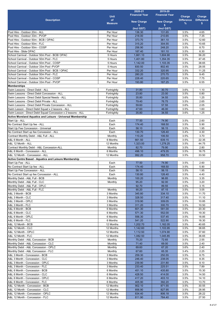|                                                                                            |                      | 2020-21               | 2019-20               |                   |                   |
|--------------------------------------------------------------------------------------------|----------------------|-----------------------|-----------------------|-------------------|-------------------|
|                                                                                            | <b>Unit</b>          | <b>Financial Year</b> | <b>Financial Year</b> | Charge            | Charge            |
| <b>Description</b>                                                                         | of                   | <b>New Charge</b>     | <b>New Charge</b>     | <b>Difference</b> | <b>Difference</b> |
|                                                                                            | <b>Measure</b>       | s                     | s                     | $\%$              | s                 |
|                                                                                            |                      | (Incl GST)            | (Incl GST)            |                   |                   |
| Pool Hire - Outdoor 20m - ALL                                                              | Per Hour             | 136.30                | 131.65                | 3.5%              | 4.65              |
| Pool Hire - Outdoor 33m - PVOP                                                             | Per Hour             | 218.00                | 210.65                | 3.5%              | 7.35              |
| Pool Hire - Outdoor 50m - BCB / OPAC                                                       | Per Hour             | 373.70                | 361.10                | 3.5%              | 12.60             |
| Pool Hire - Outdoor 50m - FLC                                                              | Per Hour             | 315.20                | 304.55                | 3.5%              | 10.65             |
| Pool Hire - Outdoor 50m - COSP                                                             | Per Hour             | 256.90                | 248.20                | 3.5%              | 8.70              |
| Pool Hire - Slide OPAC                                                                     | Per Hour             | 187.40                | 181.10                | 3.5%              | 6.30              |
| School Carnival - Outdoor 50m Pool - BCB/ OPAC<br>School Carnival - Outdoor 50m Pool - FLC | 5 Hours              | 1,661.10<br>1.401.80  | 1,604.90              | 3.5%              | 56.20             |
| School Carnival - Outdoor 50m Pool - COSP                                                  | 5 Hours<br>5 Hours   | 1,142.00              | 1,354.35<br>1,103.35  | 3.5%<br>3.5%      | 47.45<br>38.65    |
| School Carnival - Outdoor 33m Pool -PVOP                                                   | 5 Hours              | 830.50                | 802.45                | 3.5%              | 28.05             |
| School Carnival - Outdoor 50m Pool - BCB / OPAC                                            | Per Hour             | 332.20                | 320.95                | 3.5%              | 11.25             |
| School Carnival - Outdoor 50m Pool - FLC                                                   | Per Hour             | 280.20                | 270.75                | 3.5%              | 9.45              |
| School Carnival - Outdoor 50m Pool - COSP                                                  | Per Hour             | 228.40                | 220.65                | 3.5%              | 7.75              |
| School Carnival - Outdoor 33m Pool - PVOP                                                  | Per Hour             | 193.80                | 187.25                | 3.5%              | 6.55              |
| <b>Memberships</b>                                                                         |                      |                       |                       |                   |                   |
| Swim Lessons - Direct Debit - ALL                                                          | Fortnightly          | 31.80                 | 30.70                 | 3.6%              | 1.10              |
| Swim Lessons - Direct Debit Concession - ALL                                               | Fortnightly          | 23.80                 | 23.00                 | 3.5%              | 0.80              |
| Swim Lessons - Direct Debit Special Needs - ALL                                            | Fortnightly          | 35.80                 | 34.55                 | 3.6%              | 1.25              |
| Swim Lessons - Direct Debit Private - ALL                                                  | Fortnightly          | 79.40                 | 76.75                 | 3.5%              | 2.65              |
| Swim Lessons - Direct Debit Private Concession - ALL                                       | Fortnightly          | 59.60                 | 57.55                 | 3.6%              | 2.05              |
| Swim Lesson - Direct Debit Squad x 2 lessons - ALL                                         | Fortnightly          | 47.60                 | 46.00                 | 3.5%              | 1.60              |
| Swim Lesson - Direct Debit Squad Concession x 2 lessons - ALL                              | Fortnightly          | 35.80                 | 34.55                 | 3.6%              | 1.25              |
| <b>Active Moreland Aquatics and Leisure - Universal Membership</b>                         |                      |                       |                       |                   |                   |
| Start Up - ALL                                                                             | Each                 | 77.50                 | 74.90                 | 3.5%              | 2.60              |
| No Contract Start Up fee - ALL                                                             | Each                 | 174.40                | 168.50                | 3.5%              | 5.90              |
| Start Up Fee Concession - Universal                                                        | Each                 | 58.10                 | 56.15                 | 3.5%              | 1.95              |
| No Contract Start up fee Concession - ALL<br>Contract Monthly Debit - A&L Full - ALL       | Each<br>Monthly      | 130.70<br>110.20      | 126.40<br>106.50      | 3.4%<br>3.5%      | 4.30<br>3.70      |
| A&L 6 Month - ALL                                                                          | 6 Months             | 661.50                | 639.15                | 3.5%              | 22.35             |
| A&L 12 Month - ALL                                                                         | 12 Months            | 1,323.00              | 1,278.25              | 3.5%              | 44.75             |
| Contract Monthly Debit - A&L Concession-ALL                                                | Monthly              | 82.70                 | 79.90                 | 3.5%              | 2.80              |
| A&L 6 Month - Concession - ALL                                                             | 6 Months             | 496.10                | 479.35                | 3.5%              | 16.75             |
| A&L 12 Month - Concession - ALL                                                            | 12 Months            | 992.20                | 958.70                | 3.5%              | 33.50             |
| Active Centre Based - Aquatics and Leisure Membership                                      |                      |                       |                       |                   |                   |
| Start Up Fee - ALL                                                                         | Each                 | 77.50                 | 74.90                 | 3.5%              | 2.60              |
| No Contract Start Up fee - ALL                                                             | Each                 | 174.40                | 168.50                | 3.5%              | 5.90              |
| Start Up Fee Concession - ALL                                                              | Each                 | 58.10                 | 56.15                 | 3.5%              | 1.95              |
| No Contract Start up fee Concession - ALL                                                  | Each                 | 130.80                | 126.40                | 3.5%              | 4.40              |
| Monthly Debit - A&L Full - BCB                                                             | Monthly              | 100.20                | 96.85                 | 3.5%              | 3.35              |
| Monthly Debit - A&L Full - CLC                                                             | Monthly              | 95.20                 | 92.00                 | 3.5%              | 3.20              |
| Monthly Debit - A&L Full - OPLC                                                            |                      | 92.70                 | 89.55                 | 3.5%              | 3.15              |
| Monthly Debit - A&L Full - FLC                                                             | Monthly              | 90.20                 | 87.15                 | 3.5%              | 3.05              |
| A&L 3 Month - BCB                                                                          | 3 Months             | 345.80                | 334.10                | 3.5%<br>3.5%      | 11.70             |
| A&L 3 Month - CLC<br>A&L 3 Month - OPLC                                                    | 3 Months<br>3 Months | 328.50<br>319.90      | 317.40<br>309.05      | 3.5%              | 11.10<br>10.85    |
| A&L 3 Month - FLC                                                                          | 3 Months             | 311.20                | 300.70                | 3.5%              | 10.50             |
| A&L 6 Month - BCB                                                                          | 6 Months             | 601.30                | 581.00                | 3.5%              | 20.30             |
| A&L 6 Month - CLC                                                                          | 6 Months             | 571.30                | 552.00                | 3.5%              | 19.30             |
| A&L 6 Month - OPLC                                                                         | 6 Months             | 556.30                | 537.45                | 3.5%              | 18.85             |
| A&L 6 Month - FLC                                                                          | 6 Months             | 541.20                | 522.90                | 3.5%              | 18.30             |
| A&L 12 Month - BCB                                                                         | 12 Months            | 1,202.70              | 1,162.05              | 3.5%              | 40.65             |
| A&L 12 Month - CLC                                                                         | 12 Months            | 1,142.60              | 1,103.95              | 3.5%              | 38.65             |
| A&L 12 Month - OPLC                                                                        | 12 Months            | 1,112.50              | 1,074.90              | 3.5%              | 37.60             |
| A&L 12 Month - FLC                                                                         | 12 Months            | 1,082.50              | 1,045.85              | 3.5%              | 36.65             |
| Monthly Debit - A&L Concession - BCB                                                       | Monthly              | 75.20                 | 72.65                 | 3.5%              | 2.55              |
| Monthly Debit - A&L Concession - CLC                                                       | Monthly              | 71.40                 | 69.00                 | 3.5%              | 2.40              |
| Monthly Debit - A&L Concession - OPLC                                                      | Monthly              | 69.60                 | 67.20                 | 3.6%              | 2.40              |
| Monthly Debit - A&L Concession - FLC                                                       | Monthly              | 67.60                 | 65.35                 | 3.4%              | 2.25              |
| A&L 3 Month - Concession - BCB                                                             | 3 Months             | 259.30                | 250.55                | 3.5%              | 8.75              |
| A&L 3 Month - Concession - CLC                                                             | 3 Months             | 246.40                | 238.05                | 3.5%              | 8.35              |
| A&L 3 Month - Concession - OPLC                                                            | 3 Months             | 239.90                | 231.80                | 3.5%              | 8.10              |
| A&L 3 Month - Concession - FLC                                                             | 3 Months             | 233.40                | 225.51                | 3.5%              | 7.89              |
| A&L 6 Month - Concession - BCB<br>A&L 6 Month - Concession - CLC                           | 6 Months<br>6 Months | 451.10<br>428.50      | 435.80<br>414.00      | 3.5%<br>3.5%      | 15.30<br>14.50    |
| A&L 6 Month - Concession - OPLC                                                            | 6 Months             | 417.20                | 403.10                | 3.5%              | 14.10             |
| A&L 6 Month - Concession - FLC                                                             | 6 Months             | 405.90                | 392.20                | 3.5%              | 13.70             |
| A&L 12 Month - Concession - BCB                                                            | 12 Months            | 902.10                | 871.55                | 3.5%              | 30.55             |
| A&L 12 Month - Concession - CLC                                                            | 12 Months            | 856.90                | 827.95                | 3.5%              | 28.95             |
| A&L 12 Month - Concession - OPLC                                                           | 12 Months            | 834.40                | 806.18                | 3.5%              | 28.22             |
| A&L 12 Month - Concession - FLC                                                            | 12 Months            | 811.90                | 784.40                | 3.5%              | 27.50             |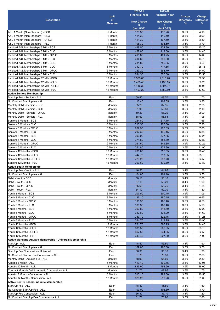|                                                                               |                      | 2020-21               | 2019-20               |                   |                   |
|-------------------------------------------------------------------------------|----------------------|-----------------------|-----------------------|-------------------|-------------------|
|                                                                               | <b>Unit</b>          | <b>Financial Year</b> | <b>Financial Year</b> | Charge            | Charge            |
| <b>Description</b>                                                            | of                   | <b>New Charge</b>     | <b>New Charge</b>     | <b>Difference</b> | <b>Difference</b> |
|                                                                               | <b>Measure</b>       | \$                    | \$                    | %                 | s.                |
|                                                                               |                      | (Incl GST)            | (Incl GST)            |                   |                   |
| A&L 1 Month (Non Standard) - BCB                                              | 1 Month              | 120.30                | 116.20                | 3.5%              | 4.10              |
| A&L 1 Month (Non Standard) - CLC                                              | 1 Month              | 114.30                | 110.40                | 3.5%              | 3.90              |
| A&L 1 Month (Non Standard) - OPLC                                             | 1 Month              | 111.30                | 107.50                | 3.5%              | 3.80              |
| A&L 1 Month (Non Standard) - FLC                                              | 1 Month              | 108.30                | 104.60                | 3.5%              | 3.70              |
| Invoiced A&L Memberships 3 Mth - BCB                                          | 3 Months             | 449.50                | 434.30                | 3.5%              | 15.20             |
| Invoiced A&L Memberships 3 Mth - CLC<br>Invoiced A&L Memberships 3 Mth - OPLC | 3 Months<br>3 Months | 427.00                | 412.60                | 3.5%              | 14.40             |
| Invoiced A&L Memberships 3 Mth - FLC                                          | 3 Months             | 415.80<br>404.60      | 401.75<br>390.90      | 3.5%<br>3.5%      | 14.05<br>13.70    |
| Invoiced A&L Memberships 6 Mth - BCB                                          | 6 Months             | 781.80                | 755.35                | 3.5%              | 26.45             |
| Invoiced A&L Memberships 6 Mth - CLC                                          | 6 Months             | 742.70                | 717.55                | 3.5%              | 25.15             |
| Invoiced A&L Memberships 6 Mth - OPLC                                         | 6 Months             | 723.20                | 698.70                | 3.5%              | 24.50             |
| Invoiced A&L Memberships 6 Mth - FLC                                          | 6 Months             | 694.30                | 670.80                | 3.5%              | 23.50             |
| Invoiced A&L Memberships 12 Mth - BCB                                         | 12 Months            | 1,563.60              | 1,510.70              | 3.5%              | 52.90             |
| Invoiced A&L Memberships 12 Mth - CLC                                         | 12 Months            | 1,485.40              | 1,435.15              | 3.5%              | 50.25             |
| Invoiced A&L Memberships 12 Mth - OPLC                                        | 12 Months            | 1,446.30              | 1,397.37              | 3.5%              | 48.93             |
| Invoiced A&L Memberships 12 Mth - FLC                                         | 12 Months            | 1,407.20              | 1,359.60              | 3.5%              | 47.60             |
| <b>Active Seniors Membership</b>                                              |                      |                       |                       |                   |                   |
| Start Up Fee - Seniors - ALL                                                  | Each                 | 50.40                 | 48.70                 | 3.5%              | 1.70              |
| No Contract Start Up fee - ALL                                                | Each                 | 113.40                | 109.55                | 3.5%              | 3.85              |
| Monthly Debit - Seniors - BCB                                                 | Monthly              | 65.20                 | 62.95                 | 3.6%              | 2.25              |
| Monthly Debit - Seniors - CLC                                                 | Monthly              | 61.90                 | 59.80                 | 3.5%              | 2.10              |
| Monthly Debit - Seniors - OPLC                                                | Monthly              | 60.20                 | 58.20                 | 3.4%              | 2.00              |
| Monthly Debit - Seniors - FLC                                                 | Monthly              | 58.60                 | 56.65                 | 3.4%              | 1.95              |
| Seniors 3 Months - BCB                                                        | 3 Months             | 224.80                | 217.15                | 3.5%              | 7.65              |
| Seniors 3 Months - CLC                                                        | 3 Months             | 213.50                | 206.30                | 3.5%              | 7.20              |
| Seniors 3 Months - OPLC                                                       | 3 Months             | 207.90                | 200.85                | 3.5%              | 7.05              |
| Seniors 3 Months - FLC                                                        | 3 Months             | 202.30                | 195.45                | 3.5%              | 6.85              |
| Seniors 6 Months - BCB                                                        | 6 Months             | 390.90                | 377.65                | 3.5%              | 13.25             |
| Seniors 6 Months - CLC                                                        | 6 Months             | 371.60                | 358.80                | 3.6%              | 12.80             |
| Seniors 6 Months - OPLC                                                       | 6 Months             | 361.60                | 349.35                | 3.5%              | 12.25             |
| Seniors 6 Months - FLC                                                        | 6 Months             | 351.80                | 339.90                | 3.5%              | 11.90             |
| Seniors 12 Months - BCB                                                       | 12 Months            | 781.80                | 755.35                | 3.5%              | 26.45             |
| Seniors 12 Months - CLC                                                       | 12 Months            | 742.70                | 717.55                | 3.5%              | 25.15             |
| Seniors 12 Months - OPLC                                                      | 12 Months            | 723.20                | 698.70                | 3.5%              | 24.50             |
| Seniors 12 Months - FLC                                                       | 12 Months            | 703.60                | 679.80                | 3.5%              | 23.80             |
| <b>Active Youth Membership</b><br>Start Up Fee - Youth - ALL                  |                      | 46.50                 | 44.95                 | 3.4%              | 1.55              |
| No Contract Start Up fee - ALL                                                | Each<br>Each         | 104.60                | 101.10                | 3.5%              | 3.50              |
| Debit - Youth - BCB                                                           | Monthly              | 60.10                 | 58.10                 | 3.4%              | 2.00              |
| Debit - Youth - CLC                                                           | Monthly              | 57.10                 | 55.20                 | 3.4%              | 1.90              |
| Debit - Youth - OPLC                                                          | Monthly              | 55.60                 | 53.75                 | 3.4%              | 1.85              |
| Debit - Youth - FLC                                                           | Monthly              | 54.10                 | 52.30                 | 3.4%              | 1.80              |
| Youth 3 Months - BCB                                                          | 3 Months             | 207.50                | 200.45                | 3.5%              | 7.05              |
| Youth 3 Months - CLC                                                          | 3 Months             | 197.10                | 190.45                | 3.5%              | 6.65              |
| Youth 3 Months - OPLC                                                         | 3 Months             | 191.90                | 185.40                | 3.5%              | 6.50              |
| Youth 3 Months - FLC                                                          | 3 Months             | 186.30                | 180.40                | 3.3%              | 5.90              |
| Youth 6 Months - BCB                                                          | 6 Months             | 360.80                | 348.60                | 3.5%              | 12.20             |
| Youth 6 Months - CLC                                                          | 6 Months             | 342.80                | 331.20                | 3.5%              | 11.60             |
| Youth 6 Months - OPLC                                                         | 6 Months             | 333.70                | 322.45                | 3.5%              | 11.25             |
| Youth 6 Months - FLC                                                          | 6 Months             | 324.70                | 313.75                | 3.5%              | 10.95             |
| Youth 12 Months - BCB                                                         | 12 Months            | 721.70                | 697.25                | 3.5%              | 24.45             |
| Youth 12 Months - CLC                                                         | 12 Months            | 685.50                | 662.35                | 3.5%              | 23.15             |
| Youth 12 Months - OPLC                                                        | 12 Months            | 667.50                | 644.95                | 3.5%              | 22.55             |
| Youth 12 Months - FLC                                                         | 12 Months            | 649.40                | 627.50                | 3.5%              | 21.90             |
| Active Moreland Aquatic Membership - Universal Membership                     |                      |                       |                       |                   |                   |
| Start Up - ALL                                                                | Each                 | 48.40                 | 46.80                 | 3.4%              | 1.60              |
| No Contract Start Up fee - ALL                                                | Each                 | 109.00                | 105.30                | 3.5%              | 3.70              |
| Start Up Fee Concession - Universal                                           | Each                 | 36.30                 | 35.10                 | 3.4%              | 1.20              |
| No Contract Start up fee Concession - ALL                                     | Each                 | 81.70                 | 78.90                 | 3.5%              | 2.80              |
| Monthly Debit - Aquatic Full - ALL                                            | Monthly              | 68.90                 | 66.60                 | 3.5%              | 2.30              |
| Aquatic 6 Month - ALL                                                         | 6 Months             | 413.40                | 399.45                | 3.5%              | 13.95             |
| Aquatic 12 Month - ALL                                                        | 12 Months            | 826.90                | 798.90                | 3.5%              | 28.00             |
| Contract Monthly Debit - Aquatic Concession - ALL                             | Monthly              | 51.70                 | 49.95                 | 3.5%              | 1.75              |
| Aquatic 6 Month - Concession - ALL                                            | 6 Months             | 310.10                | 299.60                | 3.5%              | 10.50             |
| Aquatic 12 Month - Concession - ALL                                           | 12 Months            | 620.20                | 599.20                | 3.5%              | 21.00             |
| <b>Active Centre Based - Aquatic Membership</b>                               |                      |                       |                       |                   |                   |
| Start Up Fee - ALL                                                            | Each                 | 48.40                 | 46.80                 | 3.4%              | 1.60              |
| No Contract Start Up Fee - ALL<br>Start Up Fee Concession - ALL               | Each                 | 109.00<br>36.30       | 105.30                | 3.5%              | 3.70<br>1.20      |
| No Contract Start Up Fee Concession - ALL                                     | Each<br>Each         | 81.70                 | 35.10<br>78.90        | 3.4%<br>3.5%      | 2.80              |
|                                                                               |                      |                       |                       |                   |                   |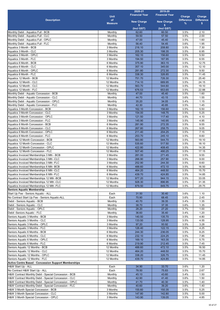|                                                             |                | 2020-21                 | 2019-20                 |                   |                   |
|-------------------------------------------------------------|----------------|-------------------------|-------------------------|-------------------|-------------------|
|                                                             | <b>Unit</b>    | <b>Financial Year</b>   | <b>Financial Year</b>   | Charge            | Charge            |
| <b>Description</b>                                          | of             |                         |                         | <b>Difference</b> | <b>Difference</b> |
|                                                             | <b>Measure</b> | <b>New Charge</b><br>s. | <b>New Charge</b><br>s. | %                 | s                 |
|                                                             |                | (Incl GST)              | (Incl GST)              |                   |                   |
| Monthly Debit - Aquatics Full - BCB                         | Monthly        | 62.60                   | 60.50                   | 3.5%              | 2.10              |
| Monthly Debit - Aquatics Full - CLC                         | Monthly        | 59.50                   | 57.50                   | 3.5%              | 2.00              |
| Monthly Debit - Aquatics Full - OPLC                        | Monthly        | 47.00                   | 45.40                   | 3.5%              | 1.60              |
| Monthly Debit - Aquatics Full - FLC                         | Monthly        | 56.40                   | 54.45                   | 3.6%              | 1.95              |
| Aquatics 3 Month - BCB                                      | 3 Months       | 216.10                  | 208.80                  | 3.5%              | 7.30              |
| Aquatics 3 Month - CLC                                      | 3 Months       | 205.30                  | 198.35                  | 3.5%              | 6.95              |
| Aquatics 3 Month - OPLC                                     | 3 Months       | 162.10                  | 156.60                  | 3.5%              | 5.50              |
| Aquatics 3 Month - FLC                                      | 3 Months       | 194.50                  | 187.95                  | 3.5%              | 6.55              |
| Aquatics 6 Month - BCB                                      | 6 Months       | 375.90                  | 363.15                  | 3.5%              | 12.75             |
| Aquatics 6 Month - CLC                                      | 6 Months       | 357.10                  | 345.00                  | 3.5%              | 12.10             |
| Aquatics 6 Month - OPLC                                     | 6 Months       | 281.80                  | 272.30                  |                   | 9.50              |
| Aquatics 6 Month - FLC                                      | 6 Months       | 338.30                  | 326.85                  | 3.5%<br>3.5%      | 11.45             |
| Aquatics 12 Month - BCB                                     | 12 Months      | 751.70                  | 726.30                  | 3.5%              | 25.40             |
| Aquatics 12 Month - CLC                                     | 12 Months      | 714.10                  | 689.95                  | 3.5%              | 24.15             |
|                                                             |                |                         |                         |                   |                   |
| Aquatics 12 Month - CLC                                     | 12 Months      | 563.70                  | 544.60                  | 3.5%              | 19.10             |
| Aquatics 12 Month - FLC                                     | 12 Months      | 676.53                  | 653.65                  | 3.5%              | 22.88             |
| Monthly Debit - Aquatic Concession - BCB                    | Monthly        | 47.00                   | 45.40                   | 3.5%              | 1.60              |
| Monthly Debit - Aquatic Concession - CLC                    | Monthly        | 44.70                   | 43.15                   | 3.6%              | 1.55              |
| Monthly Debit - Aquatic Concession - OPLC                   | Monthly        | 35.20                   | 34.05                   | 3.4%              | 1.15              |
| Monthly Debit - Aquatic Concession - FLC                    | Monthly        | 42.30                   | 40.85                   | 3.5%              | 1.45              |
| Aquatics 3 Month Concession - BCB                           | 3 Months       | 162.10                  | 156.60                  | 3.5%              | 5.50              |
| Aquatics 3 Month Concession - CLC                           | 3 Months       | 154.00                  | 148.75                  | 3.5%              | 5.25              |
| Aquatics 3 Month Concession - OPLC                          | 3 Months       | 121.50                  | 117.40                  | 3.5%              | 4.10              |
| Aquatics 3 Month Concession - FLC                           | 3 Months       | 145.90                  | 140.95                  | 3.5%              | 4.95              |
| Aquatics 6 Month Concession - BCB                           | 6 Months       | 281.90                  | 272.35                  | 3.5%              | 9.55              |
| Aquatics 6 Month Concession - CLC                           | 6 Months       | 267.80                  | 258.75                  | 3.5%              | 9.05              |
| Aquatics 6 Month Concession - OPLC                          | 6 Months       | 211.40                  | 204.25                  | 3.5%              | 7.15              |
| Aquatics 6 Month Concession - FLC                           | 6 Months       | 253.70                  | 245.10                  | 3.5%              | 8.60              |
| Aquatics 12 Month Concession - BCB                          | 12 Months      | 563.80                  | 544.70                  | 3.5%              | 19.10             |
| Aquatics 12 Month Concession - CLC                          | 12 Months      | 535.60                  | 517.50                  | 3.5%              | 18.10             |
| Aquatics 12 Month Concession - OPLC                         | 12 Months      | 422.80                  | 408.45                  | 3.5%              | 14.35             |
| Aquatics 12 Month Concession - FLC                          | 12 Months      | 507.40                  | 490.25                  | 3.5%              | 17.15             |
| Aquatics Invoiced Memberships 3 Mth - BCB                   | 3 Months       | 281.00                  | 271.45                  | 3.5%              | 9.55              |
| Aquatics Invoiced Memberships 3 Mth -CLC                    | 3 Months       | 266.90                  | 257.90                  | 3.5%              | 9.00              |
| Aquatics Invoiced Memberships 3 Mth -FLC                    | 3 Months       | 252.90                  | 244.30                  | 3.5%              | 8.60              |
| Aquatics Invoiced Memberships 6 Mth -BCB                    | 6 Months       | 488.60                  | 472.10                  | 3.5%              | 16.50             |
| Aquatics Invoiced Memberships 6 Mth -CLC                    | 6 Months       | 464.20                  | 448.50                  | 3.5%              | 15.70             |
| Aquatics Invoiced Memberships 6 Mth -FLC                    | 6 Months       | 439.70                  | 424.85                  | 3.5%              | 14.85             |
| Aquatics Invoiced Memberships 12 Mth -BCB                   | 12 Months      | 977.20                  | 944.15                  | 3.5%              | 33.05             |
| Aquatics Invoiced Memberships 12 Mth -CLC                   | 12 Months      | 928.30                  | 896.95                  | 3.5%              | 31.35             |
| Aquatics Invoiced Memberships 12 Mth -FLC                   | 12 Months      | 879.50                  | 849.75                  | 3.5%              | 29.75             |
| <b>Seniors Aquatic Membership</b>                           |                |                         |                         |                   |                   |
| Start Up Fee - Seniors Aquatic - ALL                        | Each           | 31.50                   | 30.40                   | 3.6%              | 1.10              |
| No Contract Start Up Fee - Seniors Aquatic-ALL              | Each           | 70.90                   | 68.45                   | 3.6%              | 2.45              |
| Debit - Seniors Aquatic - BCB                               | Monthly        | 40.70                   | 39.35                   | 3.4%              | 1.35              |
| Debit - Seniors Aquatic - CLC                               | Monthly        | 38.70                   | 37.35                   | 3.6%              | 1.35              |
| Debit - Seniors Aquatic - OPLC                              | Monthly        | 28.20                   | 27.20                   | 3.7%              | 1.00              |
| Debit -Seniors Aquatic - FLC                                | Monthly        | 36.60                   | 35.40                   | 3.4%              | 1.20              |
| Seniors Aquatic 3 Months - BCB                              | 3 Months       | 140.50                  | 135.70                  | 3.5%              | 4.80              |
| Seniors Aquatic 3 Months - CLC                              | 3 Months       | 133.50                  | 128.95                  | 3.5%              | 4.55              |
| Seniors Aquatic 3 Months - OPLC                             | 3 Months       | 97.20                   | 93.92                   | 3.5%              | 3.28              |
| Seniors Aquatic 3 Months - FLC                              | 3 Months       | 126.40                  | 122.15                  | 3.5%              | 4.25              |
| Seniors Aquatic 6 Months - BCB                              | 6 Months       | 244.30                  | 236.05                  | 3.5%              | 8.25              |
| Seniors Aquatic 6 Months - CLC                              | 6 Months       | 232.10                  | 224.25                  | 3.5%              | 7.85              |
| Seniors Aquatic 6 Months - OPLC                             | 6 Months       | 169.10                  | 163.35                  | 3.5%              | 5.75              |
| Seniors Aquatic 6 Months - FLC                              | 6 Months       | 219.90                  | 212.45                  | 3.5%              | 7.45              |
| Seniors Aquatic 12 Months - BCB                             | 12 Months      | 488.60                  | 472.10                  | 3.5%              | 16.50             |
| Seniors Aquatic 12 Months - CLC                             | 12 Months      | 464.20                  | 448.50                  | 3.5%              | 15.70             |
| Seniors Aquatic 12 Months - OPLC                            | 12 Months      | 338.20                  | 326.75                  | 3.5%              | 11.45             |
| Seniors Aquatic 12 Months - FLC                             | 12 Months      | 439.70                  | 424.85                  | 3.5%              | 14.85             |
| <b>Active Centre Based - Concession Support Memberships</b> |                |                         |                         |                   |                   |
| H&W Start Up - ALL                                          | Each           | 34.90                   | 33.70                   | 3.6%              | 1.20              |
| No Contract H&W Start Up - ALL                              | Each           | 78.50                   | 75.83                   | 3.5%              | 2.67              |
| H&W Contract Monthly Debit - Special Concession - BCB       | Monthly        | 45.10                   | 43.60                   | 3.4%              | 1.50              |
| H&W Contract Monthly Debit - Special Concession - CLC       | Monthly        | 42.90                   | 41.40                   | 3.6%              | 1.50              |
| H&W Contract Monthly Debit - Special Concession - OPLC      | Monthly        | 41.70                   | 40.30                   | 3.5%              | 1.40              |
| H&W Contract Monthly Debit - Special Concession - FLC       | Monthly        | 40.60                   | 39.20                   | 3.6%              | 1.40              |
| H&W 3 Month Special Concession - BCB                        | 3 Months       | 155.60                  | 150.35                  | 3.5%              | 5.25              |
| H&W 3 Month Special Concession - CLC                        | 3 Months       | 147.80                  | 142.80                  | 3.5%              | 5.00              |
| H&W 3 Month Special Concession - OPLC                       | 3 Months       | 143.90                  | 139.05                  | 3.5%              | 4.85              |
|                                                             |                |                         |                         |                   |                   |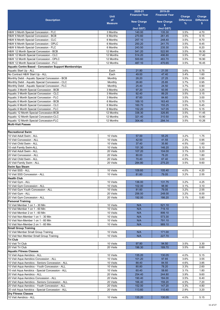|                                                              | <b>Unit</b>            | 2020-21<br><b>Financial Year</b> | 2019-20<br><b>Financial Year</b> | Charge            | Charge            |
|--------------------------------------------------------------|------------------------|----------------------------------|----------------------------------|-------------------|-------------------|
| <b>Description</b>                                           | of                     |                                  |                                  | <b>Difference</b> | <b>Difference</b> |
|                                                              | <b>Measure</b>         | <b>New Charge</b><br>\$          | <b>New Charge</b><br>\$          | %                 | \$.               |
|                                                              |                        | (Incl GST)                       | (Incl GST)                       |                   |                   |
| H&W 3 Month Special Concession - FLC                         | 3 Months               | 140.00                           | 135.30                           | 3.5%              | 4.70              |
| H&W 6 Month Special Concession - BCB                         | 6 Months               | 270.60                           | 261.45                           | 3.5%              | 9.15              |
| H&W 6 Month Special Concession - CLC                         | 6 Months               | 257.10                           | 248.40                           | 3.5%              | 8.70              |
| H&W 6 Month Special Concession - OPLC                        | 6 Months               | 250.20                           | 241.75                           | 3.5%              | 8.45              |
| H&W 6 Month Special Concession - FLC                         | 6 Months               | 243.50                           | 235.30                           | 3.5%              | 8.20              |
| H&W 12 Month Special Concession - BCB                        | 12 Months              | 541.20                           | 522.90                           | 3.5%              | 18.30             |
| H&W 12 Month Special Concession - CLC                        | 12 Months              | 514.20                           | 496.80                           | 3.5%              | 17.40             |
| H&W 12 Month Special Concession - OPLC                       | 12 Months              | 500.60                           | 483.70                           | 3.5%              | 16.90             |
| H&W 12 Month Special Concession - FLC                        | 12 Months              | 487.10                           | 470.65                           | 3.5%              | 16.45             |
| <b>Aquatic Centre Based - Concession Support Memberships</b> |                        |                                  |                                  |                   |                   |
| Aquatic Start Up - ALL                                       | Each                   | 21.80                            | 21.05                            | 3.6%              | 0.75              |
| No Contract H&W Start Up - ALL                               | Each                   | 49.00                            | 47.40                            | 3.4%              | 1.60              |
| Monthly Debit - Aquatic Special Concession - BCB             | Monthly                | 28.20                            | 27.25                            | 3.5%              | 0.95              |
| Monthly Debit - Aquatic Special Concession - CLC             | Monthly                | 26.80                            | 25.85                            | 3.7%              | 0.95              |
| Monthly Debit - Aquatic Special Concession - FLC             | Monthly                | 25.40                            | 24.50                            | 3.7%              | 0.90              |
| Aquatic 3 Month Special Concession - BCB                     | 3 Months               | 97.20                            | 93.95                            | 3.5%              | 3.25              |
| Aquatic 3 Month Special Concession - CLC                     | 3 Months               | 92.40                            | 89.25                            | 3.5%              | 3.15              |
| Aquatic 3 Month Special Concession - FLC                     | 3 Months               | 87.60                            | 84.60                            | 3.5%              | 3.00              |
| Aquatic 6 Month Special Concession - BCB                     | 6 Months               | 169.10                           | 163.40                           | 3.5%              | 5.70              |
| Aquatic 6 Month Special Concession - CLC                     | 6 Months               | 160.70                           | 155.25                           | 3.5%              | 5.45              |
| Aquatic 6 Month Special Concession - FLC                     | 6 Months               | 152.20                           | 147.05                           | 3.5%              | 5.15              |
| Aquatic 12 Month Special Concession-BCB                      | 12 Months              | 338.30                           | 326.85                           | 3.5%              | 11.45             |
| Aquatic 12 Month Special Concession-CLC                      | 12 Months              | 321.40                           | 310.50                           | 3.5%              | 10.90             |
| Aquatic 12 Month Special Concession-FLC                      | 12 Months              | 304.40                           | 294.14                           | 3.5%              | 10.26             |
| Multi-Visit Passes                                           |                        |                                  |                                  |                   |                   |
|                                                              |                        |                                  |                                  |                   |                   |
| <b>IRecreational Swim</b>                                    |                        |                                  |                                  |                   |                   |
| 10 Visit Adult Swim - ALL                                    | 10 Visits              | 57.00                            | 55.25                            | 3.2%              | 1.75              |
| 10 Visit Concession - ALL                                    | 10 Visits              | 42.50                            | 41.55                            | 2.3%              | 0.95              |
| 10 Visit Child Swim - ALL                                    | 10 Visits              | 37.40                            | 35.80                            | 4.5%              | 1.60              |
| 10 visit Family Swim-ALL                                     | 10 Visits              | 151.30<br>107.20                 | 146.20<br>104.00                 | 3.5%              | 5.10<br>3.20      |
| 20 Visit Adult Swim - ALL<br>20 Visit Concession - ALL       | 20 Visits<br>20 Visits | 80.00                            | 78.20                            | 3.1%<br>2.3%      | 1.80              |
| 20 Visit Child Swim - ALL                                    | 20 Visits              | 70.40                            | 67.40                            | 4.5%              | 3.00              |
| 20 Visit Family Swim - ALL                                   | 20 Visits              | 284.80                           | 275.20                           | 3.5%              | 9.60              |
| <b>Swim Spa Steam</b>                                        |                        |                                  |                                  |                   |                   |
| 10 Visit SSS - ALL                                           | 10 Visits              | 109.60                           | 105.40                           | 4.0%              | 4.20              |
| 10 Visit SSS Concession - ALL                                | 10 Visits              | 81.60                            | 79.05                            | 3.2%              | 2.55              |
| <b>Health Club</b>                                           |                        |                                  |                                  |                   |                   |
| 10 Visit Gym - ALL                                           | 10 Visits              | 136.00                           | 131.75                           | 3.2%              | 4.25              |
| 10 Visit Gym Concession - ALL                                | 10 Visits              | 102.00                           | 98.90                            | 3.1%              | 3.10              |
| 10 Visit Gym Youth Concession - ALL                          | 10 Visits              | 81.60                            | 79.05                            | 3.2%              | 2.55              |
| 20 Visit Gym - ALL                                           | 20 Visits              | 256.00                           | 248.00                           | 3.2%              | 8.00              |
| 20 Visit Gym Concession - ALL                                | 20 Visits              | 192.00                           | 186.20                           | 3.1%              | 5.80              |
| <b>Personal Training</b>                                     |                        |                                  |                                  |                   |                   |
| 10 Visit Member 1 on 1 - 30 Min                              | 10 Visits              | N/A                              | 521.10                           |                   |                   |
| 10 Visit Member 1 on 1 - 60 Min                              | 10 Visits              | N/A                              | 719.10                           |                   |                   |
| 10 Visit Member 2 on 1 - 60 Min                              | 10 Visits              | N/A                              | 899.10                           |                   |                   |
| 10 Visit Non-Member 1 on 1 - 30 Min                          | 10 Visits              | N/A                              | 573.30                           |                   |                   |
| 10 Visit Non-Member 1 on 1 - 60 Min                          | 10 Visits              | N/A                              | 791.10                           |                   |                   |
| 10 Visit Non-Member 2 on 1 - 60 Min                          | 10 Visits              | N/A                              | 989.10                           |                   |                   |
| <b>Small Group Training</b>                                  |                        |                                  |                                  |                   |                   |
| 10 Visit Member Small Group Training                         | 10 Visits              | N/A                              | 171.00                           |                   |                   |
| 10 Visit Non Member Small Group Training                     | 10 Visits              | N/A                              | 227.70                           |                   |                   |
| <b>Tri Club</b>                                              |                        |                                  |                                  |                   |                   |
| 10 Visit Tri Club                                            | 10 Visits              | 97.80                            | 94.50                            | 3.5%              | 3.30              |
| 20 Visit Tri Club                                            | 20 Visits              | 196.30                           | 189.70                           | 3.5%              | 6.60              |
| <b>Aquatic Fitness Classes</b>                               |                        |                                  |                                  |                   |                   |
| 10 Visit Aqua Aerobics - ALL                                 | 10 Visits              | 135.20                           | 130.05                           | 4.0%              | 5.15              |
| 10 Visit Aqua Aerobics Concession - ALL                      | 10 Visits              | 101.20                           | 97.65                            | 3.6%              | 3.55              |
| 10 Visit Aqua Aerobics - Seniors Concession - ALL            | 10 Visits              | 88.40                            | 84.55                            | 4.6%              | 3.85              |
| 10 Visit Aqua Aerobics - Youth Concession - ALL              | 10 Visits              | 80.80                            | 78.20                            | 3.3%              | 2.60              |
| 10 visit Aqua Aerobics - Special Concession - ALL            | 10 Visits              | 60.40                            | 58.60                            | 3.1%              | 1.80              |
| 20 Visit Aqua Aerobics - ALL                                 | 20 Visits              | 254.40                           | 244.80                           | 3.9%              | 9.60              |
| 20 Visit Aqua Aerobics Concession - ALL                      | 20 Visits              | 190.40                           | 184.00                           | 3.5%              | 6.40              |
| 20 Visit Aqua Aerobics - Seniors Concession - ALL            | 20 Visits              | 166.40                           | 159.20                           | 4.5%              | 7.20              |
| 20 Visit Aqua Aerobics - Youth Concession - ALL              | 20 Visits              | 152.00                           | 147.20                           | 3.3%              | 4.80              |
| 20 visit Aqua Aerobics - Special Concession - ALL            | 20 Visits              | 113.60                           | 110.40                           | 2.9%              | 3.20              |
| <b>Dry Fitness Classes</b>                                   |                        |                                  |                                  |                   |                   |
| 10 Visit Aerobics - ALL                                      | 10 Visits              | 135.20                           | 130.05                           | 4.0%              | 5.15              |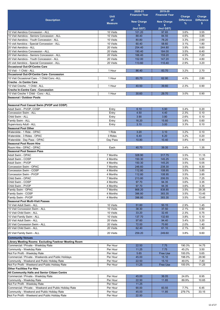|                                                                                                   | <b>Unit</b>                 | 2020-21<br><b>Financial Year</b> | 2019-20<br><b>Financial Year</b> | Charge                 | Charge                  |
|---------------------------------------------------------------------------------------------------|-----------------------------|----------------------------------|----------------------------------|------------------------|-------------------------|
| <b>Description</b>                                                                                | <b>of</b><br><b>Measure</b> | <b>New Charge</b>                | <b>New Charge</b>                | <b>Difference</b><br>% | <b>Difference</b><br>s. |
|                                                                                                   |                             | \$<br>(Incl GST)                 | \$<br>(Incl GST)                 |                        |                         |
| 10 Visit Aerobics Concession - ALL                                                                | 10 Visits                   | 101.20                           | 97.65                            | 3.6%                   | 3.55                    |
| 10 Visit Aerobics - Seniors Concession - ALL                                                      | 10 Visits                   | 88.40                            | 84.55                            | 4.6%                   | 3.85                    |
| 10 Visit Aerobics - Youth Concession - ALL                                                        | 10 Visits                   | 80.80                            | 78.20                            | 3.3%                   | 2.60                    |
| 10 visit Aerobics - Special Concession - ALL                                                      | 10 Visits                   | 60.40                            | 58.60                            | 3.1%                   | 1.80                    |
| 20 Visit Aerobics - ALL<br>20 Visit Aerobics Concession - ALL                                     | 20 Visits<br>20 Visits      | 254.40<br>190.40                 | 244.80<br>184.00                 | 3.9%<br>3.5%           | 9.60<br>6.40            |
| 20 Visit Aerobics - Seniors Concession - ALL                                                      | 20 Visits                   | 166.40                           | 159.20                           | 4.5%                   | 7.20                    |
| 20 Visit Aerobics - Youth Concession - ALL                                                        | 20 Visits                   | 152.00                           | 147.20                           | 3.3%                   | 4.80                    |
| 20 visit Aerobics - Special Concession - ALL                                                      | 20 Visits                   | 113.60                           | 110.40                           | 2.9%                   | 3.20                    |
| <b>Occasional Out-Of-Centre Care</b>                                                              |                             |                                  |                                  |                        |                         |
| 10 Visit - 1 Child - ALL                                                                          | 1 Hour                      | 86.40                            | 83.70                            | 3.2%                   | 2.70                    |
| <b>Occasional Out-Of-Centre Care- Concession</b><br>10 Visit Occasional Care - 1 Child Conc - ALL | 1 Hour                      | 65.70                            | 62.90                            | 4.5%                   | 2.80                    |
| <b>Creche - In Centre Care</b>                                                                    |                             |                                  |                                  |                        |                         |
| 10 Visit Creche - 1 Child - ALL                                                                   | 1 Hour                      | 40.50                            | 39.60                            | 2.3%                   | 0.90                    |
| <b>Creche In-Centre Care - Concession</b>                                                         |                             |                                  |                                  |                        |                         |
| 10 Visit Creche 1 Child - Conc - ALL                                                              | 1 Hour                      | 30.60                            | 29.70                            | 3.0%                   | 0.90                    |
| Seasonal / Outdoor Pools                                                                          |                             |                                  |                                  |                        |                         |
| Seasonal Pool Casual Swim (PVOP and COSP)                                                         |                             |                                  |                                  |                        |                         |
| Adult Swim - PVOP, COSP                                                                           | Entry                       | 6.10                             | 5.90                             | 3.4%                   | 0.20                    |
| Concession Swim - ALL                                                                             | Entry                       | 4.50                             | 4.40                             | 2.3%                   | 0.10                    |
| Child Swim - ALL                                                                                  | Entry                       | 3.90                             | 3.80                             | 2.6%                   | 0.10                    |
| Family Swim - ALL                                                                                 | Entry                       | 16.20                            | 15.60                            | 3.8%                   | 0.60                    |
| Supervisory Adult - ALL                                                                           | Entry                       | 3.10                             | 3.00                             | 3.3%                   | 0.10                    |
| <b>Seasonal Pool Other</b><br>Waterslide - 1 Ride - OPAC                                          | 1 Ride                      | 3.20                             | 3.10                             | 3.2%                   | 0.10                    |
| Waterslide - 3 Rides - OPAC                                                                       | 3 Rides                     | 6.40                             | 6.20                             | 3.2%                   | 0.20                    |
| Waterslide - Day Pass - OPAC                                                                      | Day Pass                    | 10.80                            | 10.40                            | 3.8%                   | 0.40                    |
| <b>Seasonal Pool Room Hire</b>                                                                    |                             |                                  |                                  |                        |                         |
| Room Hire - OPAC - OPAC                                                                           | Each                        | 40.70                            | 39.35                            | 3.4%                   | 1.35                    |
| <b>Seasonal Pool Season Pass</b>                                                                  |                             |                                  |                                  |                        |                         |
| Adult Swim - OPAC<br>Adult Swim - COSP                                                            | 7 Months<br>4 Months        | 328.90<br>150.30                 | 317.75<br>145.25                 | 3.5%<br>3.5%           | 11.15<br>5.05           |
| Adult Swim - PVOP                                                                                 | 4 Months                    | 150.30                           | 145.25                           | 3.5%                   | 5.05                    |
| Concession Swim - OPAC                                                                            | 7 Months                    | 246.60                           | 238.30                           | 3.5%                   | 8.30                    |
| Concession Swim - COSP                                                                            | 4 Months                    | 112.80                           | 108.95                           | 3.5%                   | 3.85                    |
| Concession Swim - PVOP                                                                            | 4 Months                    | 112.80                           | 108.95                           | 3.5%                   | 3.85                    |
| Child Swim - OPAC                                                                                 | 7 Months                    | 213.80                           | 206.55                           | 3.5%                   | 7.25                    |
| Child Swim - COSP<br>Child Swim - PVOP                                                            | 4 Months<br>4 Months        | 97.70<br>97.70                   | 94.35<br>94.35                   | 3.6%<br>3.6%           | 3.35<br>3.35            |
| Family Swim - OPAC                                                                                | 7 Months                    | 868.20                           | 838.85                           | 3.5%                   | 29.35                   |
| Family Swim - COSP                                                                                | 4 Months                    | 396.80                           | 383.35                           | 3.5%                   | 13.45                   |
| Family Swim - PVOP                                                                                | 4 Months                    | 396.80                           | 383.35                           | 3.5%                   | 13.45                   |
| <b>Seasonal Pool Multi-Visit Passes</b>                                                           |                             |                                  |                                  |                        |                         |
| 10 Visit Adult Swim - ALL                                                                         | 10 Visits                   | 51.60                            | 50.15                            | 2.9%                   | 1.45                    |
| 10 Visit Concession Swim - ALL<br>10 Visit Child Swim - ALL                                       | 10 Visits<br>10 Visits      | 38.30<br>33.20                   | 37.50<br>32.45                   | 2.1%<br>2.3%           | 0.80<br>0.75            |
| 10 Visit Family Swim - ALL                                                                        | 10 Visits                   | 137.70                           | 132.60                           | 3.8%                   | 5.10                    |
| 20 Visit Adult Swim - ALL                                                                         | 20 Visits                   | 97.60                            | 94.40                            | 3.4%                   | 3.20                    |
| 20 Visit Concession Swim - ALL                                                                    | 20 Visits                   | 72.00                            | 70.60                            | 2.0%                   | 1.40                    |
| 20 Visit Child Swim - ALL                                                                         | 20 Visits                   | 62.40                            | 61.10                            | 2.1%                   | 1.30                    |
| 20 Visit Family Swim - ALL                                                                        | 20 Visits                   | 259.20                           | 249.60                           | 3.8%                   | 9.60                    |
| <b>Community Venues</b>                                                                           |                             |                                  |                                  |                        |                         |
| Library Meeting Rooms Excluding Fawkner Meeting Room                                              |                             |                                  |                                  |                        |                         |
| Commercial / Private - Weekday Rate                                                               | Per Hour                    | 22.50                            | 7.75                             | 190.3%                 | 14.75                   |
| Community - Weekday Rate                                                                          | Per Hour<br>Per Hour        | 11.25                            | 7.75                             | 45.2%                  | 3.50                    |
| Not For Profit - Weekday Rate<br>Commercial / Private - Weekends and Public Holidays              | Per Hour                    | 5.65<br>45.00                    | Free Use<br>15.10                | 100.0%<br>198.0%       | 5.65<br>29.90           |
| Community - Weekend and Public Holiday Rate                                                       | Per Hour                    | 22.50                            | 15.10                            | 49.0%                  | 7.40                    |
| Not For Profit - Weekend and Public Holiday Rate                                                  | Per Hour                    | 11.25                            | Free Use                         | 100.0%                 | 11.25                   |
| <b>Other Facilities For Hire</b>                                                                  |                             |                                  |                                  |                        |                         |
| All Community Halls and Senior Citizen Centre                                                     |                             |                                  |                                  |                        |                         |
| Commercial / Private - Weekday Rate                                                               | Per Hour                    | 45.00                            | 36.05                            | 24.8%                  | 8.95                    |
| Community - Weekday Rate<br>Not For Profit - Weekday Rate                                         | Per Hour<br>Per Hour        | 22.50<br>11.25                   | 11.85                            | 89.9%                  | 10.65                   |
| Commercial / Private - Weekend and Public Holiday Rate                                            | Per Hour                    | 90.00                            | 83.55                            | 7.7%                   | 6.45                    |
| Community - Weekend and Public Holiday Rate                                                       | Per Hour                    | 45.00                            | 11.85                            | 279.7%                 | 33.15                   |
| Not For Profit - Weekend and Public Holiday Rate                                                  | Per Hour                    | 22.50                            |                                  |                        |                         |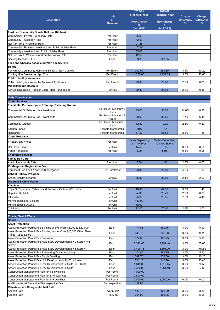|                                                                                                                           | <b>Unit</b>                   | 2020-21<br><b>Financial Year</b>        | 2019-20<br><b>Financial Year</b>        | Charge                 | Charge                  |
|---------------------------------------------------------------------------------------------------------------------------|-------------------------------|-----------------------------------------|-----------------------------------------|------------------------|-------------------------|
| <b>Description</b>                                                                                                        | of                            | <b>New Charge</b>                       | <b>New Charge</b>                       | <b>Difference</b><br>% | <b>Difference</b><br>\$ |
|                                                                                                                           | <b>Measure</b>                | s.                                      | s.                                      |                        |                         |
| <b>Fawkner Community Sports Hall (Inc Kitchen)</b>                                                                        |                               | (Incl GST)                              | (Incl GST)                              |                        |                         |
| Commercial / Private - Weekday Rate                                                                                       | Per Hour                      | 85.00                                   |                                         |                        |                         |
| Community - Weekday Rate                                                                                                  | Per Hour                      | 42.50                                   |                                         |                        |                         |
| Not For Profit - Weekday Rate                                                                                             | Per Hour                      | 21.25                                   |                                         |                        |                         |
| Commercial / Private - Weekend and Public Holiday Rate                                                                    | Per Hour                      | 170.00                                  |                                         |                        |                         |
| Community - Weekend and Public Holiday Rate<br>Not For Profit - Weekend and Public Holiday Rate                           | Per Hour<br>Per Hour          | 85.00<br>42.50                          |                                         |                        |                         |
| Security Deposit - FLC                                                                                                    | Each                          | N/A                                     | 307.35                                  |                        |                         |
| Fees and Charges Associated With Facility Hire                                                                            |                               |                                         |                                         |                        |                         |
| <b>Bonds</b>                                                                                                              |                               |                                         |                                         |                        |                         |
| For Hire Of Community Halls and Senior Citizen Centres                                                                    | Per Event                     | 300.00                                  | 289.80                                  | 3.5%                   | 10.20                   |
| For Any Hire Deemed A High Risk                                                                                           | Per Event                     | 1,200.00                                | 1,159.35                                | 3.5%                   | 40.65                   |
| <b>Public Liability Insurance</b>                                                                                         |                               |                                         |                                         |                        |                         |
| Public Liability Insurance To Approved Applicants                                                                         | Per Event                     | 29.85                                   | 29.00                                   | 2.9%                   | 0.85                    |
| <b>Miscellaneous Receipts</b><br>Key Administration (Regular Users, Non Refundable)                                       | Per Key                       | 29.80                                   | 28.95                                   | 2.9%                   | 0.85                    |
|                                                                                                                           |                               |                                         |                                         |                        |                         |
| <b>Early Years &amp; Youth</b>                                                                                            |                               |                                         |                                         |                        |                         |
| <b>Youth Services</b>                                                                                                     |                               |                                         |                                         |                        |                         |
| The Multi - Purpose Space / Elounge / Meeting Rooms                                                                       |                               |                                         |                                         |                        |                         |
| Commercial Or Private Use - Weekdays                                                                                      | Per Hour - Minimum 3<br>Hours | 45.00                                   | 36.05                                   | 24.8%                  | 8.95                    |
| Commercial Or Private Use - Weekends                                                                                      | Per Hour - Minimum 3<br>Hours | 90.00                                   | 83.55                                   | 7.7%                   | 6.45                    |
| <b>Community Groups</b>                                                                                                   | Per Hour - Minimum 3<br>Hours | 12.50                                   | 12.20                                   | 2.5%                   | 0.30                    |
| Kitchen Space                                                                                                             | 3 Month Membership            | <b>TBA</b>                              | <b>TBA</b>                              |                        |                         |
| Rehearsal                                                                                                                 | 3 Month Membership            | 67.50                                   | 65.65                                   | 2.8%                   | 1.85                    |
| <b>Youth Programs</b>                                                                                                     |                               |                                         |                                         |                        |                         |
| <b>FReeZA Entry Fees</b>                                                                                                  | Per Hour                      | <b>Varies Depending</b><br>On The Event | <b>Varies Depending</b><br>On The Event |                        |                         |
| Hot Desk Usage<br><b>Youth Rehearsal</b>                                                                                  | Per Day<br>Per Hour           | 14.50                                   | 13.95<br>5.95                           | 3.9%                   | 0.55                    |
| <b>Children's Services</b>                                                                                                |                               | 6.00                                    |                                         | 0.8%                   | 0.05                    |
| <b>Family Day Care</b>                                                                                                    |                               |                                         |                                         |                        |                         |
| Admin Levy Hourly Rate                                                                                                    | Per Hour                      | 2.00                                    | 1.95                                    | 2.6%                   | 0.05                    |
| Kindergarten Registration Fee                                                                                             |                               |                                         |                                         |                        |                         |
| Enrolment Fee For 4 Year Old Kindergarten                                                                                 | Per Enrolment                 | 23.00                                   | 22.00                                   | 4.5%                   | 1.00                    |
| <b>School Holiday Program</b>                                                                                             |                               |                                         |                                         |                        |                         |
| School Holiday Program                                                                                                    | Per Day                       | 85.00                                   | 83.00                                   | 2.4%                   | 2.00                    |
| <b>Maternal &amp; Child Health</b><br><b>Vaccines</b>                                                                     |                               |                                         |                                         |                        |                         |
| dTpa Or Diphtheria, Tetanus and Pertussis Or Adacel/Boostrix                                                              | Per Unit                      | 46.00                                   | 44.55                                   | 3.3%                   | 1.45                    |
| Hepatitis B (Adult)                                                                                                       | Per Unit                      | 24.00                                   | 23.40                                   | 2.6%                   | 0.60                    |
| Influenza                                                                                                                 | Per Unit                      | 25.00                                   | 20.55                                   | 21.7%                  | 4.45                    |
| Meningococcal B (Bexsero)                                                                                                 | Per Unit                      | 130.00                                  |                                         |                        |                         |
| Meningococcal ACWY                                                                                                        | Per Unit                      | 72.00                                   |                                         |                        |                         |
| Chickenpox                                                                                                                | Per Unit                      | 72.00                                   | 70.00                                   | 2.9%                   | 2.00                    |
|                                                                                                                           |                               |                                         |                                         |                        |                         |
| Roads, Fleet & Waste<br><b>Roads</b>                                                                                      |                               |                                         |                                         |                        |                         |
| <b>Asset Protection</b>                                                                                                   |                               |                                         |                                         |                        |                         |
| Asset Protection Permit Fee Building Works From \$5,000 to \$20,000                                                       | Each                          | 174.85                                  | 169.75                                  | 3.0%                   | 5.10                    |
| Asset Protection Permit Fee Building Works Over \$20,000 Other Than                                                       | Each                          | 349.70                                  | 339.50                                  | 3.0%                   | 10.20                   |
| <b>Those Types Listed</b><br>Asset Protection Permit Fee Demolition                                                       |                               |                                         |                                         |                        |                         |
| Asset Protection Permit Fee Multi Story Developments > 2 Storey <= 5                                                      | Each                          | 174.85                                  | 169.75                                  | 3.0%                   | 5.10                    |
| Storey                                                                                                                    | Each                          | 2,322.05                                | 2,254.40                                | 3.0%                   | 67.65                   |
| Asset Protection Permit Fee Multi Story Developments > 5 Storey                                                           | Each                          | 3,496.75                                | 3,394.90                                | 3.0%                   | 101.85                  |
| Asset Protection Permit Fee Reblocking Or Underpinning                                                                    | Each                          | 174.85                                  | 169.75                                  | 3.0%                   | 5.10                    |
| Asset Protection Permit Fee Single Dwelling                                                                               | Each                          | 349.70                                  | 339.50                                  | 3.0%                   | 10.20                   |
| Asset Protection Permit Fee Unit Development - Up To 4 Units                                                              | Each                          | 874.15                                  | 848.70                                  | 3.0%                   | 25.45                   |
| Asset Protection Permit Fee Unit Development >4 Units <= 8 Units<br>Asset Protection Permit Fee Unit Development >8 Units | Each<br>Each                  | 1,049.00<br>2,322.05                    | 1,018.45<br>2,254.40                    | 3.0%<br>3.0%           | 30.55<br>67.65          |
| Construction Management Plan for 1-5 dwellings                                                                            | Per Permit                    | 1,000.00                                |                                         |                        |                         |
| Construction Management Plan for 6-10 dwellings                                                                           | Per Permit                    | 2,500.00                                |                                         |                        |                         |
| Construction Management Plan for 11+ dwellings                                                                            | Per Permit                    | 5,000.00                                | 5,000.00                                | 0.0%                   | 0.00                    |
| Additional Asset Protection Site Inspection Fee                                                                           | Per Inspection                | 112.60                                  |                                         |                        |                         |
| Reinstatement Charges Asphalt Path                                                                                        |                               |                                         |                                         |                        |                         |

Asphalt Path Over 50m2 132.75 128.90 3.0% 3.85 Asphalt Path 1 To 5 m2 204.90 1 204.90 204.90 198.95 3.0% 5.95 3.0% 5.95 4.90 198.95 3.0% 5.95 3.0% 5.95 4.96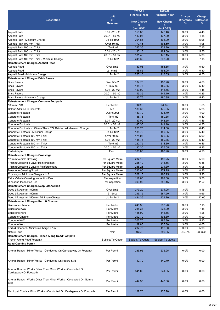| <b>Description</b>                                                                                   | <b>Unit</b><br>of<br><b>Measure</b> | 2020-21<br><b>Financial Year</b><br><b>New Charge</b> | 2019-20<br><b>Financial Year</b><br><b>New Charge</b> | Charge<br><b>Difference</b><br>% | Charge<br><b>Difference</b><br>s. |
|------------------------------------------------------------------------------------------------------|-------------------------------------|-------------------------------------------------------|-------------------------------------------------------|----------------------------------|-----------------------------------|
|                                                                                                      |                                     | \$<br>(Incl GST)                                      | \$<br>(Incl GST)                                      |                                  |                                   |
| <b>Asphalt Path</b>                                                                                  | $5.01 - 20$ m2                      | 150.80                                                | 146.40                                                | 3.0%                             | 4.40                              |
| <b>Asphalt Path</b>                                                                                  | 20.01 - 50 m2                       | 142.05                                                | 137.90                                                | 3.0%                             | 4.15                              |
| Asphalt Path - Minimum Charge                                                                        | Up To 1m2                           | 204.85                                                | 198.90                                                | 3.0%                             | 5.95                              |
| Asphalt Path 100 mm Thick                                                                            | Over 50 m2                          | 170.45                                                | 165.50                                                | 3.0%                             | 4.95                              |
| Asphalt Path 100 mm Thick                                                                            | 1 To 5 m2                           | 245.35                                                | 238.20                                                | 3.0%                             | 7.15                              |
| Asphalt Path 100 mm Thick                                                                            | $5.01 - 20$ m2                      | 190.15                                                | 184.60                                                | 3.0%                             | 5.55                              |
| Asphalt Path 100 mm Thick                                                                            | $20.01 - 50$ m2                     | 181.45<br>245.35                                      | 176.15                                                | 3.0%                             | 5.30                              |
| Asphalt Path 100 mm Thick - Minimum Charge<br><b>Reinstatement Charges Asphalt Road</b>              | Up To 1m2                           |                                                       | 238.20                                                | 3.0%                             | 7.15                              |
| <b>Asphalt Road</b>                                                                                  | Over 5m2                            | 189.05                                                | 183.55                                                | 3.0%                             | 5.50                              |
| <b>Asphalt Road</b>                                                                                  | $2 - 5 m2$                          | 198.85                                                | 193.05                                                | 3.0%                             | 5.80                              |
| Asphalt Road - Minimum Charge                                                                        | Up To 2m2                           | 225.10                                                | 218.55                                                | 3.0%                             | 6.55                              |
| <b>Reinstatement Charges Brick Pavers</b>                                                            |                                     |                                                       |                                                       |                                  |                                   |
| <b>Brick Pavers</b>                                                                                  | Over 50m2                           | 137.70                                                | 133.70                                                | 3.0%                             | 4.00                              |
| <b>Brick Pavers</b>                                                                                  | 1 To 5 m2                           | 185.75                                                | 180.35                                                | 3.0%                             | 5.40                              |
| <b>Brick Pavers</b>                                                                                  | $5.01 - 20$ m2                      | 153.00                                                | 148.55                                                | 3.0%                             | 4.45                              |
| <b>Brick Pavers</b>                                                                                  | 20.01 - 50 m2                       | 145.35                                                | 141.10                                                | 3.0%                             | 4.25                              |
| Brick Pavers - Minimum Charge                                                                        | Up To 1m2                           | 185.75                                                | 180.35                                                | 3.0%                             | 5.40                              |
| Reinstatement Charges Concrete Footpath                                                              |                                     |                                                       |                                                       |                                  |                                   |
| 100mm PVC                                                                                            | Per Metre                           | 56.30                                                 | 54.65                                                 | 3.0%                             | 1.65                              |
| <b>Colour Addition to Concrete</b>                                                                   | M <sub>3</sub>                      | 180.30                                                | 175.05                                                | 3.0%                             | 5.25                              |
| Concrete Footpath                                                                                    | Over 50m2                           | 137.70                                                | 133.70                                                | 3.0%                             | 4.00                              |
| Concrete Footpath                                                                                    | 1 To 5 m2                           | 185.75                                                | 180.35                                                | 3.0%                             | 5.40                              |
| Concrete Footpath                                                                                    | $5.01 - 20$ m2                      | 153.00                                                | 148.55                                                | 3.0%                             | 4.45                              |
| Concrete Footpath                                                                                    | 20.01 - 50 m2                       | 145.35                                                | 141.10                                                | 3.0%                             | 4.25                              |
| Concrete Footpath - 125 mm Thick F72 Reinforced Minimum Charge<br>Concrete Footpath - Minimum Charge | Up To 1m2<br>Up To 1m2              | 220.75<br>185.75                                      | 214.30<br>180.35                                      | 3.0%<br>3.0%                     | 6.45<br>5.40                      |
| Concrete Footpath 100 mm Thick                                                                       | Over 50 m2                          | 171.05                                                | 166.05                                                | 3.0%                             | 5.00                              |
| Concrete Footpath 100 mm Thick                                                                       | $5.01 - 20$ m2                      | 185.75                                                | 180.35                                                | 3.0%                             | 5.40                              |
| Concrete Footpath 100 mm Thick                                                                       | 1 To 5 m2                           | 220.75                                                | 214.30                                                | 3.0%                             | 6.45                              |
| Concrete Footpath 100 mm Thick                                                                       | 20.01 - 50 m2                       | 180.30                                                | 175.05                                                | 3.0%                             | 5.25                              |
| <b>Kerb Adapter</b>                                                                                  | Each                                | 168.80                                                | 163.90                                                | 3.0%                             | 4.90                              |
| <b>Reinstatement Charges Crossings</b>                                                               |                                     |                                                       |                                                       |                                  |                                   |
| 125mm Vehicle Crossing                                                                               | Per Square Metre                    | 202.15                                                | 196.25                                                | 3.0%                             | 5.90                              |
| 175mm Crossing 1 Layer Reinforcement                                                                 | Per Square Metre                    | 225.10                                                | 218.55                                                | 3.0%                             | 6.55                              |
| 175mm Crossing 2 Layers Reinforcement                                                                | Per Square Metre                    | 238.25                                                | 231.30                                                | 3.0%                             | 6.95                              |
| <b>Bluestone Crossing/Road</b>                                                                       | Per Square Metre                    | 283.00                                                | 274.75                                                | 3.0%                             | 8.25                              |
| Crossings - Minimum Charge <1m2                                                                      | Per Square Metre                    | 202.15                                                | 196.25                                                | 3.0%                             | 5.90                              |
| Extra Vehicle Crossing Inspection Fee                                                                | Per inspection                      | 112.60                                                | 109.30                                                | 3.0%                             | 3.30                              |
| Weekend Inspection Fee                                                                               | Per inspection                      | 393.90                                                | 382.45                                                | 3.0%                             | 11.45                             |
| <b>Reinstatement Charges Deep Lift Asphalt</b>                                                       |                                     |                                                       |                                                       |                                  |                                   |
| Deep Lift Asphalt 150mm                                                                              | Over 5m2                            | 279.20                                                | 271.05                                                | 3.0%                             | 8.15                              |
| Deep Lift Asphalt 150mm                                                                              | $2 - 5m2$                           | 296.15                                                | 287.50                                                | 3.0%                             | 8.65                              |
| Deep Lift Asphalt 150mm - Minimum Charge<br>Reinstatement Charges Kerb & Channel                     | Up To 2m2                           | 434.35                                                | 421.70                                                | 3.0%                             | 12.65                             |
| <b>Bluestone Channel</b>                                                                             | Per Metre                           | 245.35                                                | 238.20                                                | 3.0%                             | 7.15                              |
| <b>Bluestone K&amp;C</b>                                                                             | Per Metre                           | 245.35                                                | 238.20                                                | 3.0%                             | 7.15                              |
| <b>Bluestone Kerb</b>                                                                                | Per Metre                           | 145.90                                                | 141.65                                                | 3.0%                             | 4.25                              |
| Concrete Channel                                                                                     | Per Metre                           | 202.70                                                | 196.80                                                | 3.0%                             | 5.90                              |
| Concrete K&C                                                                                         | Per Metre                           | 202.70                                                | 196.80                                                | 3.0%                             | 5.90                              |
| Concrete Kerb                                                                                        | Per Metre                           | 139.85                                                | 135.80                                                | 3.0%                             | 4.05                              |
| Kerb & Channel - Minimum Charge < 1m                                                                 |                                     | 202.70                                                | 196.80                                                | 3.0%                             | 5.90                              |
| <b>Nature Strip</b>                                                                                  | $m^2$                               | 16.50                                                 | 399.95                                                | -95.9%                           | $-383.45$                         |
| Reinstatement Charges Trench Along Road/Footpath                                                     |                                     |                                                       |                                                       |                                  |                                   |
| Trench Along Road/Footpath                                                                           | Subject To Quote                    | <b>Subject To Quote</b>                               | <b>Subject To Quote</b>                               |                                  |                                   |
| <b>Road Opening Permit</b>                                                                           |                                     |                                                       |                                                       |                                  |                                   |
| Arterial Roads - Minor Works - Conducted On Carriageway Or Footpath                                  | Per Permit                          | 236.95                                                | 236.95                                                | 0.0%                             | 0.00                              |
| Arterial Roads - Minor Works - Conducted On Nature Strip                                             | Per Permit                          | 140.70                                                | 140.70                                                | $0.0\%$                          | 0.00                              |
| Arterial Roads - Works Other Than Minor Works - Conducted On<br>Carriageway Or Footpath              | Per Permit                          | 641.05                                                | 641.05                                                | $0.0\%$                          | 0.00                              |
| Arterial Roads - Works Other Than Minor Works - Conducted On Nature<br>Strip                         | Per Permit                          | 447.30                                                | 447.30                                                | $0.0\%$                          | 0.00                              |
| Municipal Roads - Minor Works - Conducted On Carriageway Or Footpath                                 | Per Permit                          | 137.70                                                | 137.70                                                | 0.0%                             | 0.00                              |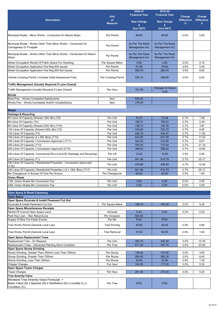|                                                                                                                    |                            | 2020-21               | 2019-20                  |                   |                   |
|--------------------------------------------------------------------------------------------------------------------|----------------------------|-----------------------|--------------------------|-------------------|-------------------|
|                                                                                                                    | <b>Unit</b>                | <b>Financial Year</b> | <b>Financial Year</b>    | Charge            | Charge            |
| <b>Description</b>                                                                                                 | of                         | <b>New Charge</b>     | <b>New Charge</b>        | <b>Difference</b> | <b>Difference</b> |
|                                                                                                                    | <b>Measure</b>             | s.                    |                          | %                 | \$                |
|                                                                                                                    |                            | (Incl GST)            | (Incl GST)               |                   |                   |
|                                                                                                                    |                            |                       |                          |                   |                   |
| Municipal Roads - Minor Works - Conducted On Nature Strips                                                         | Per Permit                 | 88.85                 | 88.85                    | 0.0%              | 0.00              |
|                                                                                                                    |                            |                       |                          |                   |                   |
| Municipal Roads - Works Other Than Minor Works - Conducted On                                                      | Per Permit                 | As Per The Road       | As Per The Road          |                   |                   |
| Carriageway Or Footpath                                                                                            |                            | <b>Management Act</b> | Management Act           |                   |                   |
| Municipal Roads - Works Other Than Minor Works - Conducted On Nature                                               |                            | As Per The Road       | As Per The Road          |                   |                   |
| <b>Strips</b>                                                                                                      | Per Permit                 | <b>Management Act</b> | <b>Management Act</b>    |                   |                   |
|                                                                                                                    |                            |                       |                          |                   |                   |
| Street Occupation Rental Of Public Space For Hoarding                                                              | Per Square Metre           | 4.80                  | 4.65                     | 3.2%              | 0.15              |
| Street Occupation Application Fee Reg 604 Issued                                                                   | Per Permit                 | 81.95                 | 79.55                    | 3.0%              | 2.40              |
| Street Occupation Application Fee Reg 604 Not Issued                                                               | Per Permit                 | 295.05                | 286.45                   | 3.0%              | 8.60              |
| Vehicle Crossing Permit (Includes Initial Assessment Fee)                                                          | Per Crossing Permit        | 333.15                | 326.60                   | 2.0%              | 6.55              |
|                                                                                                                    |                            |                       |                          |                   |                   |
| Traffic Management (Usually Required If Lane Closed)                                                               |                            |                       |                          |                   |                   |
| Traffic Management (Usually Required If Lane Closed)                                                               | Per Hour                   | 161.56                | <b>Charged At Actual</b> |                   |                   |
|                                                                                                                    |                            |                       | Cost                     |                   |                   |
| <b>Bonds</b>                                                                                                       |                            |                       |                          |                   |                   |
| Bond Fee - Works Completed Satisfactorily                                                                          | Item                       | 835.00                |                          |                   |                   |
| Works Fee - Works Incomplete And/Or Unsatisfactory                                                                 | Item                       | 378.40                |                          |                   |                   |
|                                                                                                                    |                            |                       |                          |                   |                   |
| <b>Waste</b>                                                                                                       |                            |                       |                          |                   |                   |
| <b>Garbage &amp; Recycling</b>                                                                                     | Per Unit                   | 74.37                 | 72.38                    | 2.7%              | 1.99              |
| 60 Litres Of Capacity (Shared 120L Bin) (T8)<br>80 Litres Of Capacity (T4)                                         | Per Unit                   | 198.31                | 193.01                   | 2.7%              | 5.30              |
| 80 Litres Of Capacity (Shared 240L Bin) (T16)                                                                      | Per Unit                   | 148.73                | 144.76                   | 2.7%              | 3.97              |
| 120 Litres Of Capacity (Shared 240L Bin) (T2)                                                                      | Per Unit                   | 334.65                | 325.70                   | 2.7%              | 8.95              |
| 120 Litres Of Capacity (T3)                                                                                        | Per Unit                   | 446.19                | 434.27                   | 2.7%              | 11.92             |
| 160 Litres Of Capacity (2 x 80L Bins) (T10)                                                                        | Per Unit                   | 644.50                | 627.28                   | 2.7%              | 17.22             |
| 160 Litres Of Capacity ( Concession Approved ) (T11)                                                               | Per Unit                   | 322.25                | 313.64                   | 2.7%              | 8.61              |
| 200 Litres Of Capacity (T13)                                                                                       | Per Unit                   | 793.23                | 772.04                   | 2.7%              | 21.19             |
| 200 Litres Of Capacity (Concession Approved) (T14)                                                                 | Per Unit                   | 396.62                | 386.02                   | 2.7%              | 10.60             |
|                                                                                                                    |                            |                       |                          |                   |                   |
| 240 Litres Of Capacity- Commercial Plus (Level B) (Garbage and Recycling)                                          | Per Lift                   | 15.30                 | 14.85                    | 3.0%              | 0.45              |
| 240 Litres Of Capacity (T1)                                                                                        | Per Unit                   | 941.96                | 916.79                   | 2.7%              | 25.17             |
| 240 Litres Of Capacity (Residential Properties - Concession Approved)                                              | Per Unit                   | 470.98                | 458.40                   | 2.7%              | 12.58             |
| (T18)                                                                                                              |                            | 941.96                | 916.79                   | 2.7%              | 25.17             |
| 240 Litres Of Capacity (Residential Properties) (2 x 120L Bins) (T17)<br>Bin Changeover In Excess Of One Per Annum | Per Unit<br>Per Changeover | 65.50                 | 63.60                    | 3.0%              | 1.90              |
| <b>Green Waste</b>                                                                                                 |                            |                       |                          |                   |                   |
| 120L Green Waste Bin Connection Fee                                                                                | Per Unit                   | 0.00                  | 0.00                     | 0.0%              | 0.00              |
| 240L Green Waste Bin Connection Fee                                                                                | Per Unit                   | 0.00                  | 0.00                     | 0.0%              | 0.00              |
|                                                                                                                    |                            |                       |                          |                   |                   |
| <b>Open Space &amp; Street Cleansing</b>                                                                           |                            |                       |                          |                   |                   |
| <b>Open Space</b>                                                                                                  |                            |                       |                          |                   |                   |
| Open Space Excavate & Install Pavement Cut Out                                                                     |                            |                       |                          |                   |                   |
| Excavate & Install Pavement Cut Out                                                                                | Per Square Metre           | 188.70                | 183.20                   | 3.0%              | 5.50              |
| <b>Open Space Miscellaneous Receipts</b>                                                                           |                            |                       |                          |                   |                   |
| Rental Of Council Open Space Land                                                                                  | m2/week                    | 6.20                  | 6.00                     | 3.3%              | 0.20              |
| Park Key Loan - Non Return/Loss                                                                                    | Per Occasion               | 500.00                |                          |                   |                   |
| Supply Of Bins For Public Events                                                                                   | Per Bin                    | <b>POA</b>            | <b>POA</b>               |                   |                   |
| Tree Works Permit (General Local Law)                                                                              | <b>Tree Pruning</b>        | 40.80                 | 40.00                    | 2.0%              | 0.80              |
|                                                                                                                    |                            |                       |                          |                   |                   |
| Tree Works Permit (General Local Law)                                                                              | <b>Tree Removal</b>        | 81.60                 | 80.00                    | 2.0%              | 1.60              |
| <b>Open Space Replacement Trees</b>                                                                                |                            |                       |                          |                   |                   |
| Replacement Tree - On Request                                                                                      | Per Unit                   | 355.75                | 345.40                   | 3.0%              | 10.35             |
| Replacement Trees - Advanced Planting 40cm Container                                                               | Per Tree                   | 811.40                | 787.75                   | 3.0%              | 23.65             |
| <b>Open Space Stump Grinding</b>                                                                                   |                            |                       |                          |                   |                   |
| Stump Grinding, Greater Than 300mm Less Than 750mm                                                                 | Per Stump                  | 158.45                | 153.85                   | 3.0%              | 4.60              |
| Stump Grinding, Greater Than 750mm                                                                                 | Per Stump                  | 290.65                | 282.20                   | 3.0%              | 8.45              |
| Stump Grinding, Less Than 300mm                                                                                    | Per Stump                  | 34.90                 | 33.90                    | 2.9%              | 1.00              |
| <b>Chipper Charges</b>                                                                                             | Per Hour                   | 182.55                | 177.25                   | 3.0%              | 5.30              |
| <b>Open Space Tower Charges</b>                                                                                    |                            |                       |                          |                   |                   |
| <b>Tower Charges</b>                                                                                               | Per Hour                   | 281.50                | 273.30                   | 3.0%              | 8.20              |
| <b>Tree Amenity Value</b>                                                                                          |                            |                       |                          |                   |                   |
| Moreland Tree Amenity Value Formulae =                                                                             |                            |                       |                          |                   |                   |
| Basic Value (\$) x Species (S) x Aesthetics (A) x Locality (L) x                                                   | Per Tree                   | <b>POA</b>            | <b>POA</b>               |                   |                   |
| Condition (C)                                                                                                      |                            |                       |                          |                   |                   |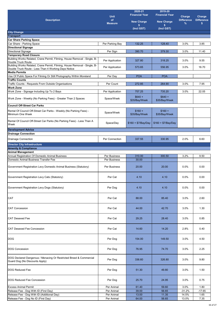|                                                                                                                                   |                             | 2020-21                   | 2019-20                   |                           |                             |
|-----------------------------------------------------------------------------------------------------------------------------------|-----------------------------|---------------------------|---------------------------|---------------------------|-----------------------------|
|                                                                                                                                   | <b>Unit</b>                 | <b>Financial Year</b>     | <b>Financial Year</b>     | Charge                    | Charge<br><b>Difference</b> |
| <b>Description</b>                                                                                                                | <b>of</b><br><b>Measure</b> | <b>New Charge</b>         | <b>New Charge</b>         | <b>Difference</b><br>$\%$ | s.                          |
|                                                                                                                                   |                             | \$<br>(Incl GST)          | s<br>(Incl GST)           |                           |                             |
| <b>City Change</b>                                                                                                                |                             |                           |                           |                           |                             |
| <b>Transport</b><br><b>Car Share Parking Space</b>                                                                                |                             |                           |                           |                           |                             |
| Car Share - Parking Space                                                                                                         | Per Parking Bay             | 132.25                    | 128.40                    | 3.0%                      | 3.85                        |
| <b>Directional Signage</b>                                                                                                        |                             |                           |                           |                           |                             |
| Directional Signage                                                                                                               | Per Sign                    | 390.70                    | 379.30                    | 3.0%                      | 11.40                       |
| <b>Temporary Road Closure</b><br>Building Works Related, Crane Permit, Filming, House Removal - Single, B-                        |                             |                           |                           |                           |                             |
| Double Truck Route                                                                                                                | Per Application             | 327.80                    | 318.25                    | 3.0%                      | 9.55                        |
| Building Works Related, Crane Permit, Filming, House Removal - Single, B-<br>Double Truck Route - Less Than 4 Working Days Notice | Per Application             | 573.65                    | 556.95                    | 3.0%                      | 16.70                       |
| <b>Media Permits</b>                                                                                                              |                             |                           |                           |                           |                             |
| Use Of Public Space For Filming Or Still Photography Within Moreland                                                              | Per Day                     | <b>POA</b>                | <b>POA</b>                |                           |                             |
| <b>Traffic Counts</b><br>Traffic Counts - Requests From Outside Organisations                                                     | Per Count                   | 272.85                    | 264.90                    | 3.0%                      | 7.95                        |
| <b>Work Zone</b>                                                                                                                  |                             |                           |                           |                           |                             |
| Work Zone - Signage Including Up To 2 Bays                                                                                        | Per Application             | 757.25                    | 735.20                    | 3.0%                      | 22.05                       |
|                                                                                                                                   |                             | $$640 +$                  | $$640 +$                  |                           |                             |
| Work Zone - Weekly (No Parking Fees) - Greater Than 2 Spaces                                                                      | Space/Week                  | \$35/Bay/Week             | \$35/Bay/Week             |                           |                             |
| <b>Council Off-Street Car Parks</b>                                                                                               |                             |                           |                           |                           |                             |
| Rental Of Council Off-Street Car Parks - Weekly (No Parking Fees) -<br>Minimum One Week                                           | Space/Week                  | $$160 +$<br>\$35/Bay/Week | $$160 +$<br>\$35/Bay/Week |                           |                             |
| Rental Of Council Off-Street Car Parks (No Parking Fees) - Less Than A<br>Week                                                    | Space/Day                   | $$160 + $7/Bay/Day$       | $$160 + $7/Bay/Day$       |                           |                             |
| <b>Development Advice</b>                                                                                                         |                             |                           |                           |                           |                             |
| <b>Drainage Connection</b>                                                                                                        |                             |                           |                           |                           |                             |
| <b>Drainage Connection</b>                                                                                                        | Per Connection              | 337.55                    | 330.95                    | 2.0%                      | 6.60                        |
| <b>Director City Infrastructure</b>                                                                                               |                             |                           |                           |                           |                             |
| <b>Amenity &amp; Compliance</b>                                                                                                   |                             |                           |                           |                           |                             |
| <b>Animal Management</b><br>Annual Registration Of Domestic Animal Business                                                       | Per Business                | 310.00                    | 300.50                    | 3.2%                      | 9.50                        |
| Domestic Animal Business Transfer Fee                                                                                             | Per Business                | 30.00                     |                           |                           |                             |
| Government Registration Levy Domestic Animal Business (Statutory)                                                                 | Per Business                | 20.00                     | 20.00                     | 0.0%                      | 0.00                        |
| Government Registration Levy Cats (Statutory)                                                                                     | Per Cat                     | 4.10                      | 4.10                      | 0.0%                      | 0.00                        |
| Government Registration Levy Dogs (Statutory)                                                                                     | Per Dog                     | 4.10                      | 4.10                      | 0.0%                      | 0.00                        |
| CAT                                                                                                                               | Per Cat                     | 88.00                     | 85.40                     | 3.0%                      | 2.60                        |
|                                                                                                                                   |                             |                           |                           |                           |                             |
| <b>CAT Concession</b>                                                                                                             | Per Cat                     | 44.00                     | 42.70                     | 3.0%                      | 1.30                        |
| <b>CAT Desexed Fee</b>                                                                                                            | Per Cat                     | 29.25                     | 28.40                     | 3.0%                      | 0.85                        |
| <b>CAT Desexed Fee Concession</b>                                                                                                 | Per Cat                     | 14.60                     | 14.20                     | 2.8%                      | 0.40                        |
| <b>DOG</b>                                                                                                                        | Per Dog                     | 154.00                    | 149.50                    | 3.0%                      | 4.50                        |
| <b>DOG Concession</b>                                                                                                             | Per Dog                     | 76.95                     | 74.70                     | 3.0%                      | 2.25                        |
| DOG Declared Dangerous / Menacing Or Restricted Breed & Commercial<br>Guard Dog (No Discounts Apply)                              | Per Dog                     | 336.60                    | 326.80                    | 3.0%                      | 9.80                        |
| <b>DOG Reduced Fee</b>                                                                                                            | Per Dog                     | 51.30                     | 49.80                     | 3.0%                      | 1.50                        |
| <b>DOG Reduced Fee Concession</b>                                                                                                 | Per Dog                     | 25.70                     | 24.95                     | 3.0%                      | 0.75                        |
| <b>Excess Animal Permit</b>                                                                                                       | Per Animal                  | 61.40                     | 59.60                     | 3.0%                      | 1.80                        |
| Release Fee - Dog With ID (First Day)                                                                                             | Per Animal                  | 39.00                     | 56.65                     | $-31.2%$                  | $-17.65$                    |
| Release Fee - Dog With ID (Additional Day)                                                                                        | Per Animal                  | 13.00<br>64.00            | 11.35                     | 14.5%<br>13.0%            | 1.65<br>7.35                |
| Release Fee - Dog No ID (First Day)                                                                                               | Per Animal                  |                           | 56.65                     |                           |                             |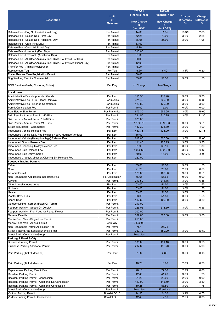|                                                                         |                                | 2020-21               | 2019-20               |                   |                   |
|-------------------------------------------------------------------------|--------------------------------|-----------------------|-----------------------|-------------------|-------------------|
|                                                                         | <b>Unit</b>                    | <b>Financial Year</b> | <b>Financial Year</b> | Charge            | Charge            |
| <b>Description</b>                                                      | of                             | <b>New Charge</b>     | <b>New Charge</b>     | <b>Difference</b> | <b>Difference</b> |
|                                                                         | <b>Measure</b>                 | \$                    | \$                    | $\%$              | s.                |
|                                                                         |                                | (Incl GST)            | (Incl GST)            |                   |                   |
| Release Fee - Dog No ID (Additional Day)                                | Per Animal                     | 14.00                 | 11.35                 | 23.3%             | 2.65              |
| Release Fee - Seized Dog (First Day)                                    | Per Animal                     | 72.25                 | 70.00                 | 3.2%              | 2.25              |
| Release Fee - Seized Dog (Additional Day)                               | Per Animal                     | 36.05                 | 35.00                 | 3.0%              | 1.05              |
| Release Fee - Cats (First Day)                                          | Per Animal                     | 13.00                 |                       |                   |                   |
| Release Fee - Cats (Additional Day)                                     | Per Animal                     | 6.70                  |                       |                   |                   |
| Release Fee - Livestock (First Day)                                     | Per Animal                     | 310.00                |                       |                   |                   |
| Release Fee - Livestock (Additional Day)                                | Per Animal                     | 31.00                 |                       |                   |                   |
| Release Fee - All Other Animals (Incl. Birds, Poultry) (First Day)      | Per Animal                     | 50.00                 |                       |                   |                   |
| Release Fee - All Other Animals (Incl. Birds, Poultry) (Additional Day) | Per Animal                     | 12.00                 |                       |                   |                   |
| Transfer Fee - Animal Registration                                      | Per Animal                     | 6.00                  |                       |                   |                   |
| <b>Replacement Tag</b>                                                  | Per Tag                        | 6.60                  | 6.40                  | 3.1%              | 0.20              |
| Foster/Rescue Care Registration Permit                                  | Per Animal                     | 50.00                 |                       |                   |                   |
| Dog Walking Permit - Commercial                                         | Per Animal                     | 53.05                 | 51.50                 | 3.0%              | 1.55              |
|                                                                         |                                |                       |                       |                   |                   |
| DOG Service (Guide, Customs, Police)                                    | Per Dog                        | No Charge             | No Charge             |                   |                   |
|                                                                         |                                |                       |                       |                   |                   |
| <b>Local Laws</b>                                                       |                                |                       |                       |                   |                   |
| Administration Fee - Impounded Goods                                    | Per Item                       | 115.55                | 112.20                | 3.0%              | 3.35              |
| Administrative Fee - Fire Hazard Removal                                | Per Invoice                    | 371.40                | 360.60                | 3.0%              | 10.80             |
| Administrative Fee - Engage Contractors                                 | Per Invoice                    | 123.80                | 120.20                | 3.0%              | 3.60              |
| <b>Permit Cancellation Fee</b>                                          | Per Permit                     | 15.00                 | 15.00                 | 0.0%              | 0.00              |
| Real Estate Sign Permit                                                 | Per Franchise                  | 675.30                | 655.65                | 3.0%              | 19.65             |
| Skip Permit - Annual Permit 1-10 Bins                                   | Per Permit                     | 731.55                | 710.25                | 3.0%              | 21.30             |
| Skip permit - Annual Permit 11-20 Bins                                  | Per Permit                     | 970.00                |                       |                   |                   |
| Skip Permit - Annual Permit 21+ Bins                                    | Per Permit                     | 1,122.70              | 1,090.00              | 3.0%              | 32.70             |
| Street occupation - Commercial                                          | Per Permit                     | 137.30                | 133.30                | 3.0%              | 4.00              |
| Impounded Vehicle Release Fee                                           | Per Item                       | 437.75                | 425.00                | 3.0%              | 12.75             |
| Impounded Vehicle Daily Fee Includes Heavy Haulage Vehicles             | Per Item                       | 15.00                 |                       |                   |                   |
| Impounded Vehicle (Heavy Haulage) Release Fee                           | Per Item                       | 618.00                | 600.00                | 3.0%              | 18.00             |
| Impounded Goods Release Fee                                             | Per Item                       | 111.40                | 108.15                | 3.0%              | 3.25              |
| Impounded Shopping Trolley Release Fee                                  | Per Item                       | 61.90                 | 60.10                 | 3.0%              | 1.80              |
| Impounded Skip Release Fee                                              | Per Item                       | 1,050.60              | 1,020.00              | 3.0%              | 30.60             |
| Impounded Skip Daily Charge                                             | Per Item                       | 40.00                 | 15.00                 | 166.7%            | 25.00             |
| Impounded Charity/Collection/Clothing Bin Release Fee                   | Per Item                       | 220.00                |                       |                   |                   |
| <b>Footway Trading Permits</b>                                          |                                |                       |                       |                   |                   |
| Table                                                                   | Per Item                       | 53.05                 | 51.50                 | 3.0%              | 1.55              |
| Chair                                                                   | Per Item                       | 21.20                 | 20.60                 | 2.9%              | 0.60              |
| A Board Permit                                                          | Per Item                       | 120.00                | 109.30                | 9.8%              | 10.70             |
| Non-Refundable Application Inspection Fee                               | Per Application                | 56.65                 | 56.65                 | 0.0%              | 0.00              |
| Awning                                                                  | Per Permit                     | 217.50                | 211.15                | 3.0%              | 6.35              |
| Other Miscellaneous Items                                               | Per Item                       | 53.05                 | 51.50                 | 3.0%              | 1.55              |
| Umbrella                                                                | Per Item                       | 53.05                 | 51.50                 | 3.0%              | 1.55              |
| Heater                                                                  | Per Item                       | 53.05                 | 51.50                 | 3.0%              | 1.55              |
| Planter Box / Tubs                                                      | Per Item                       | 53.05                 | 51.50                 | 3.0%              | 1.55              |
| <b>Bench Seat</b>                                                       | Per Item                       | 112.60                | 109.30                | 3.0%              | 3.30              |
| Outdoor Dining - Screen (Fixed Or Temp)                                 | Per Permit                     | 217.00                |                       |                   |                   |
| Footpath Activity - Goods On Display                                    | Per Permit                     | 225.05                | 218.50                | 3.0%              | 6.55              |
| Footpath Activity - Fruit / Veg Or Plant / Flower                       | Per Permit                     | 300.00                |                       |                   |                   |
| General Permits                                                         | Per Permit                     | 337.65                | 327.80                | 3.0%              | 9.85              |
| Mobile Food Van - Single Use Permit                                     | Per Permit                     | 250.00                |                       |                   |                   |
| Mobile Food Van - Annual Permit                                         | Annually                       | 2,500.00              |                       |                   |                   |
| Non-Refundable Permit Application Fee                                   | Per Permit                     | N/A                   | 25.75                 |                   |                   |
| <b>Street Trading And Special Events Permit</b>                         | Per Permit                     | 360.70                | 350.20                | 3.0%              | 10.50             |
| Street Stall - Community Group                                          | Per Permit                     | Free Use              |                       |                   |                   |
| Parking & Road Safety                                                   |                                |                       |                       |                   |                   |
| <b>Business Parking Permit</b>                                          | Per Permit                     | 135.05                | 131.10                | 3.0%              | 3.95              |
| 'Business Parking Additional Permit                                     | Per Permit                     | 202.60                | 196.70                | 3.0%              | 5.90              |
|                                                                         |                                |                       |                       |                   |                   |
| Paid Parking (Ticket Machine)                                           | Per Hour                       | 2.90                  | 2.80                  | 3.6%              | 0.10              |
|                                                                         |                                |                       |                       |                   |                   |
| Paid Parking (Ticket Machine)                                           | Per Day                        | 10.20                 | 10.00                 | 2.0%              | 0.20              |
|                                                                         |                                |                       |                       |                   |                   |
| Replacement Parking Permit Fee                                          | Per Permit                     | 28.10                 | 27.30                 | 2.9%              | 0.80              |
| <b>Resident Parking Permit</b>                                          | Per Permit                     | 42.45                 | 41.20                 | 3.0%              | 1.25              |
| Resident Parking Permit - Concession                                    | Per Permit                     | 21.20                 | 20.60                 | 2.9%              | 0.60              |
| Resident Parking Permit - Additional No Concession                      | Per Permit                     | 120.00                | 116.50                | 3.0%              | 3.50              |
| Resident Parking Permit - Additional Concession                         | Per Permit                     | 60.25                 | 58.50                 | 3.0%              | 1.75              |
| <b>Street Stall - Community Group</b>                                   | Per Permit                     | Free Use              | Free Use              |                   | 0.75              |
| Visitors Parking Permit                                                 | Booklet Of 10<br>Booklet Of 10 | 24.95<br>12.45        | 24.20                 | 3.1%<br>2.9%      | 0.35              |
| Visitors Parking Permit - Concession                                    |                                |                       | 12.10                 |                   |                   |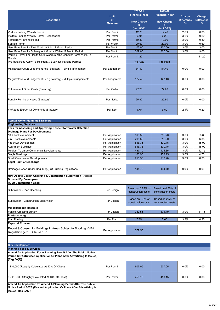|                                                                                                                                                             |                                    | 2020-21                                 | 2019-20                                 |                   |                   |
|-------------------------------------------------------------------------------------------------------------------------------------------------------------|------------------------------------|-----------------------------------------|-----------------------------------------|-------------------|-------------------|
|                                                                                                                                                             | <b>Unit</b>                        | <b>Financial Year</b>                   | <b>Financial Year</b>                   | Charge            | Charge            |
| <b>Description</b>                                                                                                                                          | of                                 | <b>New Charge</b>                       | <b>New Charge</b>                       | <b>Difference</b> | <b>Difference</b> |
|                                                                                                                                                             | <b>Measure</b>                     | s.                                      | s.                                      | %                 | \$                |
|                                                                                                                                                             |                                    | (Incl GST)                              | (Incl GST)                              |                   |                   |
| Visitors Parking Weekly Permit                                                                                                                              | Per Permit                         | 12.75                                   | 12.40                                   | 2.8%              | 0.35              |
| Visitors Parking Weekly Permit - Concession                                                                                                                 | Per Permit                         | 6.40                                    | 6.20                                    | 3.2%              | 0.20              |
| Temporary Parking Permit                                                                                                                                    | Per Permit                         | 10.30                                   | 10.00                                   | 3.0%              | 0.30              |
| Service Permit                                                                                                                                              | Per Week                           | 20.60                                   | 20.00                                   | 3.0%              | 0.60              |
| User Pays Permit - First Month Within 12 Month Period                                                                                                       | Per Month                          | 103.00                                  | 100.00                                  | 3.0%              | 3.00              |
| User Pays Permit - Subsequent Months Within 12 Month Period                                                                                                 | Per Month                          | 309.00                                  | 300.00                                  | 3.0%              | 9.00              |
| Parking Permit For Health Care Workers Who Conduct Home Visits To                                                                                           | Per Permit                         | 41.20                                   |                                         |                   | 41.20             |
| Clients                                                                                                                                                     |                                    |                                         |                                         |                   |                   |
| Pro-Rata Fees Apply To Resident & Business Parking Permits                                                                                                  |                                    | Pro Rata                                | Pro Rata                                |                   |                   |
| Magistrates Court Lodgement Fee (Statutory) - Single Infringement                                                                                           | Per Lodgement                      | 84.40                                   | 84.40                                   | 0.0%              | 0.00              |
| Magistrates Court Lodgement Fee (Statutory) - Multiple Infringements                                                                                        | Per Lodgement                      | 127.40                                  | 127.40                                  | 0.0%              | 0.00              |
| Enforcement Order Costs (Statutory)                                                                                                                         | Per Order                          | 77.20                                   | 77.20                                   | 0.0%              | 0.00              |
| Penalty Reminder Notice (Statutory)                                                                                                                         | Per Notice                         | 25.80                                   | 25.80                                   | 0.0%              | 0.00              |
| VicRoads Extract Of Ownership (Statutory)                                                                                                                   | Per Item                           | 9.70                                    | 9.50                                    | 2.1%              | 0.20              |
|                                                                                                                                                             |                                    |                                         |                                         |                   |                   |
| <b>Capital Works Planning &amp; Delivery</b>                                                                                                                |                                    |                                         |                                         |                   |                   |
| <b>Engineering Services</b>                                                                                                                                 |                                    |                                         |                                         |                   |                   |
| Fees for Assessing and Approving Onsite Stormwater Detention                                                                                                |                                    |                                         |                                         |                   |                   |
| <b>Drainage Plans For Developments</b><br>$10 +$ Lot Development                                                                                            |                                    | 819.55                                  | 795.70                                  | 3.0%              | 23.85             |
| 2 & 3 Lot Developments                                                                                                                                      | Per Application                    | 218.55                                  | 212.20                                  | 3.0%              | 6.35              |
| 4 to 9 Lot Development                                                                                                                                      | Per Application<br>Per Application | 546.35                                  | 530.45                                  | 3.0%              | 15.90             |
| Apartment Buildings                                                                                                                                         | Per Application                    | 546.35                                  | 530.45                                  | 3.0%              | 15.90             |
| Medium To Large Commercial Developments                                                                                                                     | Per Application                    | 437.10                                  | 424.35                                  | 3.0%              | 12.75             |
| Single Dwellings                                                                                                                                            | Per Application                    | 163.90                                  | 159.15                                  | 3.0%              | 4.75              |
| <b>Small Commercial Developments</b>                                                                                                                        | Per Application                    | 218.55                                  | 212.20                                  | 3.0%              | 6.35              |
| <b>Legal Point of Discharge</b>                                                                                                                             |                                    |                                         |                                         |                   |                   |
| Drainage Report Under Reg 133(2) Of Building Regulations                                                                                                    | Per Application                    | 144.70                                  | 144.70                                  | 0.0%              | 0.00              |
|                                                                                                                                                             |                                    |                                         |                                         |                   |                   |
| New Assets Design Checking & Construction Supervision - Assets<br><b>Donated By Developers</b><br>(% Of Construction Cost)                                  |                                    |                                         |                                         |                   |                   |
| Subdivision - Plan Checking                                                                                                                                 | Per Design                         | Based on 0.75% of<br>construction costs | Based on 0.75% of<br>construction costs |                   |                   |
| Subdivision - Construction Supervision                                                                                                                      | Per Design                         | Based on 2.5% of<br>construction costs  | Based on 2.5% of<br>construction costs  |                   |                   |
| <b>Miscellaneous Receipts</b>                                                                                                                               |                                    |                                         |                                         |                   |                   |
| Vehicle Crossing Survey                                                                                                                                     | Per Design                         | 382.55                                  | 371.40                                  | 3.0%              | 11.15             |
| Photocopying                                                                                                                                                |                                    |                                         |                                         |                   |                   |
| <b>Plan Printing</b>                                                                                                                                        | Per Plan                           | 7.85                                    | 7.60                                    | 3.3%              | 0.25              |
| <b>Report &amp; Consent</b><br>Report & Consent for Buildings in Areas Subject to Flooding - VBA<br>Regulation (2018) Clause 153                            | Per Application                    | 377.55                                  |                                         |                   |                   |
|                                                                                                                                                             |                                    |                                         |                                         |                   |                   |
|                                                                                                                                                             |                                    |                                         |                                         |                   |                   |
| <b>City Development</b>                                                                                                                                     |                                    |                                         |                                         |                   |                   |
| <b>Planning Fees &amp; Services</b>                                                                                                                         |                                    |                                         |                                         |                   |                   |
| Amend An Application For A Planning Permit After The Public Notice<br>Period S57A (Revised Application Or Plans After Advertising Is Issued)<br>(Reg 8A(1)) |                                    |                                         |                                         |                   |                   |
| >\$10,000 (Roughly Calculated At 40% Of Class)                                                                                                              | Per Permit                         | 607.05                                  | 607.05                                  | 0.0%              | 0.00              |
| 0 - \$10,000 (Roughly Calculated At 40% Of Class)                                                                                                           | Per Permit                         | 450.15                                  | 450.15                                  | $0.0\%$           | 0.00              |
| Amend An Application To Amend A Planning Permit After The Public<br>Notice Period S57A (Revised Application Or Plans After Advertising Is                   |                                    |                                         |                                         |                   |                   |

**Issued) Reg 8A(2))**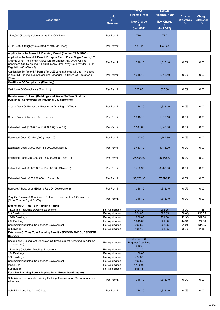|                                                                                                                                                                                                                                               | <b>Unit</b>                        | 2020-21<br><b>Financial Year</b>              | 2019-20<br><b>Financial Year</b> | Charge            | Charge            |
|-----------------------------------------------------------------------------------------------------------------------------------------------------------------------------------------------------------------------------------------------|------------------------------------|-----------------------------------------------|----------------------------------|-------------------|-------------------|
| <b>Description</b>                                                                                                                                                                                                                            | of                                 | <b>New Charge</b>                             | <b>New Charge</b>                | <b>Difference</b> | <b>Difference</b> |
|                                                                                                                                                                                                                                               | <b>Measure</b>                     | \$                                            | \$                               | $\%$              | \$                |
|                                                                                                                                                                                                                                               |                                    | (Incl GST)                                    | (Incl GST)                       |                   |                   |
| >\$10,000 (Roughly Calculated At 40% Of Class)                                                                                                                                                                                                | Per Permit                         | <b>TBA</b>                                    | TBA                              |                   |                   |
| 0 - \$10,000 (Roughly Calculated At 40% Of Class)                                                                                                                                                                                             | Per Permit                         | No Fee                                        | No Fee                           |                   |                   |
| Applications To Amend A Planning Permit (Section 72 & S62(3))                                                                                                                                                                                 |                                    |                                               |                                  |                   |                   |
| Application To Amend A Permit (Except A Permit For A Single Dwelling) To<br>Change What The Permit Allows Or: To Change Any Or All Of The<br>Conditions Or; To Amend A Permit In Any Other Way Not Provided For In<br>Regulation 8B (Class 2) | Per Permit                         | 1,318.10                                      | 1,318.10                         | 0.0%              | 0.00              |
| Application To Amend A Permit To USE Land (Change Of Use - Includes<br>Waiver Of Parking, Liquor Licensing, Changes To Hours Of Operation)<br>(Class 1)                                                                                       | Per Permit                         | 1,318.10                                      | 1,318.10                         | 0.0%              | 0.00              |
| Certificate Of Compliance (Planning)                                                                                                                                                                                                          |                                    |                                               |                                  |                   |                   |
| Certificate Of Compliance (Planning)                                                                                                                                                                                                          | Per Permit                         | 325.80                                        | 325.80                           | $0.0\%$           | 0.00              |
| Development Of Land (Buildings and Works To Two Or More<br><b>Dwellings, Commercial Or Industrial Developments)</b>                                                                                                                           |                                    |                                               |                                  |                   |                   |
| Create, Vary Or Remove A Restriction Or A Right Of Way                                                                                                                                                                                        | Per Permit                         | 1,318.10                                      | 1,318.10                         | 0.0%              | 0.00              |
| Create, Vary Or Remove An Easement                                                                                                                                                                                                            | Per Permit                         | 1,318.10                                      | 1,318.10                         | 0.0%              | 0.00              |
| Estimated Cost \$100,001 - \$1 000,000(Class 11)                                                                                                                                                                                              | Per Permit                         | 1,547.60                                      | 1,547.60                         | $0.0\%$           | 0.00              |
| Estimated Cost: \$0-\$100,000 (Class 10)                                                                                                                                                                                                      | Per Permit                         | 1,147.80                                      | 1,147.80                         | $0.0\%$           | 0.00              |
| Estimated Cost: \$1,000,000 - \$5,000,000(Class 12)                                                                                                                                                                                           | Per Permit                         | 3,413.70                                      | 3,413.70                         | 0.0%              | 0.00              |
| Estimated Cost: \$15,000,001 - \$50,000,000(Class 14)                                                                                                                                                                                         | Per Permit                         | 25,658.30                                     | 25,658.30                        | $0.0\%$           | 0.00              |
| Estimated Cost: \$5,000,001 - \$15,000,000 (Class 13)                                                                                                                                                                                         | Per Permit                         | 8,700.90                                      | 8.700.90                         | 0.0%              | 0.00              |
| Estimated Cost: > \$50,000,000 + (Class 15)                                                                                                                                                                                                   | Per Permit                         | 57,670.10                                     | 57,670.10                        | 0.0%              | 0.00              |
| Remove A Restriction (Existing Use Or Development)                                                                                                                                                                                            | Per Permit                         | 1,318.10                                      | 1.318.10                         | 0.0%              | 0.00              |
| Vary Or Remove A Condition In Nature Of Easement In A Crown Grant<br>(Other Than A Right Of Way)                                                                                                                                              | Per Permit                         | 1,318.10                                      | 1,318.10                         | $0.0\%$           | 0.00              |
| <b>Extension Of Time To A Planning Permit</b>                                                                                                                                                                                                 |                                    |                                               |                                  |                   |                   |
| 1 Dwelling (Including Dwelling Extensions)<br>2-9 Dwellings                                                                                                                                                                                   | Per Application<br>Per Application | 270.10<br>624.00                              | 262.25<br>393.35                 | 3.0%<br>58.6%     | 7.85<br>230.65    |
| 10-19 Dwellings                                                                                                                                                                                                                               | Per Application                    | 1,030.00                                      | 721.00                           | 42.9%             | 309.00            |
| 20+ Dwellings                                                                                                                                                                                                                                 | Per Application                    | 1.045.00                                      | 721.00                           | 44.9%             | 324.00            |
| Commercial/Industrial Use and/Or Development                                                                                                                                                                                                  | Per Application                    | 396.60                                        | 262.25                           | 51.2%             | 134.35            |
| Subdivision                                                                                                                                                                                                                                   | Per Application                    | 405.15                                        | 393.35                           | 3.0%              | 11.80             |
| Extension Of Time To A Planning Permit - SECOND AND SUBSEQENT<br><b>REQUEST</b>                                                                                                                                                               |                                    |                                               |                                  |                   |                   |
| Second and Subsequent Extension Of Time Request (Charged In Addition<br>To Base Fee)                                                                                                                                                          | Per Application                    | <b>Normal EOT</b><br><b>Request Cost Plus</b> |                                  |                   |                   |
| 1 Dwelling (Including Dwelling Extensions)                                                                                                                                                                                                    | Per Application                    | \$100<br>370.10                               |                                  |                   |                   |
| 10+ Dwellings                                                                                                                                                                                                                                 | Per Application                    | 1,130.00                                      |                                  |                   |                   |
| 2-9 Dwellings                                                                                                                                                                                                                                 | Per Application                    | 724.00                                        |                                  |                   |                   |
| Commercial/Industrial Use and/Or Development                                                                                                                                                                                                  | Per Application                    | 496.60                                        |                                  |                   |                   |
| <b>Mixed Use</b>                                                                                                                                                                                                                              | Per Application                    | 1,130.00                                      |                                  |                   |                   |
| Subdivision<br><b>Fees For Planning Permit Applications (Prescribed/Statutory)</b>                                                                                                                                                            | Per Application                    | 505.15                                        |                                  |                   |                   |
| Subdivision 1-2 Lots, An Existing Building, Consolidation Or Boundary Re-<br>Alignment                                                                                                                                                        | Per Permit                         | 1,318.10                                      | 1,318.10                         | $0.0\%$           | 0.00              |
| Subdivide Land Into 3 - 100 Lots                                                                                                                                                                                                              | Per Permit                         | 1,318.10                                      | 1,318.10                         | 0.0%              | 0.00              |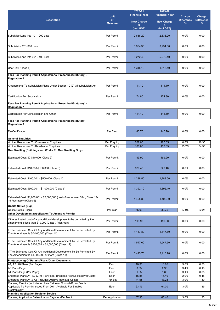|                                                                                                                                                      |                   | 2020-21<br><b>Financial Year</b> | 2019-20<br><b>Financial Year</b> |                             |                             |
|------------------------------------------------------------------------------------------------------------------------------------------------------|-------------------|----------------------------------|----------------------------------|-----------------------------|-----------------------------|
| <b>Description</b>                                                                                                                                   | <b>Unit</b><br>of | <b>New Charge</b>                |                                  | Charge<br><b>Difference</b> | Charge<br><b>Difference</b> |
|                                                                                                                                                      | <b>Measure</b>    | \$.                              | <b>New Charge</b><br>s.          | %                           | \$                          |
|                                                                                                                                                      |                   | (Incl GST)                       | (Incl GST)                       |                             |                             |
| Subdivide Land Into 101 - 200 Lots                                                                                                                   | Per Permit        | 2.636.20                         | 2,636.20                         | 0.0%                        | 0.00                        |
| Subdivision 201-300 Lots                                                                                                                             | Per Permit        | 3,954.30                         | 3,954.30                         | 0.0%                        | 0.00                        |
| Subdivide Land Into 301 - 400 Lots                                                                                                                   | Per Permit        | 5.272.40                         | 5,272.40                         | 0.0%                        | 0.00                        |
| Use Only (Class 1)                                                                                                                                   | Per Permit        | 1,318.10                         | 1,318.10                         | 0.0%                        | 0.00                        |
| Fees For Planning Permit Applications (Prescribed/Statutory) -<br><b>Regulation 6</b>                                                                |                   |                                  |                                  |                             |                             |
| Amendments To Subdivision Plans Under Section 10 (2) Of subdivision Act                                                                              | Per Permit        | 111.10                           | 111.10                           | 0.0%                        | 0.00                        |
| Certification For Subdivision                                                                                                                        | Per Permit        | 174.80                           | 174.80                           | 0.0%                        | 0.00                        |
| Fees For Planning Permit Applications (Prescribed/Statutory) -<br><b>Regulation 7</b>                                                                |                   |                                  |                                  |                             |                             |
| Certification For Consolidation and Other                                                                                                            | Per Permit        | 111.10                           | 111.10                           | 0.0%                        | 0.00                        |
| Fees For Planning Permit Applications (Prescribed/Statutory) -                                                                                       |                   |                                  |                                  |                             |                             |
| <b>Regulation 8</b>                                                                                                                                  |                   |                                  |                                  |                             |                             |
| <b>Re-Certification</b>                                                                                                                              | Per Card          | 140.70                           | 140.70                           | 0.0%                        | 0.00                        |
| <b>General Enquiries</b>                                                                                                                             |                   |                                  |                                  |                             |                             |
| Written Responses To Commercial Enquiries<br>Written Responses To Residential Enquiries                                                              | Per Enquiry       | 202.00<br>168.00                 | 185.65<br>133.65                 | 8.8%<br>25.7%               | 16.35<br>34.35              |
| One Dwelling (Buildings and Works To One Dwelling Only)                                                                                              | Per Enquiry       |                                  |                                  |                             |                             |
| Estimated Cost: \$0-\$10,000 (Class 2)                                                                                                               | Per Permit        | 199.90                           | 199.90                           | 0.0%                        | 0.00                        |
| Estimated Cost: \$10,000-\$100,000 (Class 3)                                                                                                         | Per Permit        | 629.40                           | 629.40                           | 0.0%                        | 0.00                        |
| Estimated Cost: \$100,001 - \$500,000 (Class 4)                                                                                                      | Per Permit        | 1,288.50                         | 1,288.50                         | 0.0%                        | 0.00                        |
| Estimated Cost: \$500,001 - \$1,000,000 (Class 5)                                                                                                    | Per Permit        | 1,392.10                         | 1,392.10                         | 0.0%                        | 0.00                        |
| Estimated Cost: \$1,000,001 - \$2,000,000 (cost of works over \$2m, Class 12-<br>15 fees apply) (Class 6)                                            | Per Permit        | 1,495.80                         | 1,495.80                         | 0.0%                        | 0.00                        |
| <b>Onsite Notice (Sign)</b>                                                                                                                          |                   |                                  |                                  |                             |                             |
| Onsite Notice (Sign)<br><b>Other Development (Application To Amend A Permit)</b>                                                                     | Per Sign          | 55.00                            | 32.75                            | 67.9%                       | 22.25                       |
| If the estimated cost of any additional development to be permitted by the<br>amendment is less than \$10,000 (Class 7 VicSmart)                     | Per Permit        | 199.90                           | 199.90                           | 0.0%                        | 0.00                        |
| If The Estimated Cost Of Any Additional Development To Be Permitted By<br>The Amendment Is \$0-100,000 (Class 11)                                    | Per Permit        | 1,147.80                         | 1,147.80                         | 0.0%                        | 0.00                        |
| If The Estimated Cost Of Any Additional Development To Be Permitted By<br>The Amendment Is \$100,001 - \$1,000,000 (Class 12)                        | Per Permit        | 1,547.60                         | 1,547.60                         | 0.0%                        | 0.00                        |
| If The Estimated Cost Of Any Additional Development To Be Permitted By<br>The Amendment Is \$1,000,000 or more (Class 13)                            | Per Permit        | 3,413.70                         | 3,413.70                         | 0.0%                        | 0.00                        |
| Photocopying Of Permits/Plans/Other Documents                                                                                                        |                   |                                  |                                  |                             |                             |
| A1, A2, A0 Plans (Per Page)                                                                                                                          | Each              | 10.35                            | 10.05                            | 3.0%                        | 0.30                        |
| A3 Plans/Page                                                                                                                                        | Each              | 3.05                             | 2.95                             | 3.4%                        | 0.10                        |
| A4 Plans/Page (Per Page)<br>Endorsed Plans A1, A2 & A0 (Per Page) (Includes Archive Retrieval Costs)                                                 | Each<br>Each      | 1.65<br>15.85                    | 1.60<br>15.40                    | 3.1%<br>2.9%                | 0.05<br>0.45                |
| Endorsed Plans A4 & A3 (Includes Archive Retrieval Costs)                                                                                            | Per Set           | 44.55                            | 43.25                            | 3.0%                        | 1.30                        |
| Planning Permits (Includes Archive Retrieval Costs) NB: No Fee Is<br>Applicable To Permits Issued From 2011 Available For Emailed<br>Electronically. | Each              | 63.15                            | 61.30                            | 3.0%                        | 1.85                        |
| <b>Planning Application Register Service</b>                                                                                                         |                   |                                  |                                  |                             |                             |
| Planning Application Determination Register -Per Month                                                                                               | Per Application   | 67.35                            | 65.40                            | 3.0%                        | 1.95                        |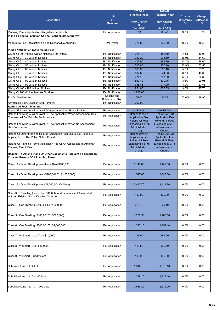| <b>Description</b>                                                                                                | <b>Unit</b><br>of<br><b>Measure</b>  | $2020 - 21$<br><b>Financial Year</b><br><b>New Charge</b><br>\$         | 2019-20<br><b>Financial Year</b><br><b>New Charge</b><br>s.             | Charge<br><b>Difference</b><br>% | Charge<br><b>Difference</b><br>s |
|-------------------------------------------------------------------------------------------------------------------|--------------------------------------|-------------------------------------------------------------------------|-------------------------------------------------------------------------|----------------------------------|----------------------------------|
| Planning Permit Applications Register - Per Month                                                                 | Per Application                      | (Incl GST)<br>67.35                                                     | (Incl GST)<br>65.40                                                     | 3.0%                             | 1.95                             |
| Plans To The Satisfaction Of The Responsible Authority                                                            |                                      |                                                                         |                                                                         |                                  |                                  |
| Matters To The Satisfaction Of The Responsible Authority                                                          | Per Permit                           | 325.80                                                                  | 325.80                                                                  | 0.0%                             | 0.00                             |
| <b>Public Notification (Advertising Fees)</b>                                                                     |                                      |                                                                         |                                                                         |                                  |                                  |
| Giving Of 20 Or Less Written Notices 1-20 Letters                                                                 | Per Notification                     | 225.40                                                                  | 185.40                                                                  | 21.6%                            | 40.00                            |
| Giving Of 21 - 30 Written Notices                                                                                 | Per Notification                     | 323.20                                                                  | 278.60                                                                  | 16.0%                            | 44.60                            |
| Giving Of 31 - 40 Written Notices                                                                                 | Per Notification                     | 417.90                                                                  | 369.30                                                                  | 13.2%                            | 48.60                            |
| Giving Of 41 - 50 Written Notices                                                                                 | Per Notification                     | 512.60                                                                  | 450.10                                                                  | 13.9%                            | 62.50                            |
| Giving Of 51 - 60 Written Notices                                                                                 | Per Notification                     | 583.30                                                                  | 552.10                                                                  | 5.7%                             | 31.20                            |
| Giving Of 61 - 70 Written Notices                                                                                 | Per Notification                     | 687.80                                                                  | 644.80                                                                  | 6.7%                             | 43.00                            |
| Giving Of 71 - 80 Written Notices                                                                                 | Per Notification                     | 774.15                                                                  | 737.50                                                                  | 5.0%                             | 36.65                            |
| Giving Of 81 - 90 Written Notices                                                                                 | Per Notification                     | 860.40<br>945.45                                                        | 830.45<br>917.90                                                        | 3.6%                             | 29.95<br>27.55                   |
| Giving Of 91 - 99 Written Notices<br>Giving Of 100 - 199 Written Notices                                          | Per Notification<br>Per Notification | 951.05                                                                  | 923.35                                                                  | 3.0%<br>3.0%                     | 27.70                            |
| Giving Of 200 Written Notices Or More                                                                             | Per Notification                     | 1,900.00                                                                |                                                                         |                                  |                                  |
|                                                                                                                   | Second and                           |                                                                         |                                                                         |                                  |                                  |
| For On Site Notices<br>Advertising Sign, Erection And Removal                                                     | Subsequent Sign<br>Per Notification  | 55.00<br>200.00                                                         | 36.05                                                                   | 52.6%                            | 18.95                            |
| <b>Refund Of Fees - Planning</b>                                                                                  |                                      |                                                                         |                                                                         |                                  |                                  |
| Refund Following A Withdrawal Of Application After Public Notice                                                  | Per Application                      | No Refund                                                               | No Refund                                                               |                                  |                                  |
| Refund Following A Withdrawal Of The Application When Assessment Has                                              | Per Application                      | Refund 25% Of                                                           | Refund 25% Of                                                           |                                  |                                  |
| <b>Commenced But Prior To Public Notice</b>                                                                       |                                      | <b>Application Fee</b>                                                  | <b>Application Fee</b>                                                  |                                  |                                  |
| Refund Following A Withdrawal Of The Application When No Assessment<br>Has Commenced                              | Per Application                      | <b>Refund All Fees</b><br>Exceeding a \$175<br>Administration<br>Charge | <b>Refund All Fees</b><br>Exceeding a \$175<br>Administration<br>Charge |                                  |                                  |
| Refund Of Other Planning Related Application Fees (Note: No Refund Is<br>Applicable For The Public Notice Costs)  | Per Application                      | Refund 25% Of<br><b>Application Fee</b>                                 | Refund 25% Of<br><b>Application Fee</b>                                 |                                  |                                  |
| Refund Of Planning Permit Application Fee Or An Application To Amend A<br><b>Planning Permit Fee</b>              | Per Application                      | <b>Refund All Fees</b><br>Exceeding a \$175<br>Administration<br>Charge | <b>Refund All Fees</b><br>Exceeding a \$175<br>Administration<br>Charge |                                  |                                  |
| Request To Amend Plans Or Other Documents Pursuant To Secondary<br><b>Consent Powers Of A Planning Permit</b>     |                                      |                                                                         |                                                                         |                                  |                                  |
| Class 11 - Other Development (Less Than \$100,000)                                                                | Per Application                      | 1,147.80                                                                | 1,147.80                                                                | 0.0%                             | 0.00                             |
| Class 12 - Other Development (\$100,001 To \$1,000,000)                                                           | Per Application                      | 1,547.60                                                                | 1,547.60                                                                | 0.0%                             | 0.00                             |
| Class 13 - Other Development (\$1,000,001 Or More)                                                                | Per Application                      | 3,413.70                                                                | 3,413.70                                                                | $0.0\%$                          | 0.00                             |
| Class 3 - 1 Dwelling (Less Than \$10,000) and Development Associated<br>With An Existing Single Dwelling On A Lot | Per Application                      | 199.90                                                                  | 199.90                                                                  | $0.0\%$                          | 0.00                             |
| Class 4 - One Dwelling (\$10,001 To \$100,000)                                                                    | Per Application                      | 629.40                                                                  | 629.40                                                                  | $0.0\%$                          | 0.00                             |
| Class 5 - One Dwelling (\$100,001 To \$500,000)                                                                   | Per Application                      | 1,288.50                                                                | 1,288.50                                                                | 0.0%                             | 0.00                             |
| Class 6 - One Dwelling (\$500,001 To \$2,000,000)                                                                 | Per Application                      | 1,392.10                                                                | 1,392.10                                                                | $0.0\%$                          | 0.00                             |
| Class 7 - VicSmart (Less Than \$10,000)                                                                           | Per Application                      | 199.90                                                                  | 199.90                                                                  | $0.0\%$                          | 0.00                             |
| Class 8 - VicSmart (Over \$10,000)                                                                                | Per Application                      | 429.50                                                                  | 429.50                                                                  | 0.0%                             | 0.00                             |
| Class 9 - VicSmart (Subdivision)                                                                                  | Per Application                      | 199.90                                                                  | 199.90                                                                  | $0.0\%$                          | 0.00                             |
| Subdivide Land Into 2 Lots                                                                                        | Per Application                      | 1,318.10                                                                | 1,318.10                                                                | 0.0%                             | 0.00                             |
| Subdivide Land Into 3 - 100 Lots                                                                                  | Per Application                      | 1,318.10                                                                | 1,318.10                                                                | 0.0%                             | 0.00                             |
| Subdivide Land Into 101 - 200 Lots                                                                                | Per Application                      | 2,636.20                                                                | 2,636.20                                                                | 0.0%                             | 0.00                             |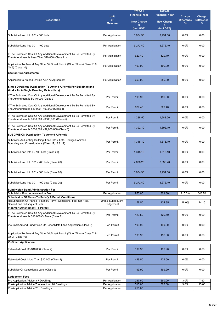| <b>Description</b>                                                                                                                                                                               | <b>Unit</b><br>of             | 2020-21<br><b>Financial Year</b>      | 2019-20<br><b>Financial Year</b>      | Charge<br><b>Difference</b> | Charge<br><b>Difference</b> |
|--------------------------------------------------------------------------------------------------------------------------------------------------------------------------------------------------|-------------------------------|---------------------------------------|---------------------------------------|-----------------------------|-----------------------------|
|                                                                                                                                                                                                  | <b>Measure</b>                | <b>New Charge</b><br>\$<br>(Incl GST) | <b>New Charge</b><br>s.<br>(Incl GST) | %                           | \$                          |
|                                                                                                                                                                                                  |                               |                                       |                                       |                             |                             |
| Subdivide Land Into 201 - 300 Lots                                                                                                                                                               | Per Application               | 3,954.30                              | 3,954.30                              | 0.0%                        | 0.00                        |
| Subdivide Land Into 301 - 400 Lots                                                                                                                                                               | Per Application               | 5,272.40                              | 5,272.40                              | 0.0%                        | 0.00                        |
| If The Estimated Cost Of Any Additional Development To Be Permitted By<br>The Amendment Is Less Than \$20,000 (Class 11)                                                                         | Per Application               | 629.40                                | 629.40                                | 0.0%                        | 0.00                        |
| Application To Amend Any Other VicSmart Permit (Other Than A Class 7, 8<br>Or 9) (Class 10)                                                                                                      | Per Application               | 199.90                                | 199.90                                | 0.0%                        | 0.00                        |
| <b>Section 173 Agreements</b>                                                                                                                                                                    |                               |                                       |                                       |                             |                             |
| Application to Amend Or End A S173 Agreement                                                                                                                                                     | Per Application               | 659.00                                | 659.00                                | $0.0\%$                     | 0.00                        |
| Single Dwellings (Application To Amend A Permit For Buildings and<br><b>Works To A Single Dwelling Or Ancillary)</b>                                                                             |                               |                                       |                                       |                             |                             |
| If The Estimated Cost Of Any Additional Development To Be Permitted By<br>The Amendment Is \$0-10,000 (Class 3)                                                                                  | Per Permit                    | 199.90                                | 199.90                                | 0.0%                        | 0.00                        |
| If The Estimated Cost Of Any Additional Development To Be Permitted By<br>The Amendment Is \$10,000 - 100,000 (Class 4)                                                                          | Per Permit                    | 629.40                                | 629.40                                | 0.0%                        | 0.00                        |
| If The Estimated Cost Of Any Additional Development To Be Permitted By<br>The Amendment Is \$100,001 - \$500,000 (Class 5)                                                                       | Per Permit                    | 1.288.50                              | 1,288.50                              | 0.0%                        | 0.00                        |
| If The Estimated Cost Of Any Additional Development To Be Permitted By<br>The Amendment Is \$500,001 - \$2,000,000 (Class 6)                                                                     | Per Permit                    | 1,392.10                              | 1,392.10                              | 0.0%                        | 0.00                        |
| <b>SUBDIVISION (Application To Amend A Permit)</b>                                                                                                                                               |                               |                                       |                                       |                             |                             |
| Subdivide An Existing Building, Land Into 2 Lots, Realign Common<br>Boundary and Consolidations (Class 17,18 & 19)                                                                               | Per Permit                    | 1,318.10                              | 1,318.10                              | 0.0%                        | 0.00                        |
| Subdivide Land Into 3 - 100 Lots (Class 20)                                                                                                                                                      | Per Permit                    | 1,318.10                              | 1,318.10                              | 0.0%                        | 0.00                        |
| Subdivide Land Into 101 - 200 Lots (Class 20)                                                                                                                                                    | Per Permit                    | 2.636.20                              | 2.636.20                              | 0.0%                        | 0.00                        |
| Subdivide Land Into 201 - 300 Lots (Class 20)                                                                                                                                                    | Per Permit                    | 3,954.30                              | 3,954.30                              | 0.0%                        | 0.00                        |
| Subdivide Land Into 301 - 400 Lots (Class 20)                                                                                                                                                    | Per Permit                    | 5,272.40                              | 5,272.40                              | 0.0%                        | 0.00                        |
| <b>Subdivision Bond Administration Fee</b>                                                                                                                                                       |                               |                                       |                                       |                             |                             |
| Subdivision Bond Administration Fee                                                                                                                                                              | Per Application               | 950.00                                | 301.30                                | 215.3%                      | 648.70                      |
| Submission Of Plans (To Satisfy A Permit Condition)<br>Resubmission Of Plans (To Satisfy Permit Conditions) First Set Free,<br>Second and Subsequent Sets<br><b>VicSmart Amendment To Permit</b> | 2nd & Subsequent<br>Lodgement | 158.50                                | 134.35                                | 18.0%                       | 24.15                       |
|                                                                                                                                                                                                  |                               |                                       |                                       |                             |                             |
| If The Estimated Cost Of Any Additional Development To Be Permitted By<br>The Amendment Is \$10,000 Or More (Class 8)                                                                            | Per Permit                    | 429.50                                | 429.50                                | $0.0\%$                     | 0.00                        |
| VicSmart Amend Subdivision Or Consolidate Land Application (Class 9)                                                                                                                             | Per Permit                    | 199.90                                | 199.90                                | 0.0%                        | 0.00                        |
| Application To Amend Any Other VicSmart Permit (Other Than A Class 7, 8<br>Or 9) (Class 10)                                                                                                      | Per Permit                    | 199.90                                | 199.90                                | $0.0\%$                     | 0.00                        |
| <b>VicSmart Application</b>                                                                                                                                                                      |                               |                                       |                                       |                             |                             |
| Estimated Cost: \$0-\$10,000 (Class 7)                                                                                                                                                           | Per Permit                    | 199.90                                | 199.90                                | 0.0%                        | 0.00                        |
| Estimated Cost: More Than \$10,000 (Class 8)                                                                                                                                                     | Per Permit                    | 429.50                                | 429.50                                | $0.0\%$                     | 0.00                        |
| Subdivide Or Consolidate Land (Class 9)                                                                                                                                                          | Per Permit                    | 199.90                                | 199.90                                | 0.0%                        | 0.00                        |
| <b>Lodgement Fees</b>                                                                                                                                                                            |                               |                                       |                                       |                             |                             |
| Pre-Application Advice 3-7 Dwellings                                                                                                                                                             | Per Application               | 257.50                                | 250.00                                | 3.0%                        | 7.50                        |
| Pre-Application Advice 7 to less than 20 Dwellings                                                                                                                                               | Per Application               | 515.00                                | 500.00                                | 3.0%                        | 15.00                       |
| Pre-Application Advice 20+ Dwellings                                                                                                                                                             | Per Application               | 750.00                                |                                       |                             |                             |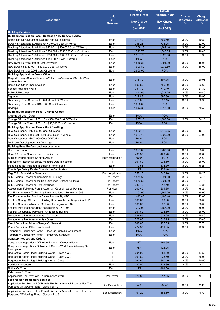|                                                                                                                                 |                                  | 2020-21               | 2019-20               |                   |                   |
|---------------------------------------------------------------------------------------------------------------------------------|----------------------------------|-----------------------|-----------------------|-------------------|-------------------|
|                                                                                                                                 | <b>Unit</b>                      | <b>Financial Year</b> | <b>Financial Year</b> | Charge            | Charge            |
| <b>Description</b>                                                                                                              | of                               | <b>New Charge</b>     | <b>New Charge</b>     | <b>Difference</b> | <b>Difference</b> |
|                                                                                                                                 | <b>Measure</b>                   | \$                    | s.                    | $\%$              | s.                |
|                                                                                                                                 |                                  | (Incl GST)            | (Incl GST)            |                   |                   |
| <b>Building Services</b>                                                                                                        |                                  |                       |                       |                   |                   |
| Building Application Fees - Domestic New Or Alts & Adds                                                                         |                                  |                       |                       |                   |                   |
| Demolition Of A Detached Dwelling and Outbuildings                                                                              | Each                             | 371.40                | 360.60                | 3.0%              | 10.80             |
| Dwelling Alterations & Additions<+\$40,000 Cost Of Works<br>Dwelling Alterations & Additions \$40,001 - \$200,000 Cost Of Works | Each<br>Each                     | 755.25<br>1,306.15    | 733.25<br>1,268.10    | 3.0%<br>3.0%      | 22.00             |
| Dwelling Alterations & Additions \$200,001 - \$350,000 Cost Of Works                                                            | Each                             | 1,592.75              | 1,546.35              | 3.0%              | 38.05<br>46.40    |
| Dwelling Alterations & Additions \$350,001 - \$500,000 Cost Of Works                                                            | Each                             | 1,987.70              | 1,929.80              | 3.0%              | 57.90             |
| Dwelling Alterations & Additions > \$500,001 Cost Of Works                                                                      | Each                             | <b>POA</b>            | <b>POA</b>            |                   |                   |
| New Dwelling <= \$350,000 Cost Of Works                                                                                         | Each                             | 1,546.35              | 1.501.30              | 3.0%              | 45.05             |
| New Dwelling \$350,001 - \$500,000 Cost Of Works                                                                                | Each                             | 1,990.80              | 1,932.80              | 3.0%              | 58.00             |
| New Dwelling >\$500,001 Cost Of Works                                                                                           | Each                             | 2,500.00              | <b>POA</b>            |                   |                   |
| <b>Building Application Fees - Other</b>                                                                                        |                                  |                       |                       |                   |                   |
| Carport/Garage/Shade Structure/Water Tank/Verandah/Gazebo/Mast                                                                  | Each                             | 718.70                | 697.75                | 3.0%              | 20.95             |
| poles/Antennae                                                                                                                  |                                  |                       |                       |                   |                   |
| Demolition Other Than Dwelling                                                                                                  | Each                             | 809.60                | 786.00                | 3.0%              | 23.60             |
| <b>Fences/Retaining Walls</b>                                                                                                   | Each<br>Each                     | 731.70<br>1,043.65    | 710.40<br>1,013.25    | 3.0%<br>3.0%      | 21.30<br>30.40    |
| Reblock/Restump<br>Signage                                                                                                      | Each                             | 718.85                | 697.90                | 3.0%              | 20.95             |
| Swimming Pools/Spas <= \$100,000 Cost Of Works                                                                                  | Each                             | 718.05                | 697.15                | 3.0%              | 20.90             |
| Swimming Pools/Spas > \$100,000 Cost Of Works                                                                                   | Each                             | 1,000.00              | <b>POA</b>            |                   |                   |
| Underpin                                                                                                                        | Each                             | 1,044.30              | 1,013.90              | 3.0%              | 30.40             |
| <b>Building Appplication Fees - Change Of Use</b>                                                                               |                                  |                       |                       |                   |                   |
| Change Of Use - Other                                                                                                           | Each                             | <b>POA</b>            | <b>POA</b>            |                   |                   |
| Change Of Use Class 1A To 1B <= \$50,000 Cost Of Works                                                                          | Each                             | 1,857.10              | 1,803.00              | 3.0%              | 54.10             |
| Change Of Use Class 1A To 1B >\$50,000 Cost Of Works                                                                            | Each                             | <b>POA</b>            | <b>POA</b>            |                   |                   |
| <b>Building Appplication Fees - Multi Dwelling</b>                                                                              |                                  |                       |                       |                   |                   |
| Dual Occupancy <= \$350,000 Cost Of Works                                                                                       | Each                             | 1,592.75              | 1,546.35              | 3.0%              | 46.40             |
| Dual Occupancy \$350,001 - \$500,000 Cost Of Works                                                                              | Each                             | 1,987.10              | 1,929.20              | 3.0%              | 57.90             |
| Dual Occupancy > \$500,000 Cost Of Works                                                                                        | Each                             | <b>POA</b>            | <b>POA</b>            |                   |                   |
| Mulit-Unit Development > 2 Dwellings                                                                                            | Each                             | <b>POA</b>            | <b>POA</b>            |                   |                   |
| <b>Building Fees Professional Assessments</b>                                                                                   |                                  |                       |                       |                   |                   |
| <b>RBS</b> Termination                                                                                                          | Each                             | 1,821.05              | 1,768.00              | 3.0%              | 53.05             |
| Reg 608 Partial Compliance Determination                                                                                        | Each                             | 433.30                | 420.70                | 3.0%              | 12.60             |
| <b>Building Permit Advice (Written Advice)</b><br>Fire Safety - Essential Safety Measure Determinations                         | Each Application<br>$\mathbf{1}$ | 86.65<br>961.60       | 84.15<br>933.60       | 3.0%<br>3.0%      | 2.50<br>28.00     |
| Inspections Not Included In Building Permit Fees                                                                                | Each                             | 179.55                | 174.30                | 3.0%              | 5.25              |
| Pool & Spa Safety Barrier Compliance Certificates                                                                               | $\mathbf{1}$                     | N/A                   | 233.40                |                   |                   |
| Reg 503 - Subdivision Statement                                                                                                 | <b>Each Application</b>          | 557.15                | 540.90                | 3.0%              | 16.25             |
| Sub-Division Report For Commercial Buildings                                                                                    | Per Report                       | 1,879.55              | 1,824.80              | 3.0%              | 54.75             |
| Sub-Division Report For Multiple Dwellings (Exceeding Two)                                                                      | Per Report                       | 1,879.55              | 1,824.80              | 3.0%              | 54.75             |
| Sub-Division Report For Two Dwellings                                                                                           | Per Report                       | 939.75                | 912.40                | 3.0%              | 27.35             |
| Assessment Following Part 8 Action On Council Issued Permits                                                                    | Per Hour                         | 207.40                | 201.35                | 3.0%              | 6.05              |
| Fee For Alterations To Building Determinations - Regulation 608                                                                 | Each                             | 1,202.00              | 1,167.00              | 3.0%              | 35.00             |
| Fee For Alternative Solution Determinations By MBS                                                                              | Each                             | 1,442.40              | 1,400.40              | 3.0%              | 42.00             |
| Fee For Change Of Use To Building Determinations - Regulation 1011                                                              | Each                             | 961.60                | 933.60                | 3.0%              | 28.00             |
| Fee For Combine Allotment Statement - Regulation 502                                                                            | Each                             | 961.60                | 933.60                | 3.0%              | 28.00             |
| Fee For MFB Reports Under Regulation 309 & 1003                                                                                 | Each                             | 1,202.00              | 1,167.00              | 3.0%              | 35.00             |
| Fee For Occupancy Permit For An Existing Building                                                                               | Each                             | 961.60                | 933.60                | 3.0%              | 28.00             |
| Mods/Alternative Assessments - Domestic                                                                                         | Each                             | 528.65                | 513.25                | 3.0%              | 15.40             |
| Mods/Alternative Assessments - Other                                                                                            | Each                             | 528.65                | 513.25                | 3.0%              | 15.40             |
| Permit Variation - Minor- Change Of Name etc.<br>Permit Variation - Other (Not Minor)                                           | Each<br>Each                     | 242.60<br>424.30      | 235.55<br>411.95      | 3.0%<br>3.0%      | 7.05<br>12.35     |
| Temporary Occupancy Permit - Place Of Public Entertainment                                                                      | Each                             | <b>POA</b>            | <b>POA</b>            |                   |                   |
| Temporary Occupancy Permit - Temporary Structure                                                                                | Each                             | <b>POA</b>            | <b>POA</b>            |                   |                   |
| <b>Statutory Notices and Orders</b>                                                                                             |                                  |                       |                       |                   |                   |
| Compliance Inspections Of Notice & Order - Owner Initiated                                                                      | Each                             | N/A                   | 195.95                |                   |                   |
| Compliance Inspections Of Notice & Order - Work Unsatisfactory Or                                                               |                                  |                       |                       |                   |                   |
| Incomplete                                                                                                                      | Each                             | N/A                   | 423.05                |                   |                   |
| Request to Retain Illegal Building Works - Class 1 & 2                                                                          | $\mathbf{1}$                     | 601.00                | 583.50                | 3.0%              | 17.50             |
| Request to Retain Illegal Building Works - Class 3 & 9                                                                          | $\mathbf{1}$                     | 961.60                | 933.60                | 3.0%              | 28.00             |
| Request to Retain Illegal Building Works - Class 10                                                                             | $\mathbf{1}$                     | 360.60                | 350.10                | 3.0%              | 10.50             |
| Additional Inspection                                                                                                           | Each                             | 127.00                | 123.30                | 3.0%              | 3.70              |
| Notice Or Order<br><b>Extension Of Time</b>                                                                                     | Each                             | N/A                   | 461.50                |                   |                   |
| Applications For Extension To Commence Work                                                                                     | Per Permit                       | 326.85                | 317.35                | 3.0%              | 9.50              |
| <b>Fees for Non-Regulatory Services</b>                                                                                         |                                  |                       |                       |                   |                   |
| Application For Retrieval Of Permit File From Archival Records For The                                                          |                                  |                       |                       |                   |                   |
| Purposes Of Viewing Plans - Class 1 or 10                                                                                       | See Description                  | 84.85                 | 82.40                 | 3.0%              | 2.45              |
| Application For Retrieval Of Permit File From Archival Records For The                                                          | See Description                  | 161.20                | 156.50                | 3.0%              | 4.70              |
| Purposes Of Viewing Plans - Classes 2 to 9                                                                                      |                                  |                       |                       |                   |                   |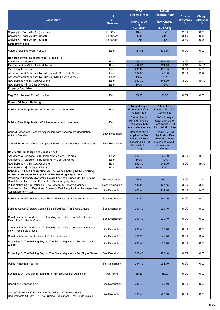| <b>Description</b>                                                                                                                                                                                        | <b>Unit</b><br>of<br><b>Measure</b> | $2020 - 21$<br><b>Financial Year</b><br><b>New Charge</b>                                 | 2019-20<br><b>Financial Year</b><br><b>New Charge</b>                                     | Charge<br><b>Difference</b><br>% | Charge<br><b>Difference</b><br>\$ |
|-----------------------------------------------------------------------------------------------------------------------------------------------------------------------------------------------------------|-------------------------------------|-------------------------------------------------------------------------------------------|-------------------------------------------------------------------------------------------|----------------------------------|-----------------------------------|
|                                                                                                                                                                                                           |                                     | \$                                                                                        | \$                                                                                        |                                  |                                   |
| Copying Of Plans A0 - A2 (Per Sheet)                                                                                                                                                                      | Per Sheet                           | (Incl GST)<br>10.50                                                                       | (Incl GST)<br>10.20                                                                       | 2.9%                             | 0.30                              |
| Copying Of Plans A3 (Per Sheet)                                                                                                                                                                           | Per Sheet                           | 3.00                                                                                      | 2.90                                                                                      | 3.4%                             | 0.10                              |
| Copying Of Plans A4 (Per Sheet)                                                                                                                                                                           | Per Sheet                           | 1.60                                                                                      | 1.55                                                                                      | 3.2%                             | 0.05                              |
| <b>Lodgement Fees</b>                                                                                                                                                                                     |                                     |                                                                                           |                                                                                           |                                  |                                   |
| Value Of Building Work > \$5000                                                                                                                                                                           | Each                                | 121.85                                                                                    | 121.85                                                                                    | 0.0%                             | 0.00                              |
| Non-Residential Building Fees - Class 5 - 9                                                                                                                                                               |                                     |                                                                                           |                                                                                           |                                  |                                   |
| <b>Additional Inspections</b>                                                                                                                                                                             | Each                                | 154.15                                                                                    | 149.65                                                                                    | 3.0%                             | 4.50                              |
| Final Inspection Of An Expired Permit                                                                                                                                                                     | Each                                | 486.50                                                                                    | 472.35                                                                                    | 3.0%                             | 14.15                             |
| <b>Mandatory Inspections</b>                                                                                                                                                                              | Each                                | 201.85                                                                                    | 195.95                                                                                    | 3.0%                             | 5.90                              |
| Alterations and Additional To Building <= \$1M Cost Of Works<br>Alterations and Additional To Building >\$1M Cost Of Works                                                                                | Each<br>Each                        | 662.30<br><b>POA</b>                                                                      | 643.00<br><b>POA</b>                                                                      | 3.0%                             | 19.30                             |
| New Building <= \$1M Cost Of Works                                                                                                                                                                        | Each                                | 662.30                                                                                    | 643.00                                                                                    | 3.0%                             | 19.30                             |
| New Building >\$1M Cost Of Works                                                                                                                                                                          | Each                                | <b>POA</b>                                                                                | <b>POA</b>                                                                                |                                  |                                   |
| <b>Property Enquiries</b>                                                                                                                                                                                 |                                     |                                                                                           |                                                                                           |                                  |                                   |
| Reg 326 - Request For Information                                                                                                                                                                         | Each                                | 53.65                                                                                     | 53.65                                                                                     | 0.0%                             | 0.00                              |
| <b>Refund Of Fees - Building</b>                                                                                                                                                                          |                                     |                                                                                           |                                                                                           |                                  |                                   |
| Building Permit Application With Assessment Undertaken                                                                                                                                                    | Each                                | Refund levy -<br>Refund 25% Of All<br><b>Other Fees</b>                                   | Refund levy -<br>Refund 25% Of All<br><b>Other Fees</b>                                   |                                  |                                   |
| Building Permit Application With No Assessment Undertaken                                                                                                                                                 | Each                                | Refund Levy -<br><b>Refund All Other</b><br>Fees Minus \$180<br><b>Administration Fee</b> | Refund Levy -<br><b>Refund All Other</b><br>Fees Minus \$180<br><b>Administration Fee</b> |                                  |                                   |
| Council Report and Consent Application With Assessment Undertaken                                                                                                                                         | Each Regulation                     | Refund 25% Of                                                                             | Refund 25% Of                                                                             |                                  |                                   |
| <b>Without Decision</b><br>Council Report and Consent Application With No Assessment Undertaken                                                                                                           | Each Regulation                     | <b>Application Fee</b><br><b>Refund All Fees</b><br>Exceeding a \$180<br>Administration   | <b>Application Fee</b><br><b>Refund All Fees</b><br>Exceeding a \$180<br>Administration   |                                  |                                   |
|                                                                                                                                                                                                           |                                     | Charge                                                                                    | Charge                                                                                    |                                  |                                   |
| Residential Building Fees - Class 2 & 3                                                                                                                                                                   |                                     |                                                                                           |                                                                                           |                                  |                                   |
| Alterations & Additions To Building <= \$1M Cost Of Works                                                                                                                                                 | Each                                | 643.75                                                                                    | 625.00                                                                                    | 3.0%                             | 18.75                             |
| Alterations & Additions To Building >\$1M Cost Of Works<br>New Building <= \$1M Cost Of Works                                                                                                             | Each<br>Each                        | <b>POA</b><br>662.30                                                                      | <b>POA</b><br>643.00                                                                      | 3.0%                             | 19.30                             |
| New Building >\$1M Cost Of Works                                                                                                                                                                          | Each                                | <b>POA</b>                                                                                | <b>POA</b>                                                                                |                                  |                                   |
| Schedule Of Fees For Application To Council Acting As A Reporting                                                                                                                                         |                                     |                                                                                           |                                                                                           |                                  |                                   |
| Authority Pursuant To Reg 2.2 Of The Building Regulations                                                                                                                                                 |                                     |                                                                                           |                                                                                           |                                  |                                   |
| Provision Of Property Ownership Details For The Purpose Of The Building<br>Regulations - Report and Consent Notification By Applicant<br>Public Notice Of Application For The Consent & Report Of Council | Per Application<br>Each Application | 65.60<br>130.95                                                                           | 63.70<br>127.15                                                                           | 3.0%<br>3.0%                     | 1.90<br>3.80                      |
| Comments in lieu of Report and Consent - Part 4 Application (Retrospective                                                                                                                                |                                     |                                                                                           |                                                                                           |                                  |                                   |
| Application For R&C)                                                                                                                                                                                      | See Description                     | 488.45                                                                                    | 474.20                                                                                    | 3.0%                             | 14.25                             |
| Building Above Or Below Certain Public Facilities - Per Additional Clause                                                                                                                                 | See Description                     | 290.40                                                                                    | 290.40                                                                                    | 0.0%                             | 0.00                              |
| Building Above Or Below Certain Public Facilities - Per Single Clause                                                                                                                                     | See Description                     | 290.40                                                                                    | 290.40                                                                                    | 0.0%                             | 0.00                              |
| Construction On Land Liable To Flooding Liable To Uncontrolled Overland<br>Flow - Per Additional Clause                                                                                                   | See Description                     | 290.40                                                                                    | 290.40                                                                                    | 0.0%                             | 0.00                              |
| Construction On Land Liable To Flooding Liable To Uncontrolled Overland<br>Flow - Per Single Clause                                                                                                       | See Description                     | 290.40                                                                                    | 290.40                                                                                    | 0.0%                             | 0.00                              |
| Construction Over An Easement Vested In Council                                                                                                                                                           | See Description                     | 360.20                                                                                    | 349.70                                                                                    | 3.0%                             | 10.50                             |
| Projecting Of The Building Beyond The Street Alignment - Per Additional<br>Clause                                                                                                                         | See Description                     | 290.40                                                                                    | 290.40                                                                                    | 0.0%                             | 0.00                              |
| Projecting Of The Building Beyond The Street Alignment - Per Single Clause                                                                                                                                | See Description                     | 290.40                                                                                    | 290.40                                                                                    | 0.0%                             | 0.00                              |
| Public Protection Reg 116                                                                                                                                                                                 | Per Application                     | 294.70                                                                                    | 294.70                                                                                    | 0.0%                             | 0.00                              |
| Section 29 A - Decision If Planning Permit Required For Demolition                                                                                                                                        | Per Permit                          | 85.20                                                                                     | 85.20                                                                                     | 0.0%                             | 0.00                              |
| Report and Consent (Part 5)                                                                                                                                                                               | See Description                     | 290.40                                                                                    | 290.40                                                                                    | 0.0%                             | 0.00                              |
| Siting Of Buildings Other Than In Accordance With Prescriptive<br>Requirements Of Part 4 Of The Building Regulations - Per Single Clause                                                                  | See Description                     | 290.40                                                                                    | 290.40                                                                                    | 0.0%                             | 0.00                              |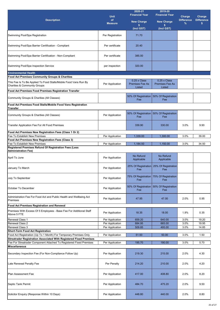|                                                                                                                                                  |                  | $2020 - 21$                                      | 2019-20                                                 |                   |                   |
|--------------------------------------------------------------------------------------------------------------------------------------------------|------------------|--------------------------------------------------|---------------------------------------------------------|-------------------|-------------------|
|                                                                                                                                                  | <b>Unit</b>      | <b>Financial Year</b>                            | <b>Financial Year</b>                                   | Charge            | Charge            |
| <b>Description</b>                                                                                                                               | of               | <b>New Charge</b>                                | <b>New Charge</b>                                       | <b>Difference</b> | <b>Difference</b> |
|                                                                                                                                                  | <b>Measure</b>   | \$                                               | \$                                                      | $\%$              | \$                |
|                                                                                                                                                  |                  | (Incl GST)                                       | (Incl GST)                                              |                   |                   |
| Swimming Pool/Spa Registration                                                                                                                   | Per Registration | 71.70                                            |                                                         |                   |                   |
| Swimming Pool/Spa Barrier Certification - Compliant                                                                                              | Per certificate  | 20.40                                            |                                                         |                   |                   |
| Swimming Pool/Spa Barrier Certification - Non-Compliant                                                                                          | Per certificate  | 385.00                                           |                                                         |                   |                   |
| Swimming Pool/Spa Inspection Service                                                                                                             | per inspection   | 320.00                                           |                                                         |                   |                   |
| <b>Environmental Health</b>                                                                                                                      |                  |                                                  |                                                         |                   |                   |
| Food Act Premises Community Groups & Charities                                                                                                   |                  |                                                  |                                                         |                   |                   |
| This Fee Is To Be Applied To Food Stalls/Mobile Food Vans Run By<br><b>Charities &amp; Community Groups</b>                                      | Per Application  | 0.25 x Class<br><b>Premises Fee As</b><br>Listed | $0.25 \times$ Class<br><b>Premises Fee As</b><br>Listed |                   |                   |
| Food Act Premises Food Premises Registration Transfer                                                                                            |                  |                                                  |                                                         |                   |                   |
| Community Groups & Charities (All Classes)                                                                                                       |                  | 50% Of Registration<br>Fee                       | 50% Of Registration<br>Fee                              |                   |                   |
| Food Act Premises Food Stalls/Mobile Food Vans Registration                                                                                      |                  |                                                  |                                                         |                   |                   |
| <b>Transfer</b>                                                                                                                                  |                  |                                                  |                                                         |                   |                   |
| Community Groups & Charities (All Classes)                                                                                                       | Per Application  | Fee                                              | 50% Of Registration   50% Of Registration<br>Fee        |                   |                   |
| Transfer Application Fee For All Food Premises                                                                                                   |                  | 339.90                                           | 330.00                                                  | 3.0%              | 9.90              |
| Food Act Premises New Registration Fees (Class 1 Or 2)                                                                                           |                  |                                                  |                                                         |                   |                   |
| Fee To Establish New Premises                                                                                                                    | Per Application  | 1,339.00                                         | 1,300.00                                                | 3.0%              | 39.00             |
| Food Act Premises New Registration Fees (Class 3)                                                                                                |                  |                                                  |                                                         |                   |                   |
| Fee To Establish New Premises                                                                                                                    | Per Application  | 1,184.50                                         | 1,150.00                                                | 3.0%              | 34.50             |
| Registered Premises Refund Of Registration Fees (Less<br><b>Administration Fee)</b>                                                              |                  |                                                  |                                                         |                   |                   |
| April To June                                                                                                                                    | Per Application  | No Refund<br>Applicable                          | No Refund<br>Applicable                                 |                   |                   |
| January To March                                                                                                                                 | Per Application  | 25% Of Registration<br>Fee                       | 25% Of Registration<br>Fee                              |                   |                   |
| July To September                                                                                                                                | Per Application  | Fee                                              | 75% Of Registration 75% Of Registration<br>Fee          |                   |                   |
| October To December                                                                                                                              | Per Application  | 50% Of Registration<br>Fee                       | 50% Of Registration<br>Fee                              |                   |                   |
| Administration Fee For Food Act and Public Health and Wellbeing Act<br>Premises                                                                  | Per Application  | 47.95                                            | 47.00                                                   | 2.0%              | 0.95              |
| Food Act Premises Registration and Renewal                                                                                                       |                  |                                                  |                                                         |                   |                   |
| Premises With Excess Of 5 Employees - Base Fee For Additional Staff<br>Above 5 FTE                                                               | Per Application  | 18.35                                            | 18.00                                                   | 1.9%              | 0.35              |
| <b>Renewal Class 1</b>                                                                                                                           | Per Application  | 659.20                                           | 640.00                                                  | 3.0%              | 19.20             |
| Renewal Class 2                                                                                                                                  | Per Application  | 684.95                                           | 665.00                                                  | 3.0%              | 19.95             |
| Renewal Class 3                                                                                                                                  | Per Application  | 509.85                                           | 495.00                                                  | 3.0%              | 14.85             |
| <b>Short-Term Food Act Registration</b>                                                                                                          |                  |                                                  |                                                         |                   |                   |
| Food Act Registration (Up To 1 Month) For Temporary Premises Only                                                                                | Per Application  | 51.50                                            | 50.00                                                   | 3.0%              | 1.50              |
| <b>Streatrader Registration Associated With Registered Fixed Premises</b><br>Fee For Streatrader Component Attached To Registered Fixed Premises | Per Application  | 195.70                                           | 190.00                                                  | 3.0%              | 5.70              |
| <b>Miscellaneous</b>                                                                                                                             |                  |                                                  |                                                         |                   |                   |
| Secondary Inspection Fee (For Non-Compliance Follow Up)                                                                                          | Per Application  | 219.30                                           | 215.00                                                  | 2.0%              | 4.30              |
| Late Renewal Penalty Fee                                                                                                                         | Per Penalty      | 214.20                                           | 210.00                                                  | 2.0%              | 4.20              |
| Plan Assessment Fee                                                                                                                              | Per Application  | 417.00                                           | 408.80                                                  | 2.0%              | 8.20              |
| Septic Tank Permit                                                                                                                               | Per Application  | 484.70                                           | 475.20                                                  | 2.0%              | 9.50              |
| Solicitor Enquiry (Response Within 10 Days)                                                                                                      | Per Application  | 448.80                                           | 440.00                                                  | 2.0%              | 8.80              |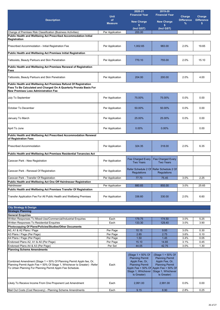| <b>Description</b>                                                                                                                                                                                            | <b>Unit</b><br>of<br><b>Measure</b> | 2020-21<br><b>Financial Year</b><br><b>New Charge</b>                                                                        | 2019-20<br><b>Financial Year</b><br><b>New Charge</b>                                                                                                                 | Charge<br><b>Difference</b><br>% | Charge<br><b>Difference</b><br>\$ |
|---------------------------------------------------------------------------------------------------------------------------------------------------------------------------------------------------------------|-------------------------------------|------------------------------------------------------------------------------------------------------------------------------|-----------------------------------------------------------------------------------------------------------------------------------------------------------------------|----------------------------------|-----------------------------------|
|                                                                                                                                                                                                               |                                     |                                                                                                                              |                                                                                                                                                                       |                                  |                                   |
| Change of Premises Risk Classification (Business Activities)                                                                                                                                                  | Per Application                     | 200.00                                                                                                                       |                                                                                                                                                                       |                                  |                                   |
| Public Health and Wellbeing Act Prescribed Accommodation Initial<br>Registration                                                                                                                              |                                     |                                                                                                                              |                                                                                                                                                                       |                                  |                                   |
| Prescribed Accommodation - Initial Registration Fee                                                                                                                                                           | Per Application                     | 1,002.65                                                                                                                     | 983.00                                                                                                                                                                | 2.0%                             | 19.65                             |
| Public Health and Wellbeing Act Premises Initial Registration                                                                                                                                                 |                                     |                                                                                                                              |                                                                                                                                                                       |                                  |                                   |
| Tattooists, Beauty Parlours and Skin Penetration                                                                                                                                                              | Per Application                     | 770.10                                                                                                                       | 755.00                                                                                                                                                                | 2.0%                             | 15.10                             |
| Public Health and Wellbeing Act Premises Renewal of Registration<br>Fees                                                                                                                                      |                                     |                                                                                                                              |                                                                                                                                                                       |                                  |                                   |
| Tattooists, Beauty Parlours and Skin Penetration                                                                                                                                                              | Per Application                     | 204.00                                                                                                                       | 200.00                                                                                                                                                                | 2.0%                             | 4.00                              |
| Public Health and Wellbeing Act Premises Refund Of Registration<br>Fees To Be Calculated and Charged On A Quarterly Prorata Basis For<br><b>New Premises Less Administration Fee</b>                          |                                     |                                                                                                                              |                                                                                                                                                                       |                                  |                                   |
| July To September                                                                                                                                                                                             | Per Application                     | 75.00%                                                                                                                       | 75.00%                                                                                                                                                                | 0.0%                             | 0.00                              |
| October To December                                                                                                                                                                                           | Per Application                     | 50.00%                                                                                                                       | 50.00%                                                                                                                                                                | $0.0\%$                          | 0.00                              |
| January To March                                                                                                                                                                                              | Per Application                     | 25.00%                                                                                                                       | 25.00%                                                                                                                                                                | 0.0%                             | 0.00                              |
| April To June                                                                                                                                                                                                 | Per Application                     | $0.00\%$                                                                                                                     | $0.00\%$                                                                                                                                                              |                                  | 0.00                              |
| Public Health and Wellbeing Act Prescribed Accommodation Renewal<br>of Registration Fees                                                                                                                      |                                     |                                                                                                                              |                                                                                                                                                                       |                                  |                                   |
| <b>Prescribed Accommodation</b>                                                                                                                                                                               | Per Application                     | 324.35                                                                                                                       | 318.00                                                                                                                                                                | 2.0%                             | 6.35                              |
| Public Health and Wellbeing Act Premises Residential Tenancies Act                                                                                                                                            |                                     |                                                                                                                              |                                                                                                                                                                       |                                  |                                   |
| Caravan Park - New Registration                                                                                                                                                                               | Per Application                     | <b>Fee Charged Every</b><br><b>Two Years</b>                                                                                 | <b>Fee Charged Every</b><br><b>Two Years</b>                                                                                                                          |                                  |                                   |
| Caravan Park - Renewal Of Registration                                                                                                                                                                        | Per Application                     | <b>Regulations</b>                                                                                                           | Refer Schedule 2 Of Refer Schedule 2 Of<br><b>Regulations</b>                                                                                                         |                                  |                                   |
| Caravan Park - Transfer Of Registration                                                                                                                                                                       | Per Application                     | 77.70                                                                                                                        | 75.45                                                                                                                                                                 | 3.0%                             | 2.25                              |
| Public Health and Wellbeing Act One Off Hairdresser Registration                                                                                                                                              |                                     |                                                                                                                              |                                                                                                                                                                       |                                  |                                   |
| Hairdresser<br>Public Health and Wellbeing Act Premises Transfer Of Registration                                                                                                                              | Per Application                     | 880.65                                                                                                                       | 855.00                                                                                                                                                                | 3.0%                             | 25.65                             |
| Transfer Application Fee For All Public Health and Wellbeing Premises                                                                                                                                         | Per Application                     | 336.60                                                                                                                       | 330.00                                                                                                                                                                | 2.0%                             | 6.60                              |
| <b>City Strategy &amp; Design</b>                                                                                                                                                                             |                                     |                                                                                                                              |                                                                                                                                                                       |                                  |                                   |
| <b>Strategic Planning</b>                                                                                                                                                                                     |                                     |                                                                                                                              |                                                                                                                                                                       |                                  |                                   |
| <b>General Enquiries</b>                                                                                                                                                                                      |                                     |                                                                                                                              |                                                                                                                                                                       |                                  |                                   |
| Written Responses To Mixed-Use/Commercial/Industrial Enquiries                                                                                                                                                | Each                                | 179.75                                                                                                                       | 174.50                                                                                                                                                                | 3.0%                             | 5.25                              |
| Written Responses To Residential Enquiries<br>Photocopying Of Plans/Policies/Studies/Other Documents                                                                                                          | Each                                | 133.30                                                                                                                       | 129.40                                                                                                                                                                | 3.0%                             | 3.90                              |
| A0, A1 & A2 Plans / Page                                                                                                                                                                                      | Per Page                            | 10.15                                                                                                                        | 9.85                                                                                                                                                                  | 3.0%                             | 0.30                              |
| A3 Plans / Page (Per Page)                                                                                                                                                                                    | Per Page                            | 2.85                                                                                                                         | 2.75                                                                                                                                                                  | 3.6%                             | 0.10                              |
| A4 Plans / Page (Per Page)                                                                                                                                                                                    | Per Page                            | 1.50                                                                                                                         | 1.45                                                                                                                                                                  | 3.4%                             | 0.05                              |
| Endorsed Plans A2, A1 & A0 (Per Page)                                                                                                                                                                         | Per Page                            | 15.10                                                                                                                        | 14.65                                                                                                                                                                 | 3.1%                             | 0.45                              |
| Endorsed Plans A4 & A3 (Per Page)<br><b>Planning Scheme Amendments</b>                                                                                                                                        | Per Set                             | 44.05                                                                                                                        | 42.75                                                                                                                                                                 | 3.0%                             | 1.30                              |
| Combined Amendment (Stage 1 + 50% Of Planning Permit Appln fee, Or,<br>Planning Permit Appln Fee + 50% Of Stage 1, Whichever Is Greater) - Refer<br>To Urban Planning For Planning Permit Appln Fee Schedule. | Each                                | (Stage 1 + 50% Of<br><b>Planning Permit</b><br>Appln Fee, Or,<br><b>Planning Permit</b><br>Stage 1, Whichever<br>Is Greater) | (Stage 1 + 50% Of<br><b>Planning Permit</b><br>Appln Fee, Or,<br><b>Planning Permit</b><br>Appln Fee + 50% Of Appln Fee + 50% Of<br>Stage 1, Whichever<br>Is Greater) |                                  |                                   |
| Likely To Receive Income From One Proponent Led Amendment                                                                                                                                                     | Each                                | 2,991.00                                                                                                                     | 2,991.00                                                                                                                                                              | 0.0%                             | 0.00                              |
| Mail Out Costs (Cost Recovery) - Planning Scheme Amendments                                                                                                                                                   | Each                                | 9.15                                                                                                                         | 8.90                                                                                                                                                                  | 2.8%                             | 0.25                              |